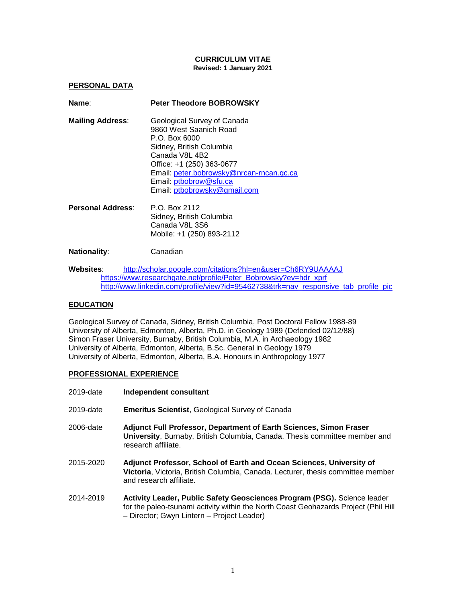### **CURRICULUM VITAE Revised: 1 January 2021**

**PERSONAL DATA**

| Name:                   | <b>Peter Theodore BOBROWSKY</b>                                                                                                                                                                                                                         |
|-------------------------|---------------------------------------------------------------------------------------------------------------------------------------------------------------------------------------------------------------------------------------------------------|
| <b>Mailing Address:</b> | Geological Survey of Canada<br>9860 West Saanich Road<br>P.O. Box 6000<br>Sidney, British Columbia<br>Canada V8L 4B2<br>Office: +1 (250) 363-0677<br>Email: peter.bobrowsky@nrcan-rncan.gc.ca<br>Email: ptbobrow@sfu.ca<br>Email: ptbobrowsky@gmail.com |
| Personal Address:       | P.O. Box 2112                                                                                                                                                                                                                                           |

Sidney, British Columbia Canada V8L 3S6 Mobile: +1 (250) 893-2112

### **Nationality**: Canadian

**Websites**: <http://scholar.google.com/citations?hl=en&user=Ch6RY9UAAAAJ> [https://www.researchgate.net/profile/Peter\\_Bobrowsky?ev=hdr\\_xprf](https://www.researchgate.net/profile/Peter_Bobrowsky?ev=hdr_xprf) [http://www.linkedin.com/profile/view?id=95462738&trk=nav\\_responsive\\_tab\\_profile\\_pic](http://www.linkedin.com/profile/view?id=95462738&trk=nav_responsive_tab_profile_pic)

## **EDUCATION**

Geological Survey of Canada, Sidney, British Columbia, Post Doctoral Fellow 1988-89 University of Alberta, Edmonton, Alberta, Ph.D. in Geology 1989 (Defended 02/12/88) Simon Fraser University, Burnaby, British Columbia, M.A. in Archaeology 1982 University of Alberta, Edmonton, Alberta, B.Sc. General in Geology 1979 University of Alberta, Edmonton, Alberta, B.A. Honours in Anthropology 1977

### **PROFESSIONAL EXPERIENCE**

- 2019-date **Independent consultant**
- 2019-date **Emeritus Scientist**, Geological Survey of Canada
- 2006-date **Adjunct Full Professor, Department of Earth Sciences, Simon Fraser University**, Burnaby, British Columbia, Canada. Thesis committee member and research affiliate.
- 2015-2020 **Adjunct Professor, School of Earth and Ocean Sciences, University of Victoria**, Victoria, British Columbia, Canada. Lecturer, thesis committee member and research affiliate.
- 2014-2019 **Activity Leader, Public Safety Geosciences Program (PSG).** Science leader for the paleo-tsunami activity within the North Coast Geohazards Project (Phil Hill – Director; Gwyn Lintern – Project Leader)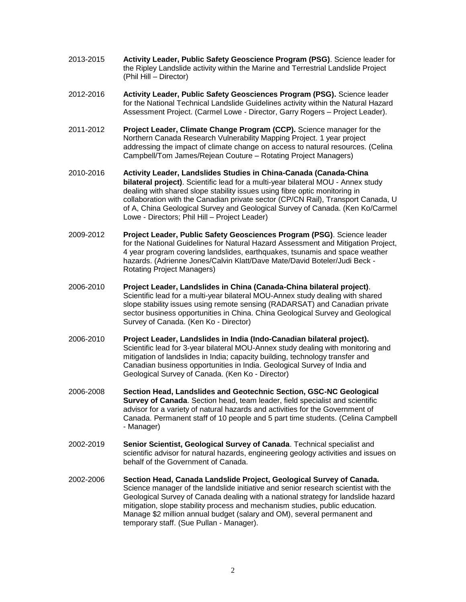- 2013-2015 **Activity Leader, Public Safety Geoscience Program (PSG)**. Science leader for the Ripley Landslide activity within the Marine and Terrestrial Landslide Project (Phil Hill – Director)
- 2012-2016 **Activity Leader, Public Safety Geosciences Program (PSG).** Science leader for the National Technical Landslide Guidelines activity within the Natural Hazard Assessment Project. (Carmel Lowe - Director, Garry Rogers – Project Leader).
- 2011-2012 **Project Leader, Climate Change Program (CCP).** Science manager for the Northern Canada Research Vulnerability Mapping Project. 1 year project addressing the impact of climate change on access to natural resources. (Celina Campbell/Tom James/Rejean Couture – Rotating Project Managers)
- 2010-2016 **Activity Leader, Landslides Studies in China-Canada (Canada-China bilateral project)**. Scientific lead for a multi-year bilateral MOU - Annex study dealing with shared slope stability issues using fibre optic monitoring in collaboration with the Canadian private sector (CP/CN Rail), Transport Canada, U of A, China Geological Survey and Geological Survey of Canada. (Ken Ko/Carmel Lowe - Directors; Phil Hill – Project Leader)
- 2009-2012 **Project Leader, Public Safety Geosciences Program (PSG)**. Science leader for the National Guidelines for Natural Hazard Assessment and Mitigation Project, 4 year program covering landslides, earthquakes, tsunamis and space weather hazards. (Adrienne Jones/Calvin Klatt/Dave Mate/David Boteler/Judi Beck - Rotating Project Managers)
- 2006-2010 **Project Leader, Landslides in China (Canada-China bilateral project)**. Scientific lead for a multi-year bilateral MOU-Annex study dealing with shared slope stability issues using remote sensing (RADARSAT) and Canadian private sector business opportunities in China. China Geological Survey and Geological Survey of Canada. (Ken Ko - Director)
- 2006-2010 **Project Leader, Landslides in India (Indo-Canadian bilateral project).** Scientific lead for 3-year bilateral MOU-Annex study dealing with monitoring and mitigation of landslides in India; capacity building, technology transfer and Canadian business opportunities in India. Geological Survey of India and Geological Survey of Canada. (Ken Ko - Director)
- 2006-2008 **Section Head, Landslides and Geotechnic Section, GSC-NC Geological Survey of Canada**. Section head, team leader, field specialist and scientific advisor for a variety of natural hazards and activities for the Government of Canada. Permanent staff of 10 people and 5 part time students. (Celina Campbell - Manager)
- 2002-2019 **Senior Scientist, Geological Survey of Canada**. Technical specialist and scientific advisor for natural hazards, engineering geology activities and issues on behalf of the Government of Canada.
- 2002-2006 **Section Head, Canada Landslide Project, Geological Survey of Canada.** Science manager of the landslide initiative and senior research scientist with the Geological Survey of Canada dealing with a national strategy for landslide hazard mitigation, slope stability process and mechanism studies, public education. Manage \$2 million annual budget (salary and OM), several permanent and temporary staff. (Sue Pullan - Manager).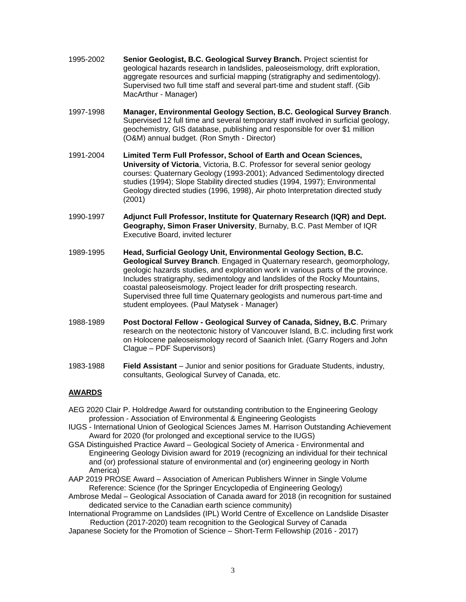- 1995-2002 **Senior Geologist, B.C. Geological Survey Branch.** Project scientist for geological hazards research in landslides, paleoseismology, drift exploration, aggregate resources and surficial mapping (stratigraphy and sedimentology). Supervised two full time staff and several part-time and student staff. (Gib MacArthur - Manager)
- 1997-1998 **Manager, Environmental Geology Section, B.C. Geological Survey Branch**. Supervised 12 full time and several temporary staff involved in surficial geology, geochemistry, GIS database, publishing and responsible for over \$1 million (O&M) annual budget. (Ron Smyth - Director)
- 1991-2004 **Limited Term Full Professor, School of Earth and Ocean Sciences, University of Victoria**, Victoria, B.C. Professor for several senior geology courses: Quaternary Geology (1993-2001); Advanced Sedimentology directed studies (1994); Slope Stability directed studies (1994, 1997); Environmental Geology directed studies (1996, 1998), Air photo Interpretation directed study (2001)
- 1990-1997 **Adjunct Full Professor, Institute for Quaternary Research (IQR) and Dept. Geography, Simon Fraser University**, Burnaby, B.C. Past Member of IQR Executive Board, invited lecturer
- 1989-1995 **Head, Surficial Geology Unit, Environmental Geology Section, B.C. Geological Survey Branch**. Engaged in Quaternary research, geomorphology, geologic hazards studies, and exploration work in various parts of the province. Includes stratigraphy, sedimentology and landslides of the Rocky Mountains, coastal paleoseismology. Project leader for drift prospecting research. Supervised three full time Quaternary geologists and numerous part-time and student employees. (Paul Matysek - Manager)
- 1988-1989 **Post Doctoral Fellow - Geological Survey of Canada, Sidney, B.C**. Primary research on the neotectonic history of Vancouver Island, B.C. including first work on Holocene paleoseismology record of Saanich Inlet. (Garry Rogers and John Clague – PDF Supervisors)
- 1983-1988 **Field Assistant** Junior and senior positions for Graduate Students, industry, consultants, Geological Survey of Canada, etc.

## **AWARDS**

- AEG 2020 Clair P. Holdredge Award for outstanding contribution to the Engineering Geology profession - Association of Environmental & Engineering Geologists
- IUGS International Union of Geological Sciences James M. Harrison Outstanding Achievement Award for 2020 (for prolonged and exceptional service to the IUGS)
- GSA Distinguished Practice Award Geological Society of America Environmental and Engineering Geology Division award for 2019 (recognizing an individual for their technical and (or) professional stature of environmental and (or) engineering geology in North America)
- AAP 2019 PROSE Award Association of American Publishers Winner in Single Volume Reference: Science (for the Springer Encyclopedia of Engineering Geology)
- Ambrose Medal Geological Association of Canada award for 2018 (in recognition for sustained dedicated service to the Canadian earth science community)
- International Programme on Landslides (IPL) World Centre of Excellence on Landslide Disaster Reduction (2017-2020) team recognition to the Geological Survey of Canada
- Japanese Society for the Promotion of Science Short-Term Fellowship (2016 2017)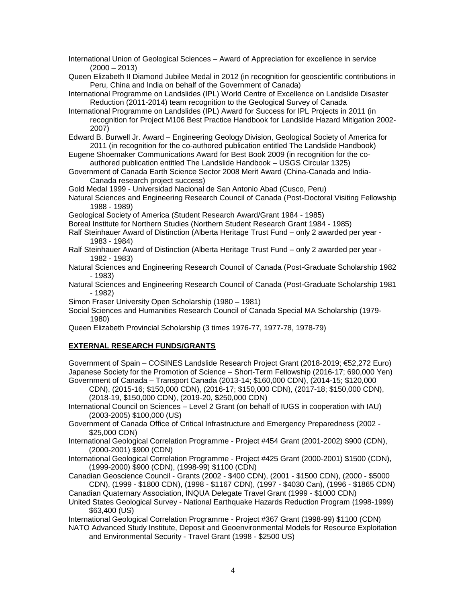International Union of Geological Sciences – Award of Appreciation for excellence in service  $(2000 - 2013)$ 

Queen Elizabeth II Diamond Jubilee Medal in 2012 (in recognition for geoscientific contributions in Peru, China and India on behalf of the Government of Canada)

International Programme on Landslides (IPL) World Centre of Excellence on Landslide Disaster Reduction (2011-2014) team recognition to the Geological Survey of Canada

International Programme on Landslides (IPL) Award for Success for IPL Projects in 2011 (in recognition for Project M106 Best Practice Handbook for Landslide Hazard Mitigation 2002- 2007)

Edward B. Burwell Jr. Award – Engineering Geology Division, Geological Society of America for 2011 (in recognition for the co-authored publication entitled The Landslide Handbook)

- Eugene Shoemaker Communications Award for Best Book 2009 (in recognition for the coauthored publication entitled The Landslide Handbook – USGS Circular 1325)
- Government of Canada Earth Science Sector 2008 Merit Award (China-Canada and India-Canada research project success)

Gold Medal 1999 - Universidad Nacional de San Antonio Abad (Cusco, Peru)

Natural Sciences and Engineering Research Council of Canada (Post-Doctoral Visiting Fellowship 1988 - 1989)

Geological Society of America (Student Research Award/Grant 1984 - 1985)

Boreal Institute for Northern Studies (Northern Student Research Grant 1984 - 1985)

- Ralf Steinhauer Award of Distinction (Alberta Heritage Trust Fund only 2 awarded per year 1983 - 1984)
- Ralf Steinhauer Award of Distinction (Alberta Heritage Trust Fund only 2 awarded per year 1982 - 1983)
- Natural Sciences and Engineering Research Council of Canada (Post-Graduate Scholarship 1982 - 1983)

Natural Sciences and Engineering Research Council of Canada (Post-Graduate Scholarship 1981 - 1982)

Simon Fraser University Open Scholarship (1980 – 1981)

Social Sciences and Humanities Research Council of Canada Special MA Scholarship (1979- 1980)

Queen Elizabeth Provincial Scholarship (3 times 1976-77, 1977-78, 1978-79)

## **EXTERNAL RESEARCH FUNDS/GRANTS**

Government of Spain – COSINES Landslide Research Project Grant (2018-2019; €52,272 Euro) Japanese Society for the Promotion of Science – Short-Term Fellowship (2016-17; 690,000 Yen) Government of Canada – Transport Canada (2013-14; \$160,000 CDN), (2014-15; \$120,000

CDN), (2015-16; \$150,000 CDN), (2016-17; \$150,000 CDN), (2017-18; \$150,000 CDN), (2018-19, \$150,000 CDN), (2019-20, \$250,000 CDN)

International Council on Sciences – Level 2 Grant (on behalf of IUGS in cooperation with IAU) (2003-2005) \$100,000 (US)

Government of Canada Office of Critical Infrastructure and Emergency Preparedness (2002 - \$25,000 CDN)

- International Geological Correlation Programme Project #454 Grant (2001-2002) \$900 (CDN), (2000-2001) \$900 (CDN)
- International Geological Correlation Programme Project #425 Grant (2000-2001) \$1500 (CDN), (1999-2000) \$900 (CDN), (1998-99) \$1100 (CDN)

Canadian Geoscience Council - Grants (2002 - \$400 CDN), (2001 - \$1500 CDN), (2000 - \$5000 CDN), (1999 - \$1800 CDN), (1998 - \$1167 CDN), (1997 - \$4030 Can), (1996 - \$1865 CDN)

Canadian Quaternary Association, INQUA Delegate Travel Grant (1999 - \$1000 CDN)

United States Geological Survey - National Earthquake Hazards Reduction Program (1998-1999) \$63,400 (US)

International Geological Correlation Programme - Project #367 Grant (1998-99) \$1100 (CDN)

NATO Advanced Study Institute, Deposit and Geoenvironmental Models for Resource Exploitation and Environmental Security - Travel Grant (1998 - \$2500 US)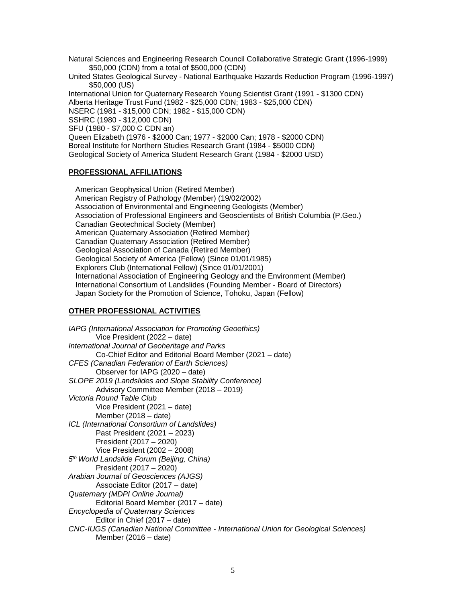Natural Sciences and Engineering Research Council Collaborative Strategic Grant (1996-1999) \$50,000 (CDN) from a total of \$500,000 (CDN)

United States Geological Survey - National Earthquake Hazards Reduction Program (1996-1997) \$50,000 (US)

International Union for Quaternary Research Young Scientist Grant (1991 - \$1300 CDN) Alberta Heritage Trust Fund (1982 - \$25,000 CDN; 1983 - \$25,000 CDN) NSERC (1981 - \$15,000 CDN; 1982 - \$15,000 CDN) SSHRC (1980 - \$12,000 CDN) SFU (1980 - \$7,000 C CDN an) Queen Elizabeth (1976 - \$2000 Can; 1977 - \$2000 Can; 1978 - \$2000 CDN) Boreal Institute for Northern Studies Research Grant (1984 - \$5000 CDN) Geological Society of America Student Research Grant (1984 - \$2000 USD)

### **PROFESSIONAL AFFILIATIONS**

American Geophysical Union (Retired Member) American Registry of Pathology (Member) (19/02/2002) Association of Environmental and Engineering Geologists (Member) Association of Professional Engineers and Geoscientists of British Columbia (P.Geo.) Canadian Geotechnical Society (Member) American Quaternary Association (Retired Member) Canadian Quaternary Association (Retired Member) Geological Association of Canada (Retired Member) Geological Society of America (Fellow) (Since 01/01/1985) Explorers Club (International Fellow) (Since 01/01/2001) International Association of Engineering Geology and the Environment (Member) International Consortium of Landslides (Founding Member - Board of Directors) Japan Society for the Promotion of Science, Tohoku, Japan (Fellow)

### **OTHER PROFESSIONAL ACTIVITIES**

*IAPG (International Association for Promoting Geoethics)* Vice President (2022 – date) *International Journal of Geoheritage and Parks* Co-Chief Editor and Editorial Board Member (2021 – date) *CFES (Canadian Federation of Earth Sciences)* Observer for IAPG (2020 – date) *SLOPE 2019 (Landslides and Slope Stability Conference)* Advisory Committee Member (2018 – 2019) *Victoria Round Table Club* Vice President (2021 – date) Member (2018 – date) *ICL (International Consortium of Landslides)* Past President (2021 – 2023) President (2017 – 2020) Vice President (2002 – 2008) *5 th World Landslide Forum (Beijing, China)* President (2017 – 2020) *Arabian Journal of Geosciences (AJGS)* Associate Editor (2017 – date) *Quaternary (MDPI Online Journal)*  Editorial Board Member (2017 – date) *Encyclopedia of Quaternary Sciences*  Editor in Chief (2017 – date) *CNC-IUGS (Canadian National Committee - International Union for Geological Sciences)* Member (2016 – date)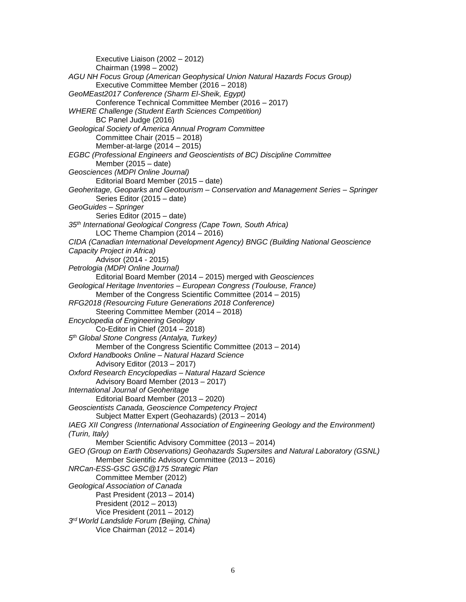Executive Liaison (2002 – 2012) Chairman (1998 – 2002) *AGU NH Focus Group (American Geophysical Union Natural Hazards Focus Group)*  Executive Committee Member (2016 – 2018) *GeoMEast2017 Conference (Sharm El-Sheik, Egypt)*  Conference Technical Committee Member (2016 – 2017) *WHERE Challenge (Student Earth Sciences Competition)*  BC Panel Judge (2016) *Geological Society of America Annual Program Committee*  Committee Chair (2015 – 2018) Member-at-large (2014 – 2015) *EGBC (Professional Engineers and Geoscientists of BC) Discipline Committee* Member (2015 – date) *Geosciences (MDPI Online Journal)*  Editorial Board Member (2015 – date) *Geoheritage, Geoparks and Geotourism – Conservation and Management Series – Springer*  Series Editor (2015 – date) *GeoGuides – Springer*  Series Editor (2015 – date) *35th International Geological Congress (Cape Town, South Africa)*  LOC Theme Champion (2014 – 2016) *CIDA (Canadian International Development Agency) BNGC (Building National Geoscience Capacity Project in Africa)* Advisor (2014 - 2015) *Petrologia (MDPI Online Journal)*  Editorial Board Member (2014 – 2015) merged with *Geosciences Geological Heritage Inventories – European Congress (Toulouse, France)* Member of the Congress Scientific Committee (2014 – 2015) *RFG2018 (Resourcing Future Generations 2018 Conference)* Steering Committee Member (2014 – 2018) *Encyclopedia of Engineering Geology* Co-Editor in Chief (2014 – 2018) *5 th Global Stone Congress (Antalya, Turkey)* Member of the Congress Scientific Committee (2013 – 2014) *Oxford Handbooks Online – Natural Hazard Science*  Advisory Editor (2013 – 2017) *Oxford Research Encyclopedias – Natural Hazard Science* Advisory Board Member (2013 – 2017) *International Journal of Geoheritage*  Editorial Board Member (2013 – 2020) *Geoscientists Canada, Geoscience Competency Project*  Subject Matter Expert (Geohazards) (2013 – 2014) *IAEG XII Congress (International Association of Engineering Geology and the Environment) (Turin, Italy)* Member Scientific Advisory Committee (2013 – 2014) *GEO (Group on Earth Observations) Geohazards Supersites and Natural Laboratory (GSNL)*  Member Scientific Advisory Committee (2013 – 2016) *NRCan-ESS-GSC GSC@175 Strategic Plan* Committee Member (2012) *Geological Association of Canada* Past President (2013 – 2014) President (2012 – 2013) Vice President (2011 – 2012) *3 rd World Landslide Forum (Beijing, China)* Vice Chairman (2012 – 2014)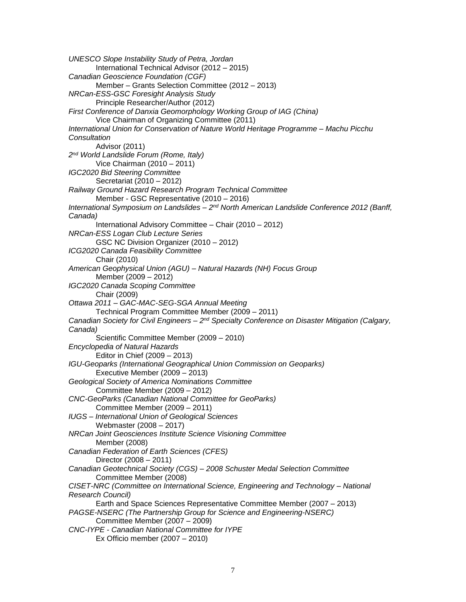*UNESCO Slope Instability Study of Petra, Jordan* International Technical Advisor (2012 – 2015) *Canadian Geoscience Foundation (CGF)* Member – Grants Selection Committee (2012 – 2013) *NRCan-ESS-GSC Foresight Analysis Study* Principle Researcher/Author (2012) *First Conference of Danxia Geomorphology Working Group of IAG (China)* Vice Chairman of Organizing Committee (2011) *International Union for Conservation of Nature World Heritage Programme – Machu Picchu Consultation*  Advisor (2011) *2 nd World Landslide Forum (Rome, Italy)* Vice Chairman (2010 – 2011) *IGC2020 Bid Steering Committee* Secretariat (2010 – 2012) *Railway Ground Hazard Research Program Technical Committee* Member - GSC Representative (2010 – 2016) International Symposium on Landslides – 2<sup>nd</sup> North American Landslide Conference 2012 (Banff, *Canada)* International Advisory Committee – Chair (2010 – 2012) *NRCan-ESS Logan Club Lecture Series* GSC NC Division Organizer (2010 – 2012) *ICG2020 Canada Feasibility Committee* Chair (2010) *American Geophysical Union (AGU) – Natural Hazards (NH) Focus Group* Member (2009 – 2012) *IGC2020 Canada Scoping Committee* Chair (2009) *Ottawa 2011 – GAC-MAC-SEG-SGA Annual Meeting* Technical Program Committee Member (2009 – 2011) *Canadian Society for Civil Engineers – 2 nd Specialty Conference on Disaster Mitigation (Calgary, Canada)* Scientific Committee Member (2009 – 2010) *Encyclopedia of Natural Hazards* Editor in Chief (2009 – 2013) *IGU-Geoparks (International Geographical Union Commission on Geoparks)* Executive Member (2009 – 2013) *Geological Society of America Nominations Committee* Committee Member (2009 – 2012) *CNC-GeoParks (Canadian National Committee for GeoParks)* Committee Member (2009 – 2011) *IUGS – International Union of Geological Sciences*  Webmaster (2008 – 2017) *NRCan Joint Geosciences Institute Science Visioning Committee* Member (2008) *Canadian Federation of Earth Sciences (CFES)* Director (2008 – 2011) *Canadian Geotechnical Society (CGS) – 2008 Schuster Medal Selection Committee* Committee Member (2008) *CISET-NRC (Committee on International Science, Engineering and Technology – National Research Council)* Earth and Space Sciences Representative Committee Member (2007 – 2013) *PAGSE-NSERC (The Partnership Group for Science and Engineering-NSERC)* Committee Member (2007 – 2009) *CNC-IYPE - Canadian National Committee for IYPE* Ex Officio member (2007 – 2010)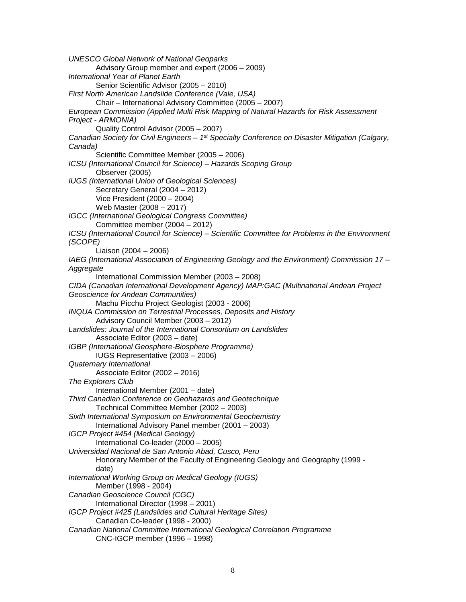*UNESCO Global Network of National Geoparks* Advisory Group member and expert (2006 – 2009) *International Year of Planet Earth* Senior Scientific Advisor (2005 – 2010) *First North American Landslide Conference (Vale, USA)* Chair – International Advisory Committee (2005 – 2007) *European Commission (Applied Multi Risk Mapping of Natural Hazards for Risk Assessment Project - ARMONIA)* Quality Control Advisor (2005 – 2007) *Canadian Society for Civil Engineers – 1 st Specialty Conference on Disaster Mitigation (Calgary, Canada)* Scientific Committee Member (2005 – 2006) *ICSU (International Council for Science) – Hazards Scoping Group* Observer (2005) *IUGS (International Union of Geological Sciences)* Secretary General (2004 – 2012) Vice President (2000 – 2004) Web Master (2008 – 2017) *IGCC (International Geological Congress Committee)* Committee member (2004 – 2012) *ICSU (International Council for Science) – Scientific Committee for Problems in the Environment (SCOPE)* Liaison (2004 – 2006) *IAEG (International Association of Engineering Geology and the Environment) Commission 17 – Aggregate* International Commission Member (2003 – 2008) *CIDA (Canadian International Development Agency) MAP:GAC (Multinational Andean Project Geoscience for Andean Communities)* Machu Picchu Project Geologist (2003 - 2006) *INQUA Commission on Terrestrial Processes, Deposits and History* Advisory Council Member (2003 – 2012) *Landslides: Journal of the International Consortium on Landslides* Associate Editor (2003 – date) *IGBP (International Geosphere-Biosphere Programme)* IUGS Representative (2003 – 2006) *Quaternary International* Associate Editor (2002 – 2016) *The Explorers Club* International Member (2001 – date) *Third Canadian Conference on Geohazards and Geotechnique* Technical Committee Member (2002 – 2003) *Sixth International Symposium on Environmental Geochemistry* International Advisory Panel member (2001 – 2003) *IGCP Project #454 (Medical Geology)* International Co-leader (2000 – 2005) *Universidad Nacional de San Antonio Abad, Cusco, Peru* Honorary Member of the Faculty of Engineering Geology and Geography (1999 date) *International Working Group on Medical Geology (IUGS)* Member (1998 - 2004) *Canadian Geoscience Council (CGC)* International Director (1998 – 2001) *IGCP Project #425 (Landslides and Cultural Heritage Sites)* Canadian Co-leader (1998 - 2000) *Canadian National Committee International Geological Correlation Programme* CNC-IGCP member (1996 – 1998)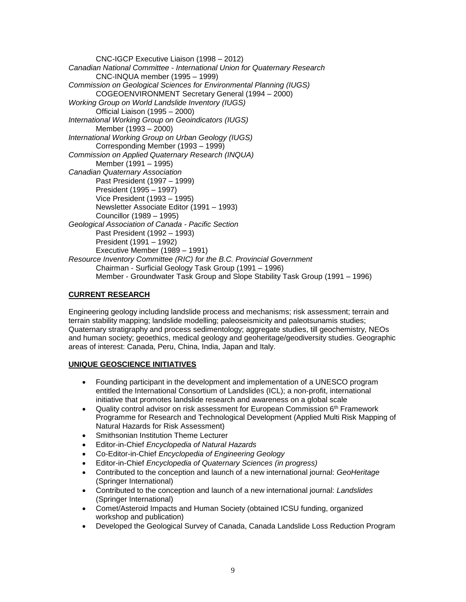CNC-IGCP Executive Liaison (1998 – 2012) *Canadian National Committee - International Union for Quaternary Research* CNC-INQUA member (1995 – 1999) *Commission on Geological Sciences for Environmental Planning (IUGS)* COGEOENVIRONMENT Secretary General (1994 – 2000) *Working Group on World Landslide Inventory (IUGS)* Official Liaison (1995 – 2000) *International Working Group on Geoindicators (IUGS)* Member (1993 – 2000) *International Working Group on Urban Geology (IUGS)* Corresponding Member (1993 – 1999) *Commission on Applied Quaternary Research (INQUA)*  Member (1991 – 1995) *Canadian Quaternary Association* Past President (1997 – 1999) President (1995 – 1997) Vice President (1993 – 1995) Newsletter Associate Editor (1991 – 1993) Councillor (1989 – 1995) *Geological Association of Canada - Pacific Section* Past President (1992 – 1993) President (1991 – 1992) Executive Member (1989 – 1991) *Resource Inventory Committee (RIC) for the B.C. Provincial Government* Chairman - Surficial Geology Task Group (1991 – 1996) Member - Groundwater Task Group and Slope Stability Task Group (1991 – 1996)

## **CURRENT RESEARCH**

Engineering geology including landslide process and mechanisms; risk assessment; terrain and terrain stability mapping; landslide modelling; paleoseismicity and paleotsunamis studies; Quaternary stratigraphy and process sedimentology; aggregate studies, till geochemistry, NEOs and human society; geoethics, medical geology and geoheritage/geodiversity studies. Geographic areas of interest: Canada, Peru, China, India, Japan and Italy.

## **UNIQUE GEOSCIENCE INITIATIVES**

- Founding participant in the development and implementation of a UNESCO program entitled the International Consortium of Landslides (ICL); a non-profit, international initiative that promotes landslide research and awareness on a global scale
- Quality control advisor on risk assessment for European Commission  $6<sup>th</sup>$  Framework Programme for Research and Technological Development (Applied Multi Risk Mapping of Natural Hazards for Risk Assessment)
- Smithsonian Institution Theme Lecturer
- Editor-in-Chief *Encyclopedia of Natural Hazards*
- Co-Editor-in-Chief *Encyclopedia of Engineering Geology*
- Editor-in-Chief *Encyclopedia of Quaternary Sciences (in progress)*
- Contributed to the conception and launch of a new international journal: *GeoHeritage* (Springer International)
- Contributed to the conception and launch of a new international journal: *Landslides* (Springer International)
- Comet/Asteroid Impacts and Human Society (obtained ICSU funding, organized workshop and publication)
- Developed the Geological Survey of Canada, Canada Landslide Loss Reduction Program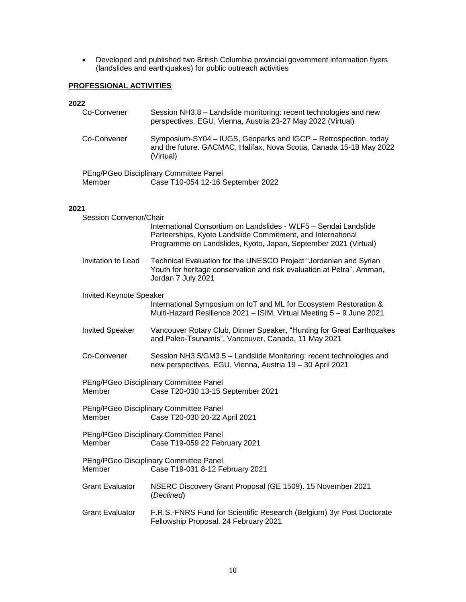Developed and published two British Columbia provincial government information flyers (landslides and earthquakes) for public outreach activities

# **PROFESSIONAL ACTIVITIES**

### **2022**

| 2022 |                                |                                                                                                                                                                                                    |
|------|--------------------------------|----------------------------------------------------------------------------------------------------------------------------------------------------------------------------------------------------|
|      | Co-Convener                    | Session NH3.8 - Landslide monitoring: recent technologies and new<br>perspectives. EGU, Vienna, Austria 23-27 May 2022 (Virtual)                                                                   |
|      | Co-Convener                    | Symposium-SY04 - IUGS, Geoparks and IGCP - Retrospection, today<br>and the future. GACMAC, Halifax, Nova Scotia, Canada 15-18 May 2022<br>(Virtual)                                                |
|      | Member                         | PEng/PGeo Disciplinary Committee Panel<br>Case T10-054 12-16 September 2022                                                                                                                        |
| 2021 |                                |                                                                                                                                                                                                    |
|      | Session Convenor/Chair         |                                                                                                                                                                                                    |
|      |                                | International Consortium on Landslides - WLF5 - Sendai Landslide<br>Partnerships, Kyoto Landslide Commitment, and International<br>Programme on Landslides, Kyoto, Japan, September 2021 (Virtual) |
|      | Invitation to Lead             | Technical Evaluation for the UNESCO Project "Jordanian and Syrian<br>Youth for heritage conservation and risk evaluation at Petra". Amman,<br>Jordan 7 July 2021                                   |
|      | <b>Invited Keynote Speaker</b> |                                                                                                                                                                                                    |
|      |                                | International Symposium on IoT and ML for Ecosystem Restoration &<br>Multi-Hazard Resilience 2021 - ISIM. Virtual Meeting 5 - 9 June 2021                                                          |
|      | <b>Invited Speaker</b>         | Vancouver Rotary Club, Dinner Speaker, "Hunting for Great Earthquakes<br>and Paleo-Tsunamis", Vancouver, Canada, 11 May 2021                                                                       |
|      | Co-Convener                    | Session NH3.5/GM3.5 - Landslide Monitoring: recent technologies and<br>new perspectives. EGU, Vienna, Austria 19 - 30 April 2021                                                                   |
|      | Member                         | PEng/PGeo Disciplinary Committee Panel<br>Case T20-030 13-15 September 2021                                                                                                                        |
|      | Member                         | PEng/PGeo Disciplinary Committee Panel<br>Case T20-030 20-22 April 2021                                                                                                                            |
|      | Member                         | PEng/PGeo Disciplinary Committee Panel<br>Case T19-059 22 February 2021                                                                                                                            |
|      | Member                         | PEng/PGeo Disciplinary Committee Panel<br>Case T19-031 8-12 February 2021                                                                                                                          |
|      | <b>Grant Evaluator</b>         | NSERC Discovery Grant Proposal (GE 1509). 15 November 2021<br>(Declined)                                                                                                                           |

Grant Evaluator F.R.S.-FNRS Fund for Scientific Research (Belgium) 3yr Post Doctorate Fellowship Proposal. 24 February 2021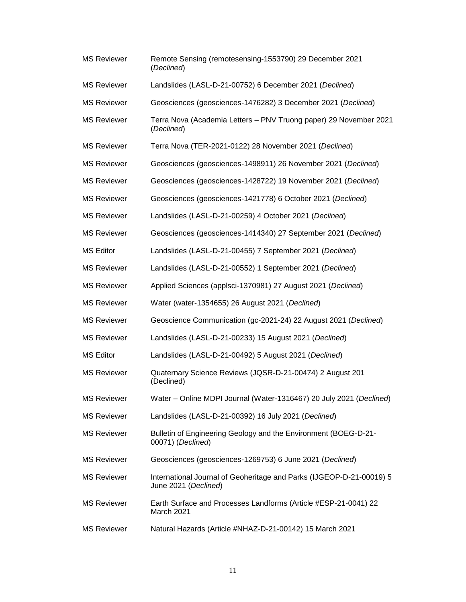| <b>MS Reviewer</b> | Remote Sensing (remotesensing-1553790) 29 December 2021<br>(Declined)                        |
|--------------------|----------------------------------------------------------------------------------------------|
| <b>MS Reviewer</b> | Landslides (LASL-D-21-00752) 6 December 2021 (Declined)                                      |
| <b>MS Reviewer</b> | Geosciences (geosciences-1476282) 3 December 2021 (Declined)                                 |
| <b>MS Reviewer</b> | Terra Nova (Academia Letters - PNV Truong paper) 29 November 2021<br>(Declined)              |
| <b>MS Reviewer</b> | Terra Nova (TER-2021-0122) 28 November 2021 (Declined)                                       |
| <b>MS Reviewer</b> | Geosciences (geosciences-1498911) 26 November 2021 (Declined)                                |
| <b>MS Reviewer</b> | Geosciences (geosciences-1428722) 19 November 2021 (Declined)                                |
| <b>MS Reviewer</b> | Geosciences (geosciences-1421778) 6 October 2021 (Declined)                                  |
| <b>MS Reviewer</b> | Landslides (LASL-D-21-00259) 4 October 2021 (Declined)                                       |
| <b>MS Reviewer</b> | Geosciences (geosciences-1414340) 27 September 2021 (Declined)                               |
| <b>MS Editor</b>   | Landslides (LASL-D-21-00455) 7 September 2021 (Declined)                                     |
| <b>MS Reviewer</b> | Landslides (LASL-D-21-00552) 1 September 2021 (Declined)                                     |
| <b>MS Reviewer</b> | Applied Sciences (applsci-1370981) 27 August 2021 (Declined)                                 |
| <b>MS Reviewer</b> | Water (water-1354655) 26 August 2021 (Declined)                                              |
| <b>MS Reviewer</b> | Geoscience Communication (gc-2021-24) 22 August 2021 (Declined)                              |
| <b>MS Reviewer</b> | Landslides (LASL-D-21-00233) 15 August 2021 (Declined)                                       |
| <b>MS Editor</b>   | Landslides (LASL-D-21-00492) 5 August 2021 (Declined)                                        |
| <b>MS Reviewer</b> | Quaternary Science Reviews (JQSR-D-21-00474) 2 August 201<br>(Declined)                      |
| <b>MS Reviewer</b> | Water - Online MDPI Journal (Water-1316467) 20 July 2021 (Declined)                          |
| <b>MS Reviewer</b> | Landslides (LASL-D-21-00392) 16 July 2021 (Declined)                                         |
| <b>MS Reviewer</b> | Bulletin of Engineering Geology and the Environment (BOEG-D-21-<br>00071) (Declined)         |
| <b>MS Reviewer</b> | Geosciences (geosciences-1269753) 6 June 2021 (Declined)                                     |
| <b>MS Reviewer</b> | International Journal of Geoheritage and Parks (IJGEOP-D-21-00019) 5<br>June 2021 (Declined) |
| <b>MS Reviewer</b> | Earth Surface and Processes Landforms (Article #ESP-21-0041) 22<br>March 2021                |
| <b>MS Reviewer</b> | Natural Hazards (Article #NHAZ-D-21-00142) 15 March 2021                                     |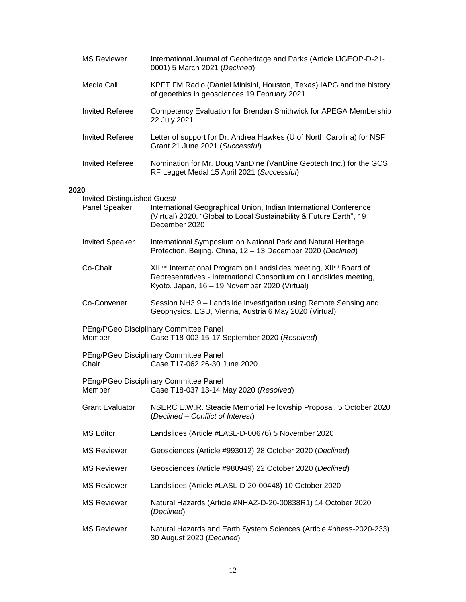|      | <b>MS Reviewer</b>                            | International Journal of Geoheritage and Parks (Article IJGEOP-D-21-<br>0001) 5 March 2021 (Declined)                                                                                    |
|------|-----------------------------------------------|------------------------------------------------------------------------------------------------------------------------------------------------------------------------------------------|
|      | Media Call                                    | KPFT FM Radio (Daniel Minisini, Houston, Texas) IAPG and the history<br>of geoethics in geosciences 19 February 2021                                                                     |
|      | <b>Invited Referee</b>                        | Competency Evaluation for Brendan Smithwick for APEGA Membership<br>22 July 2021                                                                                                         |
|      | <b>Invited Referee</b>                        | Letter of support for Dr. Andrea Hawkes (U of North Carolina) for NSF<br>Grant 21 June 2021 (Successful)                                                                                 |
|      | <b>Invited Referee</b>                        | Nomination for Mr. Doug VanDine (VanDine Geotech Inc.) for the GCS<br>RF Legget Medal 15 April 2021 (Successful)                                                                         |
| 2020 |                                               |                                                                                                                                                                                          |
|      | Invited Distinguished Guest/<br>Panel Speaker | International Geographical Union, Indian International Conference<br>(Virtual) 2020. "Global to Local Sustainability & Future Earth", 19<br>December 2020                                |
|      | <b>Invited Speaker</b>                        | International Symposium on National Park and Natural Heritage<br>Protection, Beijing, China, 12 - 13 December 2020 (Declined)                                                            |
|      | Co-Chair                                      | XIIInd International Program on Landslides meeting, XIInd Board of<br>Representatives - International Consortium on Landslides meeting,<br>Kyoto, Japan, 16 - 19 November 2020 (Virtual) |
|      | Co-Convener                                   | Session NH3.9 - Landslide investigation using Remote Sensing and<br>Geophysics. EGU, Vienna, Austria 6 May 2020 (Virtual)                                                                |
|      | Member                                        | PEng/PGeo Disciplinary Committee Panel<br>Case T18-002 15-17 September 2020 (Resolved)                                                                                                   |
|      | Chair                                         | PEng/PGeo Disciplinary Committee Panel<br>Case T17-062 26-30 June 2020                                                                                                                   |
|      |                                               | PEng/PGeo Disciplinary Committee Panel<br>Member Case T18-037 13-14 May 2020 (Resolved)                                                                                                  |
|      | <b>Grant Evaluator</b>                        | NSERC E.W.R. Steacie Memorial Fellowship Proposal. 5 October 2020<br>(Declined - Conflict of Interest)                                                                                   |
|      | <b>MS Editor</b>                              | Landslides (Article #LASL-D-00676) 5 November 2020                                                                                                                                       |
|      | <b>MS Reviewer</b>                            | Geosciences (Article #993012) 28 October 2020 (Declined)                                                                                                                                 |
|      | <b>MS Reviewer</b>                            | Geosciences (Article #980949) 22 October 2020 (Declined)                                                                                                                                 |
|      | <b>MS Reviewer</b>                            | Landslides (Article #LASL-D-20-00448) 10 October 2020                                                                                                                                    |
|      | <b>MS Reviewer</b>                            | Natural Hazards (Article #NHAZ-D-20-00838R1) 14 October 2020<br>(Declined)                                                                                                               |
|      | <b>MS Reviewer</b>                            | Natural Hazards and Earth System Sciences (Article #nhess-2020-233)<br>30 August 2020 (Declined)                                                                                         |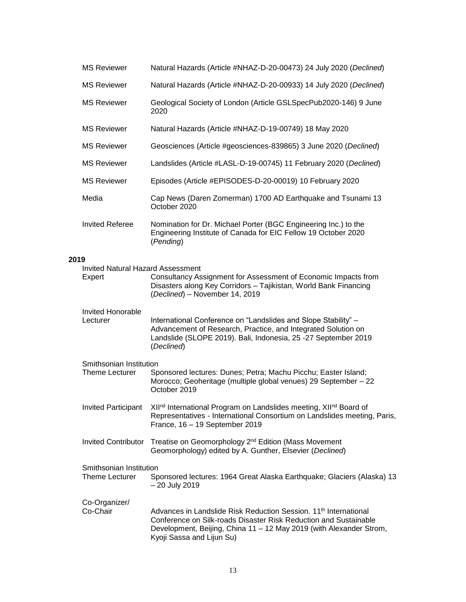|      | <b>MS Reviewer</b>                                 | Natural Hazards (Article #NHAZ-D-20-00473) 24 July 2020 (Declined)                                                                                                                                                                                   |
|------|----------------------------------------------------|------------------------------------------------------------------------------------------------------------------------------------------------------------------------------------------------------------------------------------------------------|
|      | <b>MS Reviewer</b>                                 | Natural Hazards (Article #NHAZ-D-20-00933) 14 July 2020 (Declined)                                                                                                                                                                                   |
|      | <b>MS Reviewer</b>                                 | Geological Society of London (Article GSLSpecPub2020-146) 9 June<br>2020                                                                                                                                                                             |
|      | <b>MS Reviewer</b>                                 | Natural Hazards (Article #NHAZ-D-19-00749) 18 May 2020                                                                                                                                                                                               |
|      | <b>MS Reviewer</b>                                 | Geosciences (Article #geosciences-839865) 3 June 2020 (Declined)                                                                                                                                                                                     |
|      | <b>MS Reviewer</b>                                 | Landslides (Article #LASL-D-19-00745) 11 February 2020 (Declined)                                                                                                                                                                                    |
|      | <b>MS Reviewer</b>                                 | Episodes (Article #EPISODES-D-20-00019) 10 February 2020                                                                                                                                                                                             |
|      | Media                                              | Cap News (Daren Zomerman) 1700 AD Earthquake and Tsunami 13<br>October 2020                                                                                                                                                                          |
|      | <b>Invited Referee</b>                             | Nomination for Dr. Michael Porter (BGC Engineering Inc.) to the<br>Engineering Institute of Canada for EIC Fellow 19 October 2020<br>(Pending)                                                                                                       |
| 2019 |                                                    |                                                                                                                                                                                                                                                      |
|      | <b>Invited Natural Hazard Assessment</b><br>Expert | Consultancy Assignment for Assessment of Economic Impacts from<br>Disasters along Key Corridors - Tajikistan, World Bank Financing<br>(Declined) - November 14, 2019                                                                                 |
|      | Invited Honorable<br>Lecturer                      | International Conference on "Landslides and Slope Stability" -<br>Advancement of Research, Practice, and Integrated Solution on<br>Landslide (SLOPE 2019). Bali, Indonesia, 25 -27 September 2019<br>(Declined)                                      |
|      | Smithsonian Institution                            |                                                                                                                                                                                                                                                      |
|      | <b>Theme Lecturer</b>                              | Sponsored lectures: Dunes; Petra; Machu Picchu; Easter Island;<br>Morocco; Geoheritage (multiple global venues) 29 September - 22<br>October 2019                                                                                                    |
|      | <b>Invited Participant</b>                         | XIInd International Program on Landslides meeting, XIInd Board of<br>Representatives - International Consortium on Landslides meeting, Paris,<br>France, 16 - 19 September 2019                                                                      |
|      | <b>Invited Contributor</b>                         | Treatise on Geomorphology 2 <sup>nd</sup> Edition (Mass Movement<br>Geomorphology) edited by A. Gunther, Elsevier (Declined)                                                                                                                         |
|      | Smithsonian Institution<br>Theme Lecturer          | Sponsored lectures: 1964 Great Alaska Earthquake; Glaciers (Alaska) 13<br>- 20 July 2019                                                                                                                                                             |
|      | Co-Organizer/<br>Co-Chair                          | Advances in Landslide Risk Reduction Session. 11 <sup>th</sup> International<br>Conference on Silk-roads Disaster Risk Reduction and Sustainable<br>Development, Beijing, China 11 - 12 May 2019 (with Alexander Strom,<br>Kyoji Sassa and Lijun Su) |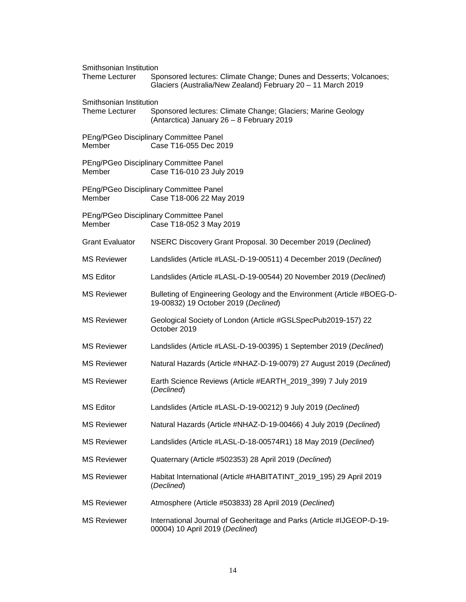| Smithsonian Institution<br><b>Theme Lecturer</b> | Sponsored lectures: Climate Change; Dunes and Desserts; Volcanoes;<br>Glaciers (Australia/New Zealand) February 20 - 11 March 2019 |  |  |
|--------------------------------------------------|------------------------------------------------------------------------------------------------------------------------------------|--|--|
| Smithsonian Institution<br><b>Theme Lecturer</b> | Sponsored lectures: Climate Change; Glaciers; Marine Geology<br>(Antarctica) January 26 - 8 February 2019                          |  |  |
| Member                                           | PEng/PGeo Disciplinary Committee Panel<br>Case T16-055 Dec 2019                                                                    |  |  |
| Member                                           | PEng/PGeo Disciplinary Committee Panel<br>Case T16-010 23 July 2019                                                                |  |  |
| Member                                           | PEng/PGeo Disciplinary Committee Panel<br>Case T18-006 22 May 2019                                                                 |  |  |
| Member                                           | PEng/PGeo Disciplinary Committee Panel<br>Case T18-052 3 May 2019                                                                  |  |  |
| <b>Grant Evaluator</b>                           | NSERC Discovery Grant Proposal. 30 December 2019 (Declined)                                                                        |  |  |
| <b>MS Reviewer</b>                               | Landslides (Article #LASL-D-19-00511) 4 December 2019 (Declined)                                                                   |  |  |
| <b>MS Editor</b>                                 | Landslides (Article #LASL-D-19-00544) 20 November 2019 (Declined)                                                                  |  |  |
| <b>MS Reviewer</b>                               | Bulleting of Engineering Geology and the Environment (Article #BOEG-D-<br>19-00832) 19 October 2019 (Declined)                     |  |  |
| <b>MS Reviewer</b>                               | Geological Society of London (Article #GSLSpecPub2019-157) 22<br>October 2019                                                      |  |  |
| <b>MS Reviewer</b>                               | Landslides (Article #LASL-D-19-00395) 1 September 2019 (Declined)                                                                  |  |  |
| <b>MS Reviewer</b>                               | Natural Hazards (Article #NHAZ-D-19-0079) 27 August 2019 (Declined)                                                                |  |  |
| <b>MS Reviewer</b>                               | Earth Science Reviews (Article #EARTH_2019_399) 7 July 2019<br>(Declined)                                                          |  |  |
| <b>MS Editor</b>                                 | Landslides (Article #LASL-D-19-00212) 9 July 2019 (Declined)                                                                       |  |  |
| <b>MS Reviewer</b>                               | Natural Hazards (Article #NHAZ-D-19-00466) 4 July 2019 (Declined)                                                                  |  |  |
| <b>MS Reviewer</b>                               | Landslides (Article #LASL-D-18-00574R1) 18 May 2019 (Declined)                                                                     |  |  |
| <b>MS Reviewer</b>                               | Quaternary (Article #502353) 28 April 2019 (Declined)                                                                              |  |  |
| <b>MS Reviewer</b>                               | Habitat International (Article #HABITATINT_2019_195) 29 April 2019<br>(Declined)                                                   |  |  |
| <b>MS Reviewer</b>                               | Atmosphere (Article #503833) 28 April 2019 (Declined)                                                                              |  |  |
| <b>MS Reviewer</b>                               | International Journal of Geoheritage and Parks (Article #IJGEOP-D-19-<br>00004) 10 April 2019 (Declined)                           |  |  |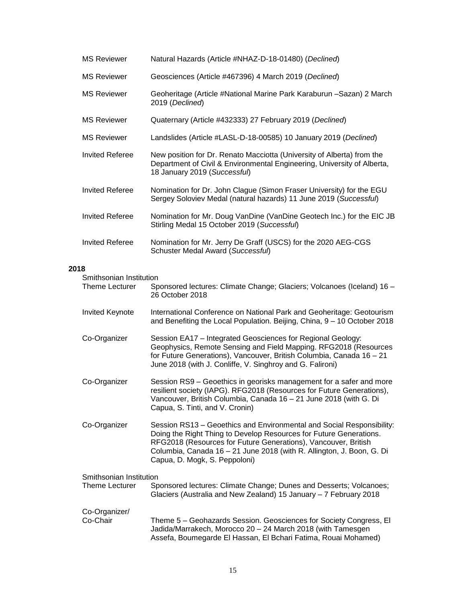|      | <b>MS Reviewer</b>                               | Natural Hazards (Article #NHAZ-D-18-01480) (Declined)                                                                                                                                                                                                                                                                   |
|------|--------------------------------------------------|-------------------------------------------------------------------------------------------------------------------------------------------------------------------------------------------------------------------------------------------------------------------------------------------------------------------------|
|      | <b>MS Reviewer</b>                               | Geosciences (Article #467396) 4 March 2019 (Declined)                                                                                                                                                                                                                                                                   |
|      | <b>MS Reviewer</b>                               | Geoheritage (Article #National Marine Park Karaburun -Sazan) 2 March<br>2019 (Declined)                                                                                                                                                                                                                                 |
|      | <b>MS Reviewer</b>                               | Quaternary (Article #432333) 27 February 2019 (Declined)                                                                                                                                                                                                                                                                |
|      | <b>MS Reviewer</b>                               | Landslides (Article #LASL-D-18-00585) 10 January 2019 (Declined)                                                                                                                                                                                                                                                        |
|      | <b>Invited Referee</b>                           | New position for Dr. Renato Macciotta (University of Alberta) from the<br>Department of Civil & Environmental Engineering, University of Alberta,<br>18 January 2019 (Successful)                                                                                                                                       |
|      | <b>Invited Referee</b>                           | Nomination for Dr. John Clague (Simon Fraser University) for the EGU<br>Sergey Soloviev Medal (natural hazards) 11 June 2019 (Successful)                                                                                                                                                                               |
|      | <b>Invited Referee</b>                           | Nomination for Mr. Doug VanDine (VanDine Geotech Inc.) for the EIC JB<br>Stirling Medal 15 October 2019 (Successful)                                                                                                                                                                                                    |
|      | <b>Invited Referee</b>                           | Nomination for Mr. Jerry De Graff (USCS) for the 2020 AEG-CGS<br>Schuster Medal Award (Successful)                                                                                                                                                                                                                      |
| 2018 |                                                  |                                                                                                                                                                                                                                                                                                                         |
|      | Smithsonian Institution<br>Theme Lecturer        | Sponsored lectures: Climate Change; Glaciers; Volcanoes (Iceland) 16 -<br>26 October 2018                                                                                                                                                                                                                               |
|      | Invited Keynote                                  | International Conference on National Park and Geoheritage: Geotourism<br>and Benefiting the Local Population. Beijing, China, 9 - 10 October 2018                                                                                                                                                                       |
|      | Co-Organizer                                     | Session EA17 - Integrated Geosciences for Regional Geology:<br>Geophysics, Remote Sensing and Field Mapping. RFG2018 (Resources<br>for Future Generations), Vancouver, British Columbia, Canada 16 - 21<br>June 2018 (with J. Conliffe, V. Singhroy and G. Falironi)                                                    |
|      | Co-Organizer                                     | Session RS9 - Geoethics in georisks management for a safer and more<br>resilient society (IAPG). RFG2018 (Resources for Future Generations),<br>Vancouver, British Columbia, Canada 16 - 21 June 2018 (with G. Di<br>Capua, S. Tinti, and V. Cronin)                                                                    |
|      | Co-Organizer                                     | Session RS13 - Geoethics and Environmental and Social Responsibility:<br>Doing the Right Thing to Develop Resources for Future Generations.<br>RFG2018 (Resources for Future Generations), Vancouver, British<br>Columbia, Canada 16 - 21 June 2018 (with R. Allington, J. Boon, G. Di<br>Capua, D. Mogk, S. Peppoloni) |
|      | Smithsonian Institution<br><b>Theme Lecturer</b> | Sponsored lectures: Climate Change; Dunes and Desserts; Volcanoes;<br>Glaciers (Australia and New Zealand) 15 January - 7 February 2018                                                                                                                                                                                 |
|      | Co-Organizer/<br>Co-Chair                        | Theme 5 - Geohazards Session. Geosciences for Society Congress, El<br>Jadida/Marrakech, Morocco 20 - 24 March 2018 (with Tamesgen<br>Assefa, Boumegarde El Hassan, El Bchari Fatima, Rouai Mohamed)                                                                                                                     |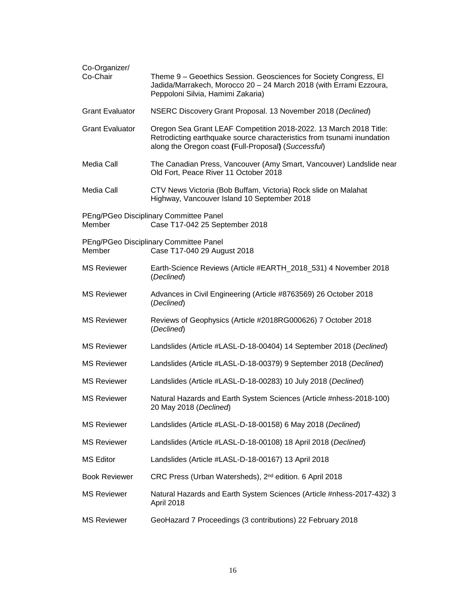| Co-Organizer/<br>Co-Chair | Theme 9 - Geoethics Session. Geosciences for Society Congress, El<br>Jadida/Marrakech, Morocco 20 - 24 March 2018 (with Errami Ezzoura,<br>Peppoloni Silvia, Hamimi Zakaria)                       |
|---------------------------|----------------------------------------------------------------------------------------------------------------------------------------------------------------------------------------------------|
| <b>Grant Evaluator</b>    | NSERC Discovery Grant Proposal. 13 November 2018 (Declined)                                                                                                                                        |
| <b>Grant Evaluator</b>    | Oregon Sea Grant LEAF Competition 2018-2022. 13 March 2018 Title:<br>Retrodicting earthquake source characteristics from tsunami inundation<br>along the Oregon coast (Full-Proposal) (Successful) |
| Media Call                | The Canadian Press, Vancouver (Amy Smart, Vancouver) Landslide near<br>Old Fort, Peace River 11 October 2018                                                                                       |
| Media Call                | CTV News Victoria (Bob Buffam, Victoria) Rock slide on Malahat<br>Highway, Vancouver Island 10 September 2018                                                                                      |
| Member                    | PEng/PGeo Disciplinary Committee Panel<br>Case T17-042 25 September 2018                                                                                                                           |
| Member                    | PEng/PGeo Disciplinary Committee Panel<br>Case T17-040 29 August 2018                                                                                                                              |
| <b>MS Reviewer</b>        | Earth-Science Reviews (Article #EARTH_2018_531) 4 November 2018<br>(Declined)                                                                                                                      |
| <b>MS Reviewer</b>        | Advances in Civil Engineering (Article #8763569) 26 October 2018<br>(Declined)                                                                                                                     |
| <b>MS Reviewer</b>        | Reviews of Geophysics (Article #2018RG000626) 7 October 2018<br>(Declined)                                                                                                                         |
| <b>MS Reviewer</b>        | Landslides (Article #LASL-D-18-00404) 14 September 2018 (Declined)                                                                                                                                 |
| <b>MS Reviewer</b>        | Landslides (Article #LASL-D-18-00379) 9 September 2018 (Declined)                                                                                                                                  |
| <b>MS Reviewer</b>        | Landslides (Article #LASL-D-18-00283) 10 July 2018 (Declined)                                                                                                                                      |
| <b>MS Reviewer</b>        | Natural Hazards and Earth System Sciences (Article #nhess-2018-100)<br>20 May 2018 (Declined)                                                                                                      |
| <b>MS Reviewer</b>        | Landslides (Article #LASL-D-18-00158) 6 May 2018 (Declined)                                                                                                                                        |
| <b>MS Reviewer</b>        | Landslides (Article #LASL-D-18-00108) 18 April 2018 (Declined)                                                                                                                                     |
| <b>MS Editor</b>          | Landslides (Article #LASL-D-18-00167) 13 April 2018                                                                                                                                                |
| <b>Book Reviewer</b>      | CRC Press (Urban Watersheds), 2 <sup>nd</sup> edition. 6 April 2018                                                                                                                                |
| <b>MS Reviewer</b>        | Natural Hazards and Earth System Sciences (Article #nhess-2017-432) 3<br>April 2018                                                                                                                |
| <b>MS Reviewer</b>        | GeoHazard 7 Proceedings (3 contributions) 22 February 2018                                                                                                                                         |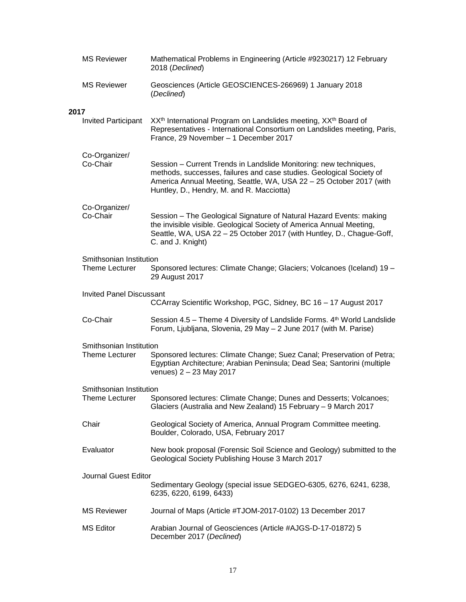|      | <b>MS Reviewer</b>                               | Mathematical Problems in Engineering (Article #9230217) 12 February<br>2018 (Declined)                                                                                                                                                                        |
|------|--------------------------------------------------|---------------------------------------------------------------------------------------------------------------------------------------------------------------------------------------------------------------------------------------------------------------|
|      | <b>MS Reviewer</b>                               | Geosciences (Article GEOSCIENCES-266969) 1 January 2018<br>(Declined)                                                                                                                                                                                         |
| 2017 |                                                  |                                                                                                                                                                                                                                                               |
|      | <b>Invited Participant</b>                       | XX <sup>th</sup> International Program on Landslides meeting, XX <sup>th</sup> Board of<br>Representatives - International Consortium on Landslides meeting, Paris,<br>France, 29 November - 1 December 2017                                                  |
|      | Co-Organizer/<br>Co-Chair                        | Session - Current Trends in Landslide Monitoring: new techniques,<br>methods, successes, failures and case studies. Geological Society of<br>America Annual Meeting, Seattle, WA, USA 22 - 25 October 2017 (with<br>Huntley, D., Hendry, M. and R. Macciotta) |
|      | Co-Organizer/<br>Co-Chair                        | Session - The Geological Signature of Natural Hazard Events: making<br>the invisible visible. Geological Society of America Annual Meeting,<br>Seattle, WA, USA 22 - 25 October 2017 (with Huntley, D., Chague-Goff,<br>C. and J. Knight)                     |
|      | Smithsonian Institution<br><b>Theme Lecturer</b> | Sponsored lectures: Climate Change; Glaciers; Volcanoes (Iceland) 19 -<br>29 August 2017                                                                                                                                                                      |
|      | <b>Invited Panel Discussant</b>                  | CCArray Scientific Workshop, PGC, Sidney, BC 16 - 17 August 2017                                                                                                                                                                                              |
|      | Co-Chair                                         | Session 4.5 – Theme 4 Diversity of Landslide Forms. 4 <sup>th</sup> World Landslide<br>Forum, Ljubljana, Slovenia, 29 May - 2 June 2017 (with M. Parise)                                                                                                      |
|      | Smithsonian Institution                          |                                                                                                                                                                                                                                                               |
|      | <b>Theme Lecturer</b>                            | Sponsored lectures: Climate Change; Suez Canal; Preservation of Petra;<br>Egyptian Architecture; Arabian Peninsula; Dead Sea; Santorini (multiple<br>venues) 2 - 23 May 2017                                                                                  |
|      | Smithsonian Institution<br>Theme Lecturer        | Sponsored lectures: Climate Change; Dunes and Desserts; Volcanoes;<br>Glaciers (Australia and New Zealand) 15 February - 9 March 2017                                                                                                                         |
|      | Chair                                            | Geological Society of America, Annual Program Committee meeting.<br>Boulder, Colorado, USA, February 2017                                                                                                                                                     |
|      | Evaluator                                        | New book proposal (Forensic Soil Science and Geology) submitted to the<br>Geological Society Publishing House 3 March 2017                                                                                                                                    |
|      | Journal Guest Editor                             | Sedimentary Geology (special issue SEDGEO-6305, 6276, 6241, 6238,<br>6235, 6220, 6199, 6433)                                                                                                                                                                  |
|      | <b>MS Reviewer</b>                               | Journal of Maps (Article #TJOM-2017-0102) 13 December 2017                                                                                                                                                                                                    |
|      | <b>MS Editor</b>                                 | Arabian Journal of Geosciences (Article #AJGS-D-17-01872) 5<br>December 2017 (Declined)                                                                                                                                                                       |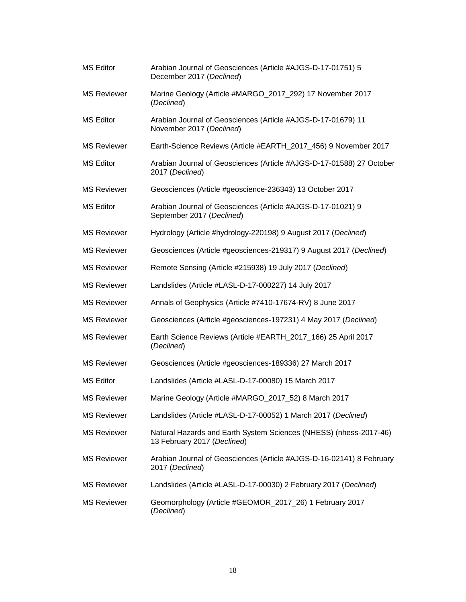| MS Editor          | Arabian Journal of Geosciences (Article #AJGS-D-17-01751) 5<br>December 2017 (Declined)          |
|--------------------|--------------------------------------------------------------------------------------------------|
| <b>MS Reviewer</b> | Marine Geology (Article #MARGO_2017_292) 17 November 2017<br>(Declined)                          |
| <b>MS Editor</b>   | Arabian Journal of Geosciences (Article #AJGS-D-17-01679) 11<br>November 2017 (Declined)         |
| <b>MS Reviewer</b> | Earth-Science Reviews (Article #EARTH_2017_456) 9 November 2017                                  |
| <b>MS Editor</b>   | Arabian Journal of Geosciences (Article #AJGS-D-17-01588) 27 October<br>2017 (Declined)          |
| <b>MS Reviewer</b> | Geosciences (Article #geoscience-236343) 13 October 2017                                         |
| <b>MS Editor</b>   | Arabian Journal of Geosciences (Article #AJGS-D-17-01021) 9<br>September 2017 (Declined)         |
| <b>MS Reviewer</b> | Hydrology (Article #hydrology-220198) 9 August 2017 (Declined)                                   |
| <b>MS Reviewer</b> | Geosciences (Article #geosciences-219317) 9 August 2017 (Declined)                               |
| <b>MS Reviewer</b> | Remote Sensing (Article #215938) 19 July 2017 (Declined)                                         |
| <b>MS Reviewer</b> | Landslides (Article #LASL-D-17-000227) 14 July 2017                                              |
| <b>MS Reviewer</b> | Annals of Geophysics (Article #7410-17674-RV) 8 June 2017                                        |
| <b>MS Reviewer</b> | Geosciences (Article #geosciences-197231) 4 May 2017 (Declined)                                  |
| <b>MS Reviewer</b> | Earth Science Reviews (Article #EARTH_2017_166) 25 April 2017<br>(Declined)                      |
| <b>MS Reviewer</b> | Geosciences (Article #geosciences-189336) 27 March 2017                                          |
| <b>MS Editor</b>   | Landslides (Article #LASL-D-17-00080) 15 March 2017                                              |
| <b>MS Reviewer</b> | Marine Geology (Article #MARGO_2017_52) 8 March 2017                                             |
| <b>MS Reviewer</b> | Landslides (Article #LASL-D-17-00052) 1 March 2017 (Declined)                                    |
| <b>MS Reviewer</b> | Natural Hazards and Earth System Sciences (NHESS) (nhess-2017-46)<br>13 February 2017 (Declined) |
| <b>MS Reviewer</b> | Arabian Journal of Geosciences (Article #AJGS-D-16-02141) 8 February<br>2017 (Declined)          |
| <b>MS Reviewer</b> | Landslides (Article #LASL-D-17-00030) 2 February 2017 (Declined)                                 |
| <b>MS Reviewer</b> | Geomorphology (Article #GEOMOR_2017_26) 1 February 2017<br>(Declined)                            |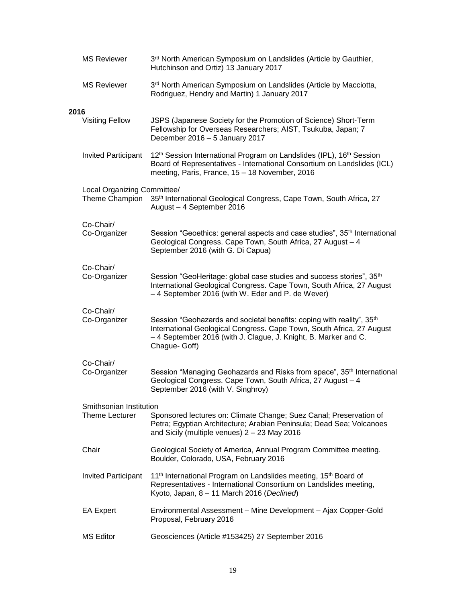|      | <b>MS Reviewer</b>                            | 3rd North American Symposium on Landslides (Article by Gauthier,<br>Hutchinson and Ortiz) 13 January 2017                                                                                                                                      |
|------|-----------------------------------------------|------------------------------------------------------------------------------------------------------------------------------------------------------------------------------------------------------------------------------------------------|
|      | <b>MS Reviewer</b>                            | 3rd North American Symposium on Landslides (Article by Macciotta,<br>Rodriguez, Hendry and Martin) 1 January 2017                                                                                                                              |
| 2016 |                                               |                                                                                                                                                                                                                                                |
|      | <b>Visiting Fellow</b>                        | JSPS (Japanese Society for the Promotion of Science) Short-Term<br>Fellowship for Overseas Researchers; AIST, Tsukuba, Japan; 7<br>December 2016 - 5 January 2017                                                                              |
|      | <b>Invited Participant</b>                    | 12 <sup>th</sup> Session International Program on Landslides (IPL), 16 <sup>th</sup> Session<br>Board of Representatives - International Consortium on Landslides (ICL)<br>meeting, Paris, France, 15 - 18 November, 2016                      |
|      | Local Organizing Committee/<br>Theme Champion | 35th International Geological Congress, Cape Town, South Africa, 27<br>August - 4 September 2016                                                                                                                                               |
|      | Co-Chair/<br>Co-Organizer                     | Session "Geoethics: general aspects and case studies", 35 <sup>th</sup> International<br>Geological Congress. Cape Town, South Africa, 27 August - 4<br>September 2016 (with G. Di Capua)                                                      |
|      | Co-Chair/<br>Co-Organizer                     | Session "GeoHeritage: global case studies and success stories", 35 <sup>th</sup><br>International Geological Congress. Cape Town, South Africa, 27 August<br>-4 September 2016 (with W. Eder and P. de Wever)                                  |
|      | Co-Chair/<br>Co-Organizer                     | Session "Geohazards and societal benefits: coping with reality", 35 <sup>th</sup><br>International Geological Congress. Cape Town, South Africa, 27 August<br>- 4 September 2016 (with J. Clague, J. Knight, B. Marker and C.<br>Chague- Goff) |
|      | Co-Chair/<br>Co-Organizer                     | Session "Managing Geohazards and Risks from space", 35 <sup>th</sup> International<br>Geological Congress. Cape Town, South Africa, 27 August - 4<br>September 2016 (with V. Singhroy)                                                         |
|      | Smithsonian Institution                       |                                                                                                                                                                                                                                                |
|      | <b>Theme Lecturer</b>                         | Sponsored lectures on: Climate Change; Suez Canal; Preservation of<br>Petra; Egyptian Architecture; Arabian Peninsula; Dead Sea; Volcanoes<br>and Sicily (multiple venues) $2 - 23$ May 2016                                                   |
|      | Chair                                         | Geological Society of America, Annual Program Committee meeting.<br>Boulder, Colorado, USA, February 2016                                                                                                                                      |
|      | <b>Invited Participant</b>                    | 11 <sup>th</sup> International Program on Landslides meeting, 15 <sup>th</sup> Board of<br>Representatives - International Consortium on Landslides meeting,<br>Kyoto, Japan, 8 - 11 March 2016 (Declined)                                     |
|      | <b>EA Expert</b>                              | Environmental Assessment - Mine Development - Ajax Copper-Gold<br>Proposal, February 2016                                                                                                                                                      |
|      | <b>MS Editor</b>                              | Geosciences (Article #153425) 27 September 2016                                                                                                                                                                                                |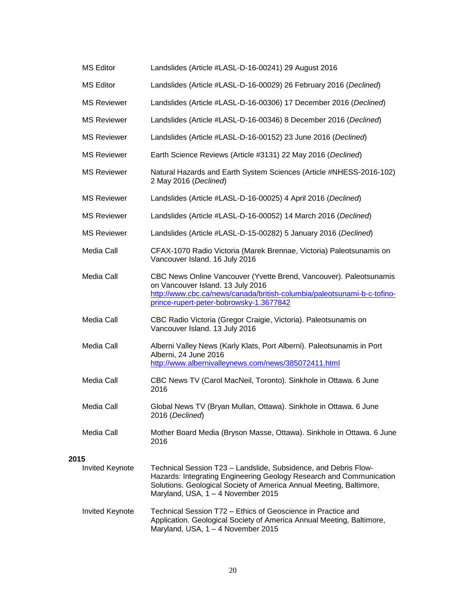| MS Editor | Landslides (Article #LASL-D-16-00241) 29 August 2016 |
|-----------|------------------------------------------------------|
|-----------|------------------------------------------------------|

- MS Editor Landslides (Article #LASL-D-16-00029) 26 February 2016 (*Declined*)
- MS Reviewer Landslides (Article #LASL-D-16-00306) 17 December 2016 (*Declined*)
- MS Reviewer Landslides (Article #LASL-D-16-00346) 8 December 2016 (*Declined*)
- MS Reviewer Landslides (Article #LASL-D-16-00152) 23 June 2016 (*Declined*)
- MS Reviewer Earth Science Reviews (Article #3131) 22 May 2016 (*Declined*)
- MS Reviewer Natural Hazards and Earth System Sciences (Article #NHESS-2016-102) 2 May 2016 (*Declined*)
- MS Reviewer Landslides (Article #LASL-D-16-00025) 4 April 2016 (*Declined*)
- MS Reviewer Landslides (Article #LASL-D-16-00052) 14 March 2016 (*Declined*)
- MS Reviewer Landslides (Article #LASL-D-15-00282) 5 January 2016 (*Declined*)
- Media Call CFAX-1070 Radio Victoria (Marek Brennae, Victoria) Paleotsunamis on Vancouver Island. 16 July 2016
- Media Call CBC News Online Vancouver (Yvette Brend, Vancouver). Paleotsunamis on Vancouver Island. 13 July 2016 [http://www.cbc.ca/news/canada/british-columbia/paleotsunami-b-c-tofino](http://www.cbc.ca/news/canada/british-columbia/paleotsunami-b-c-tofino-prince-rupert-peter-bobrowsky-1.3677842)[prince-rupert-peter-bobrowsky-1.3677842](http://www.cbc.ca/news/canada/british-columbia/paleotsunami-b-c-tofino-prince-rupert-peter-bobrowsky-1.3677842)
- Media Call CBC Radio Victoria (Gregor Craigie, Victoria). Paleotsunamis on Vancouver Island. 13 July 2016
- Media Call Alberni Valley News (Karly Klats, Port Alberni). Paleotsunamis in Port Alberni, 24 June 2016 <http://www.albernivalleynews.com/news/385072411.html>
- Media Call CBC News TV (Carol MacNeil, Toronto). Sinkhole in Ottawa. 6 June 2016
- Media Call Global News TV (Bryan Mullan, Ottawa). Sinkhole in Ottawa. 6 June 2016 (*Declined*)
- Media Call Mother Board Media (Bryson Masse, Ottawa). Sinkhole in Ottawa. 6 June 2016

### **2015**

- Invited Keynote Technical Session T23 Landslide, Subsidence, and Debris Flow-Hazards: Integrating Engineering Geology Research and Communication Solutions. Geological Society of America Annual Meeting, Baltimore, Maryland, USA, 1 – 4 November 2015
- Invited Keynote Technical Session T72 Ethics of Geoscience in Practice and Application. Geological Society of America Annual Meeting, Baltimore, Maryland, USA, 1 – 4 November 2015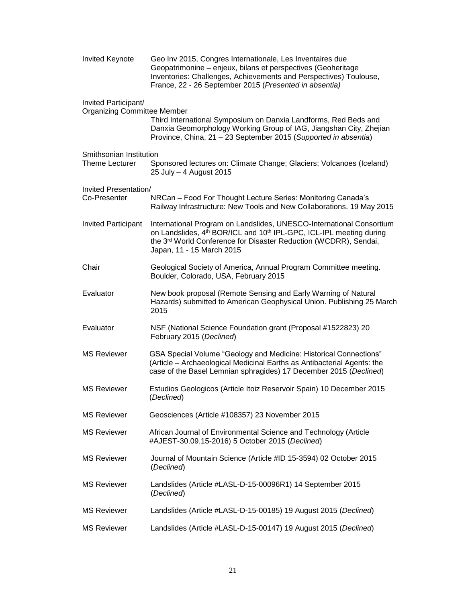| Invited Keynote                                            | Geo Inv 2015, Congres Internationale, Les Inventaires due<br>Geopatrimonine - enjeux, bilans et perspectives (Geoheritage<br>Inventories: Challenges, Achievements and Perspectives) Toulouse,<br>France, 22 - 26 September 2015 (Presented in absentia)             |
|------------------------------------------------------------|----------------------------------------------------------------------------------------------------------------------------------------------------------------------------------------------------------------------------------------------------------------------|
| Invited Participant/<br><b>Organizing Committee Member</b> | Third International Symposium on Danxia Landforms, Red Beds and<br>Danxia Geomorphology Working Group of IAG, Jiangshan City, Zhejian<br>Province, China, 21 - 23 September 2015 (Supported in absentia)                                                             |
| Smithsonian Institution<br><b>Theme Lecturer</b>           | Sponsored lectures on: Climate Change; Glaciers; Volcanoes (Iceland)<br>25 July - 4 August 2015                                                                                                                                                                      |
| Invited Presentation/<br>Co-Presenter                      | NRCan - Food For Thought Lecture Series: Monitoring Canada's<br>Railway Infrastructure: New Tools and New Collaborations. 19 May 2015                                                                                                                                |
| <b>Invited Participant</b>                                 | International Program on Landslides, UNESCO-International Consortium<br>on Landslides, 4 <sup>th</sup> BOR/ICL and 10 <sup>th</sup> IPL-GPC, ICL-IPL meeting during<br>the 3rd World Conference for Disaster Reduction (WCDRR), Sendai,<br>Japan, 11 - 15 March 2015 |
| Chair                                                      | Geological Society of America, Annual Program Committee meeting.<br>Boulder, Colorado, USA, February 2015                                                                                                                                                            |
| Evaluator                                                  | New book proposal (Remote Sensing and Early Warning of Natural<br>Hazards) submitted to American Geophysical Union. Publishing 25 March<br>2015                                                                                                                      |
| Evaluator                                                  | NSF (National Science Foundation grant (Proposal #1522823) 20<br>February 2015 (Declined)                                                                                                                                                                            |
| <b>MS Reviewer</b>                                         | GSA Special Volume "Geology and Medicine: Historical Connections"<br>(Article – Archaeological Medicinal Earths as Antibacterial Agents: the<br>case of the Basel Lemnian sphragides) 17 December 2015 (Declined)                                                    |
| <b>MS Reviewer</b>                                         | Estudios Geologicos (Article Itoiz Reservoir Spain) 10 December 2015<br>(Declined)                                                                                                                                                                                   |
| <b>MS Reviewer</b>                                         | Geosciences (Article #108357) 23 November 2015                                                                                                                                                                                                                       |
| <b>MS Reviewer</b>                                         | African Journal of Environmental Science and Technology (Article<br>#AJEST-30.09.15-2016) 5 October 2015 (Declined)                                                                                                                                                  |
| <b>MS Reviewer</b>                                         | Journal of Mountain Science (Article #ID 15-3594) 02 October 2015<br>(Declined)                                                                                                                                                                                      |
| <b>MS Reviewer</b>                                         | Landslides (Article #LASL-D-15-00096R1) 14 September 2015<br>(Declined)                                                                                                                                                                                              |
| <b>MS Reviewer</b>                                         | Landslides (Article #LASL-D-15-00185) 19 August 2015 (Declined)                                                                                                                                                                                                      |
| <b>MS Reviewer</b>                                         | Landslides (Article #LASL-D-15-00147) 19 August 2015 (Declined)                                                                                                                                                                                                      |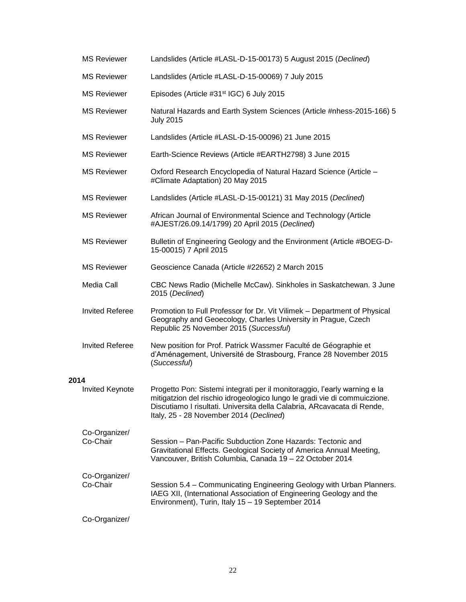|      | <b>MS Reviewer</b>        | Landslides (Article #LASL-D-15-00173) 5 August 2015 (Declined)                                                                                                                                                                                                               |
|------|---------------------------|------------------------------------------------------------------------------------------------------------------------------------------------------------------------------------------------------------------------------------------------------------------------------|
|      | <b>MS Reviewer</b>        | Landslides (Article #LASL-D-15-00069) 7 July 2015                                                                                                                                                                                                                            |
|      | <b>MS Reviewer</b>        | Episodes (Article #31 <sup>st</sup> IGC) 6 July 2015                                                                                                                                                                                                                         |
|      | <b>MS Reviewer</b>        | Natural Hazards and Earth System Sciences (Article #nhess-2015-166) 5<br><b>July 2015</b>                                                                                                                                                                                    |
|      | <b>MS Reviewer</b>        | Landslides (Article #LASL-D-15-00096) 21 June 2015                                                                                                                                                                                                                           |
|      | <b>MS Reviewer</b>        | Earth-Science Reviews (Article #EARTH2798) 3 June 2015                                                                                                                                                                                                                       |
|      | <b>MS Reviewer</b>        | Oxford Research Encyclopedia of Natural Hazard Science (Article -<br>#Climate Adaptation) 20 May 2015                                                                                                                                                                        |
|      | <b>MS Reviewer</b>        | Landslides (Article #LASL-D-15-00121) 31 May 2015 (Declined)                                                                                                                                                                                                                 |
|      | <b>MS Reviewer</b>        | African Journal of Environmental Science and Technology (Article<br>#AJEST/26.09.14/1799) 20 April 2015 (Declined)                                                                                                                                                           |
|      | <b>MS Reviewer</b>        | Bulletin of Engineering Geology and the Environment (Article #BOEG-D-<br>15-00015) 7 April 2015                                                                                                                                                                              |
|      | <b>MS Reviewer</b>        | Geoscience Canada (Article #22652) 2 March 2015                                                                                                                                                                                                                              |
|      | Media Call                | CBC News Radio (Michelle McCaw). Sinkholes in Saskatchewan. 3 June<br>2015 (Declined)                                                                                                                                                                                        |
|      | <b>Invited Referee</b>    | Promotion to Full Professor for Dr. Vit Vilimek - Department of Physical<br>Geography and Geoecology, Charles University in Prague, Czech<br>Republic 25 November 2015 (Successful)                                                                                          |
|      | <b>Invited Referee</b>    | New position for Prof. Patrick Wassmer Faculté de Géographie et<br>d'Aménagement, Université de Strasbourg, France 28 November 2015<br>(Successful)                                                                                                                          |
| 2014 |                           |                                                                                                                                                                                                                                                                              |
|      | <b>Invited Keynote</b>    | Progetto Pon: Sistemi integrati per il monitoraggio, l'early warning e la<br>mitigatzion del rischio idrogeologico lungo le gradi vie di commuiczione.<br>Discutiamo I risultati. Universita della Calabria, ARcavacata di Rende,<br>Italy, 25 - 28 November 2014 (Declined) |
|      | Co-Organizer/<br>Co-Chair | Session – Pan-Pacific Subduction Zone Hazards: Tectonic and<br>Gravitational Effects. Geological Society of America Annual Meeting,<br>Vancouver, British Columbia, Canada 19 - 22 October 2014                                                                              |
|      | Co-Organizer/<br>Co-Chair | Session 5.4 - Communicating Engineering Geology with Urban Planners.<br>IAEG XII, (International Association of Engineering Geology and the<br>Environment), Turin, Italy 15 - 19 September 2014                                                                             |
|      | Co-Organizer/             |                                                                                                                                                                                                                                                                              |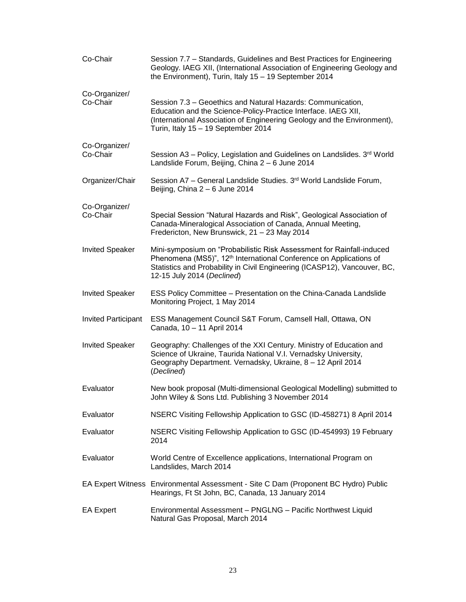| Co-Chair                   | Session 7.7 - Standards, Guidelines and Best Practices for Engineering<br>Geology. IAEG XII, (International Association of Engineering Geology and<br>the Environment), Turin, Italy 15 - 19 September 2014                                                        |
|----------------------------|--------------------------------------------------------------------------------------------------------------------------------------------------------------------------------------------------------------------------------------------------------------------|
| Co-Organizer/<br>Co-Chair  | Session 7.3 – Geoethics and Natural Hazards: Communication,<br>Education and the Science-Policy-Practice Interface. IAEG XII,<br>(International Association of Engineering Geology and the Environment),<br>Turin, Italy 15 - 19 September 2014                    |
| Co-Organizer/<br>Co-Chair  | Session A3 - Policy, Legislation and Guidelines on Landslides. 3rd World<br>Landslide Forum, Beijing, China 2 - 6 June 2014                                                                                                                                        |
| Organizer/Chair            | Session A7 - General Landslide Studies. 3rd World Landslide Forum,<br>Beijing, China 2 - 6 June 2014                                                                                                                                                               |
| Co-Organizer/<br>Co-Chair  | Special Session "Natural Hazards and Risk", Geological Association of<br>Canada-Mineralogical Association of Canada, Annual Meeting,<br>Fredericton, New Brunswick, 21 - 23 May 2014                                                                               |
| <b>Invited Speaker</b>     | Mini-symposium on "Probabilistic Risk Assessment for Rainfall-induced<br>Phenomena (MS5)", 12 <sup>th</sup> International Conference on Applications of<br>Statistics and Probability in Civil Engineering (ICASP12), Vancouver, BC,<br>12-15 July 2014 (Declined) |
| <b>Invited Speaker</b>     | ESS Policy Committee - Presentation on the China-Canada Landslide<br>Monitoring Project, 1 May 2014                                                                                                                                                                |
| <b>Invited Participant</b> | ESS Management Council S&T Forum, Camsell Hall, Ottawa, ON<br>Canada, 10 - 11 April 2014                                                                                                                                                                           |
| <b>Invited Speaker</b>     | Geography: Challenges of the XXI Century. Ministry of Education and<br>Science of Ukraine, Taurida National V.I. Vernadsky University,<br>Geography Department. Vernadsky, Ukraine, 8 - 12 April 2014<br>(Declined)                                                |
| Evaluator                  | New book proposal (Multi-dimensional Geological Modelling) submitted to<br>John Wiley & Sons Ltd. Publishing 3 November 2014                                                                                                                                       |
| Evaluator                  | NSERC Visiting Fellowship Application to GSC (ID-458271) 8 April 2014                                                                                                                                                                                              |
| Evaluator                  | NSERC Visiting Fellowship Application to GSC (ID-454993) 19 February<br>2014                                                                                                                                                                                       |
| Evaluator                  | World Centre of Excellence applications, International Program on<br>Landslides, March 2014                                                                                                                                                                        |
|                            | EA Expert Witness Environmental Assessment - Site C Dam (Proponent BC Hydro) Public<br>Hearings, Ft St John, BC, Canada, 13 January 2014                                                                                                                           |
| <b>EA Expert</b>           | Environmental Assessment - PNGLNG - Pacific Northwest Liquid<br>Natural Gas Proposal, March 2014                                                                                                                                                                   |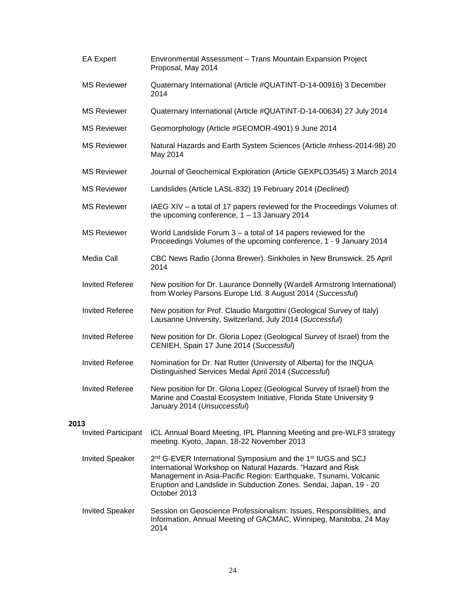|      | <b>EA Expert</b>           | Environmental Assessment - Trans Mountain Expansion Project<br>Proposal, May 2014                                                                                                                                                                                                                            |
|------|----------------------------|--------------------------------------------------------------------------------------------------------------------------------------------------------------------------------------------------------------------------------------------------------------------------------------------------------------|
|      | <b>MS Reviewer</b>         | Quaternary International (Article #QUATINT-D-14-00916) 3 December<br>2014                                                                                                                                                                                                                                    |
|      | <b>MS Reviewer</b>         | Quaternary International (Article #QUATINT-D-14-00634) 27 July 2014                                                                                                                                                                                                                                          |
|      | <b>MS Reviewer</b>         | Geomorphology (Article #GEOMOR-4901) 9 June 2014                                                                                                                                                                                                                                                             |
|      | <b>MS Reviewer</b>         | Natural Hazards and Earth System Sciences (Article #nhess-2014-98) 20<br>May 2014                                                                                                                                                                                                                            |
|      | <b>MS Reviewer</b>         | Journal of Geochemical Exploration (Article GEXPLO3545) 3 March 2014                                                                                                                                                                                                                                         |
|      | <b>MS Reviewer</b>         | Landslides (Article LASL-832) 19 February 2014 (Declined)                                                                                                                                                                                                                                                    |
|      | <b>MS Reviewer</b>         | IAEG XIV - a total of 17 papers reviewed for the Proceedings Volumes of<br>the upcoming conference, $1 - 13$ January 2014                                                                                                                                                                                    |
|      | <b>MS Reviewer</b>         | World Landslide Forum $3 - a$ total of 14 papers reviewed for the<br>Proceedings Volumes of the upcoming conference, 1 - 9 January 2014                                                                                                                                                                      |
|      | Media Call                 | CBC News Radio (Jonna Brewer). Sinkholes in New Brunswick. 25 April<br>2014                                                                                                                                                                                                                                  |
|      | <b>Invited Referee</b>     | New position for Dr. Laurance Donnelly (Wardell Armstrong International)<br>from Worley Parsons Europe Ltd. 8 August 2014 (Successful)                                                                                                                                                                       |
|      | <b>Invited Referee</b>     | New position for Prof. Claudio Margottini (Geological Survey of Italy)<br>Lausanne University, Switzerland, July 2014 (Successful)                                                                                                                                                                           |
|      | <b>Invited Referee</b>     | New position for Dr. Gloria Lopez (Geological Survey of Israel) from the<br>CENIEH, Spain 17 June 2014 (Successful)                                                                                                                                                                                          |
|      | <b>Invited Referee</b>     | Nomination for Dr. Nat Rutter (University of Alberta) for the INQUA<br>Distinguished Services Medal April 2014 (Successful)                                                                                                                                                                                  |
|      | <b>Invited Referee</b>     | New position for Dr. Gloria Lopez (Geological Survey of Israel) from the<br>Marine and Coastal Ecosystem Initiative, Florida State University 9<br>January 2014 (Unsuccessful)                                                                                                                               |
| 2013 |                            |                                                                                                                                                                                                                                                                                                              |
|      | <b>Invited Participant</b> | ICL Annual Board Meeting, IPL Planning Meeting and pre-WLF3 strategy<br>meeting. Kyoto, Japan, 18-22 November 2013                                                                                                                                                                                           |
|      | <b>Invited Speaker</b>     | 2 <sup>nd</sup> G-EVER International Symposium and the 1 <sup>st</sup> IUGS and SCJ<br>International Workshop on Natural Hazards. "Hazard and Risk<br>Management in Asia-Pacific Region: Earthquake, Tsunami, Volcanic<br>Eruption and Landslide in Subduction Zones. Sendai, Japan, 19 - 20<br>October 2013 |
|      | <b>Invited Speaker</b>     | Session on Geoscience Professionalism: Issues, Responsibilities, and<br>Information, Annual Meeting of GACMAC, Winnipeg, Manitoba, 24 May<br>2014                                                                                                                                                            |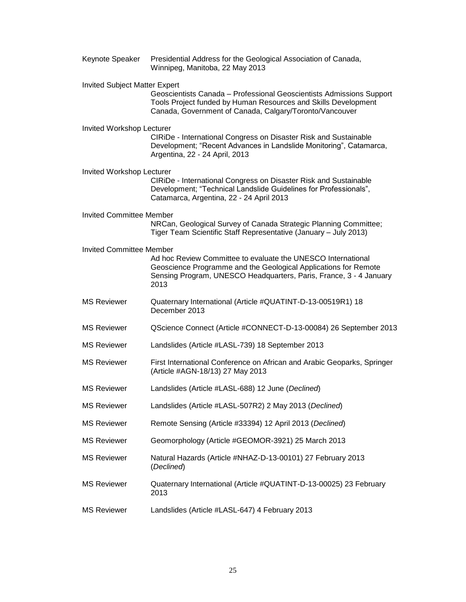| Keynote Speaker                      | Presidential Address for the Geological Association of Canada,<br>Winnipeg, Manitoba, 22 May 2013                                                                                                             |
|--------------------------------------|---------------------------------------------------------------------------------------------------------------------------------------------------------------------------------------------------------------|
| <b>Invited Subject Matter Expert</b> | Geoscientists Canada - Professional Geoscientists Admissions Support<br>Tools Project funded by Human Resources and Skills Development<br>Canada, Government of Canada, Calgary/Toronto/Vancouver             |
| Invited Workshop Lecturer            | CIRIDe - International Congress on Disaster Risk and Sustainable<br>Development; "Recent Advances in Landslide Monitoring", Catamarca,<br>Argentina, 22 - 24 April, 2013                                      |
| Invited Workshop Lecturer            | CIRIDe - International Congress on Disaster Risk and Sustainable<br>Development; "Technical Landslide Guidelines for Professionals",<br>Catamarca, Argentina, 22 - 24 April 2013                              |
| Invited Committee Member             | NRCan, Geological Survey of Canada Strategic Planning Committee;<br>Tiger Team Scientific Staff Representative (January - July 2013)                                                                          |
| <b>Invited Committee Member</b>      | Ad hoc Review Committee to evaluate the UNESCO International<br>Geoscience Programme and the Geological Applications for Remote<br>Sensing Program, UNESCO Headquarters, Paris, France, 3 - 4 January<br>2013 |
| <b>MS Reviewer</b>                   | Quaternary International (Article #QUATINT-D-13-00519R1) 18<br>December 2013                                                                                                                                  |
| <b>MS Reviewer</b>                   | QScience Connect (Article #CONNECT-D-13-00084) 26 September 2013                                                                                                                                              |
| <b>MS Reviewer</b>                   | Landslides (Article #LASL-739) 18 September 2013                                                                                                                                                              |
| <b>MS Reviewer</b>                   | First International Conference on African and Arabic Geoparks, Springer<br>(Article #AGN-18/13) 27 May 2013                                                                                                   |
| <b>MS Reviewer</b>                   | Landslides (Article #LASL-688) 12 June (Declined)                                                                                                                                                             |
| <b>MS Reviewer</b>                   | Landslides (Article #LASL-507R2) 2 May 2013 (Declined)                                                                                                                                                        |
| <b>MS Reviewer</b>                   | Remote Sensing (Article #33394) 12 April 2013 (Declined)                                                                                                                                                      |
| <b>MS Reviewer</b>                   | Geomorphology (Article #GEOMOR-3921) 25 March 2013                                                                                                                                                            |
| <b>MS Reviewer</b>                   | Natural Hazards (Article #NHAZ-D-13-00101) 27 February 2013<br>(Declined)                                                                                                                                     |
| <b>MS Reviewer</b>                   | Quaternary International (Article #QUATINT-D-13-00025) 23 February<br>2013                                                                                                                                    |
| <b>MS Reviewer</b>                   | Landslides (Article #LASL-647) 4 February 2013                                                                                                                                                                |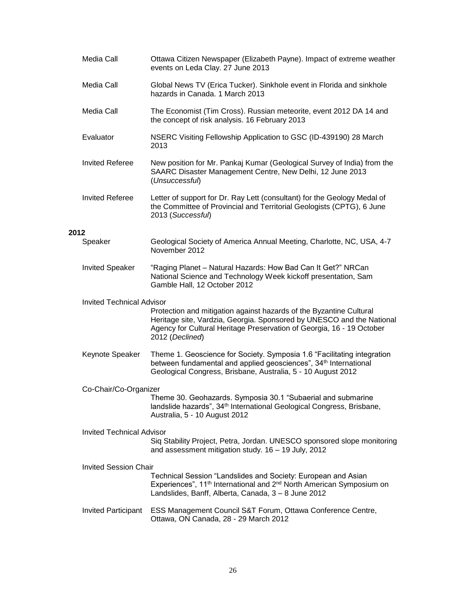|      | Media Call                       | Ottawa Citizen Newspaper (Elizabeth Payne). Impact of extreme weather<br>events on Leda Clay. 27 June 2013                                                                                                                               |
|------|----------------------------------|------------------------------------------------------------------------------------------------------------------------------------------------------------------------------------------------------------------------------------------|
|      | Media Call                       | Global News TV (Erica Tucker). Sinkhole event in Florida and sinkhole<br>hazards in Canada. 1 March 2013                                                                                                                                 |
|      | Media Call                       | The Economist (Tim Cross). Russian meteorite, event 2012 DA 14 and<br>the concept of risk analysis. 16 February 2013                                                                                                                     |
|      | Evaluator                        | NSERC Visiting Fellowship Application to GSC (ID-439190) 28 March<br>2013                                                                                                                                                                |
|      | <b>Invited Referee</b>           | New position for Mr. Pankaj Kumar (Geological Survey of India) from the<br>SAARC Disaster Management Centre, New Delhi, 12 June 2013<br>(Unsuccessful)                                                                                   |
|      | <b>Invited Referee</b>           | Letter of support for Dr. Ray Lett (consultant) for the Geology Medal of<br>the Committee of Provincial and Territorial Geologists (CPTG), 6 June<br>2013 (Successful)                                                                   |
| 2012 | Speaker                          | Geological Society of America Annual Meeting, Charlotte, NC, USA, 4-7                                                                                                                                                                    |
|      |                                  | November 2012                                                                                                                                                                                                                            |
|      | <b>Invited Speaker</b>           | "Raging Planet - Natural Hazards: How Bad Can It Get?" NRCan<br>National Science and Technology Week kickoff presentation, Sam<br>Gamble Hall, 12 October 2012                                                                           |
|      | <b>Invited Technical Advisor</b> | Protection and mitigation against hazards of the Byzantine Cultural<br>Heritage site, Vardzia, Georgia. Sponsored by UNESCO and the National<br>Agency for Cultural Heritage Preservation of Georgia, 16 - 19 October<br>2012 (Declined) |
|      | Keynote Speaker                  | Theme 1. Geoscience for Society. Symposia 1.6 "Facilitating integration<br>between fundamental and applied geosciences", 34 <sup>th</sup> International<br>Geological Congress, Brisbane, Australia, 5 - 10 August 2012                  |
|      | Co-Chair/Co-Organizer            |                                                                                                                                                                                                                                          |
|      |                                  | Theme 30. Geohazards. Symposia 30.1 "Subaerial and submarine<br>landslide hazards", 34 <sup>th</sup> International Geological Congress, Brisbane,<br>Australia, 5 - 10 August 2012                                                       |
|      | <b>Invited Technical Advisor</b> |                                                                                                                                                                                                                                          |
|      |                                  | Siq Stability Project, Petra, Jordan. UNESCO sponsored slope monitoring<br>and assessment mitigation study. 16 - 19 July, 2012                                                                                                           |
|      | <b>Invited Session Chair</b>     |                                                                                                                                                                                                                                          |
|      |                                  | Technical Session "Landslides and Society: European and Asian<br>Experiences", 11 <sup>th</sup> International and 2 <sup>nd</sup> North American Symposium on<br>Landslides, Banff, Alberta, Canada, 3 - 8 June 2012                     |
|      | <b>Invited Participant</b>       | ESS Management Council S&T Forum, Ottawa Conference Centre,<br>Ottawa, ON Canada, 28 - 29 March 2012                                                                                                                                     |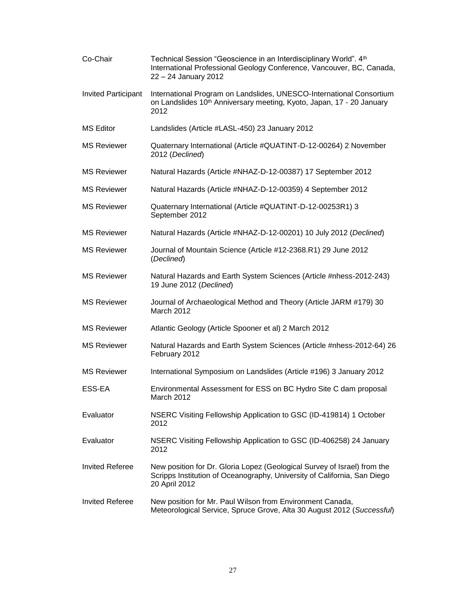| Co-Chair                   | Technical Session "Geoscience in an Interdisciplinary World". 4th<br>International Professional Geology Conference, Vancouver, BC, Canada,<br>22 - 24 January 2012    |
|----------------------------|-----------------------------------------------------------------------------------------------------------------------------------------------------------------------|
| <b>Invited Participant</b> | International Program on Landslides, UNESCO-International Consortium<br>on Landslides 10 <sup>th</sup> Anniversary meeting, Kyoto, Japan, 17 - 20 January<br>2012     |
| <b>MS Editor</b>           | Landslides (Article #LASL-450) 23 January 2012                                                                                                                        |
| <b>MS Reviewer</b>         | Quaternary International (Article #QUATINT-D-12-00264) 2 November<br>2012 (Declined)                                                                                  |
| <b>MS Reviewer</b>         | Natural Hazards (Article #NHAZ-D-12-00387) 17 September 2012                                                                                                          |
| <b>MS Reviewer</b>         | Natural Hazards (Article #NHAZ-D-12-00359) 4 September 2012                                                                                                           |
| <b>MS Reviewer</b>         | Quaternary International (Article #QUATINT-D-12-00253R1) 3<br>September 2012                                                                                          |
| <b>MS Reviewer</b>         | Natural Hazards (Article #NHAZ-D-12-00201) 10 July 2012 (Declined)                                                                                                    |
| <b>MS Reviewer</b>         | Journal of Mountain Science (Article #12-2368.R1) 29 June 2012<br>(Declined)                                                                                          |
| <b>MS Reviewer</b>         | Natural Hazards and Earth System Sciences (Article #nhess-2012-243)<br>19 June 2012 (Declined)                                                                        |
| <b>MS Reviewer</b>         | Journal of Archaeological Method and Theory (Article JARM #179) 30<br>March 2012                                                                                      |
| <b>MS Reviewer</b>         | Atlantic Geology (Article Spooner et al) 2 March 2012                                                                                                                 |
| <b>MS Reviewer</b>         | Natural Hazards and Earth System Sciences (Article #nhess-2012-64) 26<br>February 2012                                                                                |
| <b>MS Reviewer</b>         | International Symposium on Landslides (Article #196) 3 January 2012                                                                                                   |
| ESS-EA                     | Environmental Assessment for ESS on BC Hydro Site C dam proposal<br>March 2012                                                                                        |
| Evaluator                  | NSERC Visiting Fellowship Application to GSC (ID-419814) 1 October<br>2012                                                                                            |
| Evaluator                  | NSERC Visiting Fellowship Application to GSC (ID-406258) 24 January<br>2012                                                                                           |
| <b>Invited Referee</b>     | New position for Dr. Gloria Lopez (Geological Survey of Israel) from the<br>Scripps Institution of Oceanography, University of California, San Diego<br>20 April 2012 |
| <b>Invited Referee</b>     | New position for Mr. Paul Wilson from Environment Canada,<br>Meteorological Service, Spruce Grove, Alta 30 August 2012 (Successful)                                   |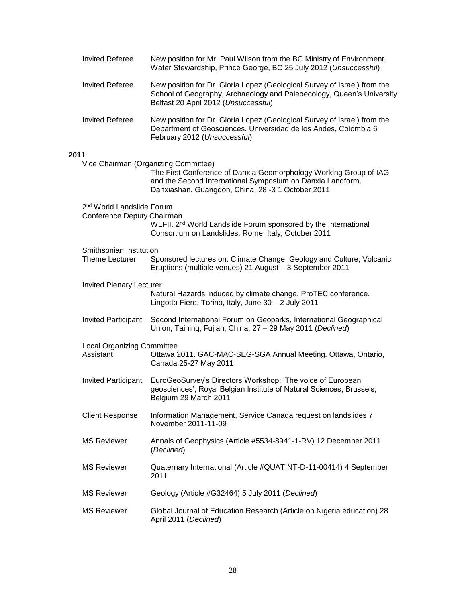|      | <b>Invited Referee</b>                    | New position for Mr. Paul Wilson from the BC Ministry of Environment,<br>Water Stewardship, Prince George, BC 25 July 2012 (Unsuccessful)                                                                                    |
|------|-------------------------------------------|------------------------------------------------------------------------------------------------------------------------------------------------------------------------------------------------------------------------------|
|      | <b>Invited Referee</b>                    | New position for Dr. Gloria Lopez (Geological Survey of Israel) from the<br>School of Geography, Archaeology and Paleoecology, Queen's University<br>Belfast 20 April 2012 (Unsuccessful)                                    |
|      | <b>Invited Referee</b>                    | New position for Dr. Gloria Lopez (Geological Survey of Israel) from the<br>Department of Geosciences, Universidad de los Andes, Colombia 6<br>February 2012 (Unsuccessful)                                                  |
| 2011 |                                           |                                                                                                                                                                                                                              |
|      |                                           | Vice Chairman (Organizing Committee)<br>The First Conference of Danxia Geomorphology Working Group of IAG<br>and the Second International Symposium on Danxia Landform.<br>Danxiashan, Guangdon, China, 28 -3 1 October 2011 |
|      | 2 <sup>nd</sup> World Landslide Forum     |                                                                                                                                                                                                                              |
|      | Conference Deputy Chairman                | WLFII. 2 <sup>nd</sup> World Landslide Forum sponsored by the International<br>Consortium on Landslides, Rome, Italy, October 2011                                                                                           |
|      | Smithsonian Institution<br>Theme Lecturer | Sponsored lectures on: Climate Change; Geology and Culture; Volcanic<br>Eruptions (multiple venues) 21 August - 3 September 2011                                                                                             |
|      | <b>Invited Plenary Lecturer</b>           | Natural Hazards induced by climate change. ProTEC conference,<br>Lingotto Fiere, Torino, Italy, June 30 - 2 July 2011                                                                                                        |
|      | <b>Invited Participant</b>                | Second International Forum on Geoparks, International Geographical<br>Union, Taining, Fujian, China, 27 - 29 May 2011 (Declined)                                                                                             |
|      | <b>Local Organizing Committee</b>         |                                                                                                                                                                                                                              |
|      | Assistant                                 | Ottawa 2011. GAC-MAC-SEG-SGA Annual Meeting. Ottawa, Ontario,<br>Canada 25-27 May 2011                                                                                                                                       |
|      | <b>Invited Participant</b>                | EuroGeoSurvey's Directors Workshop: 'The voice of European<br>geosciences', Royal Belgian Institute of Natural Sciences, Brussels,<br>Belgium 29 March 2011                                                                  |
|      | <b>Client Response</b>                    | Information Management, Service Canada request on landslides 7<br>November 2011-11-09                                                                                                                                        |
|      | <b>MS Reviewer</b>                        | Annals of Geophysics (Article #5534-8941-1-RV) 12 December 2011<br>(Declined)                                                                                                                                                |
|      | <b>MS Reviewer</b>                        | Quaternary International (Article #QUATINT-D-11-00414) 4 September<br>2011                                                                                                                                                   |
|      | <b>MS Reviewer</b>                        | Geology (Article #G32464) 5 July 2011 (Declined)                                                                                                                                                                             |
|      | <b>MS Reviewer</b>                        | Global Journal of Education Research (Article on Nigeria education) 28<br>April 2011 (Declined)                                                                                                                              |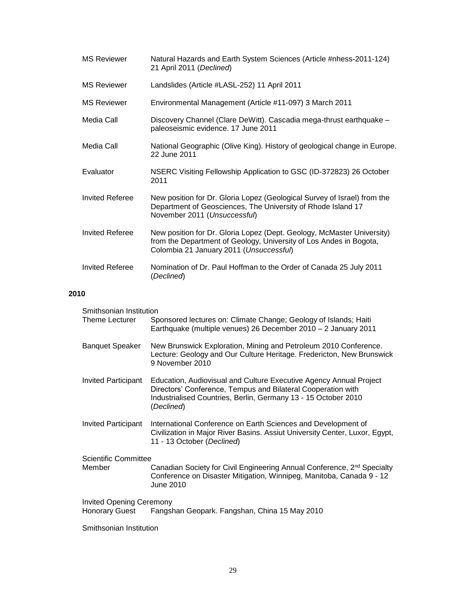| <b>MS Reviewer</b>     | Natural Hazards and Earth System Sciences (Article #nhess-2011-124)<br>21 April 2011 (Declined)                                                                                         |
|------------------------|-----------------------------------------------------------------------------------------------------------------------------------------------------------------------------------------|
| <b>MS Reviewer</b>     | Landslides (Article #LASL-252) 11 April 2011                                                                                                                                            |
| <b>MS Reviewer</b>     | Environmental Management (Article #11-097) 3 March 2011                                                                                                                                 |
| Media Call             | Discovery Channel (Clare DeWitt). Cascadia mega-thrust earthquake -<br>paleoseismic evidence. 17 June 2011                                                                              |
| Media Call             | National Geographic (Olive King). History of geological change in Europe.<br>22 June 2011                                                                                               |
| Evaluator              | NSERC Visiting Fellowship Application to GSC (ID-372823) 26 October<br>2011                                                                                                             |
| <b>Invited Referee</b> | New position for Dr. Gloria Lopez (Geological Survey of Israel) from the<br>Department of Geosciences, The University of Rhode Island 17<br>November 2011 (Unsuccessful)                |
| Invited Referee        | New position for Dr. Gloria Lopez (Dept. Geology, McMaster University)<br>from the Department of Geology, University of Los Andes in Bogota,<br>Colombia 21 January 2011 (Unsuccessful) |
| Invited Referee        | Nomination of Dr. Paul Hoffman to the Order of Canada 25 July 2011<br>(Declined)                                                                                                        |

# **2010**

| Smithsonian Institution<br>Theme Lecturer                | Sponsored lectures on: Climate Change; Geology of Islands; Haiti<br>Earthquake (multiple venues) 26 December 2010 - 2 January 2011                                                                                 |
|----------------------------------------------------------|--------------------------------------------------------------------------------------------------------------------------------------------------------------------------------------------------------------------|
| <b>Banquet Speaker</b>                                   | New Brunswick Exploration, Mining and Petroleum 2010 Conference.<br>Lecture: Geology and Our Culture Heritage. Fredericton, New Brunswick<br>9 November 2010                                                       |
| Invited Participant                                      | Education, Audiovisual and Culture Executive Agency Annual Project<br>Directors' Conference, Tempus and Bilateral Cooperation with<br>Industrialised Countries, Berlin, Germany 13 - 15 October 2010<br>(Declined) |
| Invited Participant                                      | International Conference on Earth Sciences and Development of<br>Civilization in Major River Basins. Assiut University Center, Luxor, Egypt,<br>11 - 13 October (Declined)                                         |
| <b>Scientific Committee</b><br>Member                    | Canadian Society for Civil Engineering Annual Conference, 2 <sup>nd</sup> Specialty<br>Conference on Disaster Mitigation, Winnipeg, Manitoba, Canada 9 - 12<br>June 2010                                           |
| <b>Invited Opening Ceremony</b><br><b>Honorary Guest</b> | Fangshan Geopark. Fangshan, China 15 May 2010                                                                                                                                                                      |

Smithsonian Institution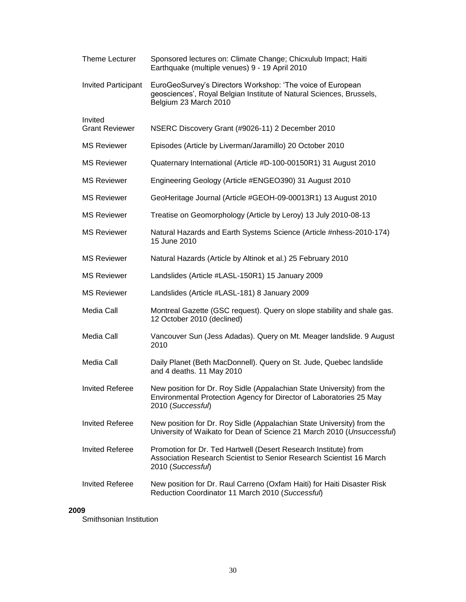| <b>Theme Lecturer</b>            | Sponsored lectures on: Climate Change; Chicxulub Impact; Haiti<br>Earthquake (multiple venues) 9 - 19 April 2010                                                   |
|----------------------------------|--------------------------------------------------------------------------------------------------------------------------------------------------------------------|
| <b>Invited Participant</b>       | EuroGeoSurvey's Directors Workshop: 'The voice of European<br>geosciences', Royal Belgian Institute of Natural Sciences, Brussels,<br>Belgium 23 March 2010        |
| Invited<br><b>Grant Reviewer</b> | NSERC Discovery Grant (#9026-11) 2 December 2010                                                                                                                   |
| <b>MS Reviewer</b>               | Episodes (Article by Liverman/Jaramillo) 20 October 2010                                                                                                           |
| <b>MS Reviewer</b>               | Quaternary International (Article #D-100-00150R1) 31 August 2010                                                                                                   |
| <b>MS Reviewer</b>               | Engineering Geology (Article #ENGEO390) 31 August 2010                                                                                                             |
| <b>MS Reviewer</b>               | GeoHeritage Journal (Article #GEOH-09-00013R1) 13 August 2010                                                                                                      |
| <b>MS Reviewer</b>               | Treatise on Geomorphology (Article by Leroy) 13 July 2010-08-13                                                                                                    |
| <b>MS Reviewer</b>               | Natural Hazards and Earth Systems Science (Article #nhess-2010-174)<br>15 June 2010                                                                                |
| <b>MS Reviewer</b>               | Natural Hazards (Article by Altinok et al.) 25 February 2010                                                                                                       |
| <b>MS Reviewer</b>               | Landslides (Article #LASL-150R1) 15 January 2009                                                                                                                   |
| <b>MS Reviewer</b>               | Landslides (Article #LASL-181) 8 January 2009                                                                                                                      |
| Media Call                       | Montreal Gazette (GSC request). Query on slope stability and shale gas.<br>12 October 2010 (declined)                                                              |
| Media Call                       | Vancouver Sun (Jess Adadas). Query on Mt. Meager landslide. 9 August<br>2010                                                                                       |
| Media Call                       | Daily Planet (Beth MacDonnell). Query on St. Jude, Quebec landslide<br>and 4 deaths. 11 May 2010                                                                   |
| <b>Invited Referee</b>           | New position for Dr. Roy Sidle (Appalachian State University) from the<br>Environmental Protection Agency for Director of Laboratories 25 May<br>2010 (Successful) |
| <b>Invited Referee</b>           | New position for Dr. Roy Sidle (Appalachian State University) from the<br>University of Waikato for Dean of Science 21 March 2010 (Unsuccessful)                   |
| <b>Invited Referee</b>           | Promotion for Dr. Ted Hartwell (Desert Research Institute) from<br>Association Research Scientist to Senior Research Scientist 16 March<br>2010 (Successful)       |
| <b>Invited Referee</b>           | New position for Dr. Raul Carreno (Oxfam Haiti) for Haiti Disaster Risk<br>Reduction Coordinator 11 March 2010 (Successful)                                        |

## **2009**

Smithsonian Institution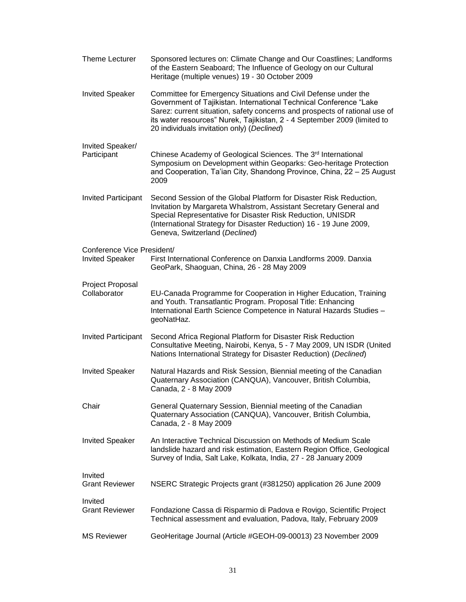| Theme Lecturer                                       | Sponsored lectures on: Climate Change and Our Coastlines; Landforms<br>of the Eastern Seaboard; The Influence of Geology on our Cultural<br>Heritage (multiple venues) 19 - 30 October 2009                                                                                                                                                  |
|------------------------------------------------------|----------------------------------------------------------------------------------------------------------------------------------------------------------------------------------------------------------------------------------------------------------------------------------------------------------------------------------------------|
| <b>Invited Speaker</b>                               | Committee for Emergency Situations and Civil Defense under the<br>Government of Tajikistan. International Technical Conference "Lake<br>Sarez: current situation, safety concerns and prospects of rational use of<br>its water resources" Nurek, Tajikistan, 2 - 4 September 2009 (limited to<br>20 individuals invitation only) (Declined) |
| Invited Speaker/<br>Participant                      | Chinese Academy of Geological Sciences. The 3 <sup>rd</sup> International<br>Symposium on Development within Geoparks: Geo-heritage Protection<br>and Cooperation, Ta'ian City, Shandong Province, China, 22 - 25 August<br>2009                                                                                                             |
| <b>Invited Participant</b>                           | Second Session of the Global Platform for Disaster Risk Reduction,<br>Invitation by Margareta Whalstrom, Assistant Secretary General and<br>Special Representative for Disaster Risk Reduction, UNISDR<br>(International Strategy for Disaster Reduction) 16 - 19 June 2009,<br>Geneva, Switzerland (Declined)                               |
| Conference Vice President/<br><b>Invited Speaker</b> | First International Conference on Danxia Landforms 2009. Danxia<br>GeoPark, Shaoguan, China, 26 - 28 May 2009                                                                                                                                                                                                                                |
| Project Proposal<br>Collaborator                     | EU-Canada Programme for Cooperation in Higher Education, Training<br>and Youth. Transatlantic Program. Proposal Title: Enhancing<br>International Earth Science Competence in Natural Hazards Studies -<br>geoNatHaz.                                                                                                                        |
| <b>Invited Participant</b>                           | Second Africa Regional Platform for Disaster Risk Reduction<br>Consultative Meeting, Nairobi, Kenya, 5 - 7 May 2009, UN ISDR (United<br>Nations International Strategy for Disaster Reduction) (Declined)                                                                                                                                    |
| <b>Invited Speaker</b>                               | Natural Hazards and Risk Session, Biennial meeting of the Canadian<br>Quaternary Association (CANQUA), Vancouver, British Columbia,<br>Canada, 2 - 8 May 2009                                                                                                                                                                                |
| Chair                                                | General Quaternary Session, Biennial meeting of the Canadian<br>Quaternary Association (CANQUA), Vancouver, British Columbia,<br>Canada, 2 - 8 May 2009                                                                                                                                                                                      |
| <b>Invited Speaker</b>                               | An Interactive Technical Discussion on Methods of Medium Scale<br>landslide hazard and risk estimation, Eastern Region Office, Geological<br>Survey of India, Salt Lake, Kolkata, India, 27 - 28 January 2009                                                                                                                                |
| Invited<br><b>Grant Reviewer</b>                     | NSERC Strategic Projects grant (#381250) application 26 June 2009                                                                                                                                                                                                                                                                            |
| Invited<br><b>Grant Reviewer</b>                     | Fondazione Cassa di Risparmio di Padova e Rovigo, Scientific Project<br>Technical assessment and evaluation, Padova, Italy, February 2009                                                                                                                                                                                                    |
| <b>MS Reviewer</b>                                   | GeoHeritage Journal (Article #GEOH-09-00013) 23 November 2009                                                                                                                                                                                                                                                                                |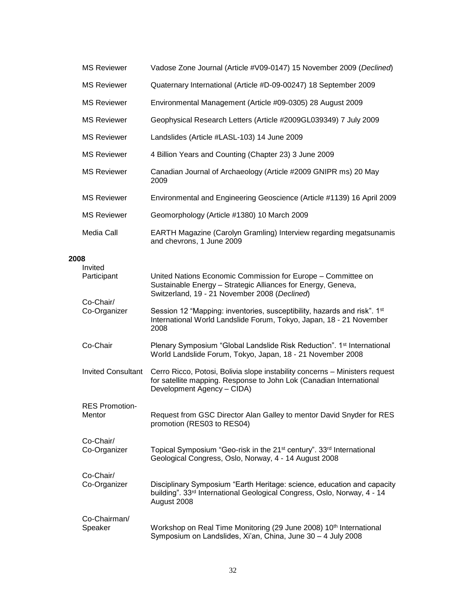|      | <b>MS Reviewer</b>              | Vadose Zone Journal (Article #V09-0147) 15 November 2009 (Declined)                                                                                                              |
|------|---------------------------------|----------------------------------------------------------------------------------------------------------------------------------------------------------------------------------|
|      | <b>MS Reviewer</b>              | Quaternary International (Article #D-09-00247) 18 September 2009                                                                                                                 |
|      | <b>MS Reviewer</b>              | Environmental Management (Article #09-0305) 28 August 2009                                                                                                                       |
|      | <b>MS Reviewer</b>              | Geophysical Research Letters (Article #2009GL039349) 7 July 2009                                                                                                                 |
|      | <b>MS Reviewer</b>              | Landslides (Article #LASL-103) 14 June 2009                                                                                                                                      |
|      | <b>MS Reviewer</b>              | 4 Billion Years and Counting (Chapter 23) 3 June 2009                                                                                                                            |
|      | <b>MS Reviewer</b>              | Canadian Journal of Archaeology (Article #2009 GNIPR ms) 20 May<br>2009                                                                                                          |
|      | <b>MS Reviewer</b>              | Environmental and Engineering Geoscience (Article #1139) 16 April 2009                                                                                                           |
|      | <b>MS Reviewer</b>              | Geomorphology (Article #1380) 10 March 2009                                                                                                                                      |
|      | Media Call                      | EARTH Magazine (Carolyn Gramling) Interview regarding megatsunamis<br>and chevrons, 1 June 2009                                                                                  |
| 2008 |                                 |                                                                                                                                                                                  |
|      | Invited<br>Participant          | United Nations Economic Commission for Europe - Committee on<br>Sustainable Energy - Strategic Alliances for Energy, Geneva,<br>Switzerland, 19 - 21 November 2008 (Declined)    |
|      | Co-Chair/<br>Co-Organizer       | Session 12 "Mapping: inventories, susceptibility, hazards and risk". 1 <sup>st</sup><br>International World Landslide Forum, Tokyo, Japan, 18 - 21 November<br>2008              |
|      | Co-Chair                        | Plenary Symposium "Global Landslide Risk Reduction". 1 <sup>st</sup> International<br>World Landslide Forum, Tokyo, Japan, 18 - 21 November 2008                                 |
|      | <b>Invited Consultant</b>       | Cerro Ricco, Potosi, Bolivia slope instability concerns - Ministers request<br>for satellite mapping. Response to John Lok (Canadian International<br>Development Agency - CIDA) |
|      | <b>RES Promotion-</b><br>Mentor | Request from GSC Director Alan Galley to mentor David Snyder for RES<br>promotion (RES03 to RES04)                                                                               |
|      | Co-Chair/<br>Co-Organizer       | Topical Symposium "Geo-risk in the 21 <sup>st</sup> century". 33 <sup>rd</sup> International<br>Geological Congress, Oslo, Norway, 4 - 14 August 2008                            |
|      | Co-Chair/<br>Co-Organizer       | Disciplinary Symposium "Earth Heritage: science, education and capacity<br>building". 33rd International Geological Congress, Oslo, Norway, 4 - 14<br>August 2008                |
|      | Co-Chairman/<br>Speaker         | Workshop on Real Time Monitoring (29 June 2008) 10th International<br>Symposium on Landslides, Xi'an, China, June 30 - 4 July 2008                                               |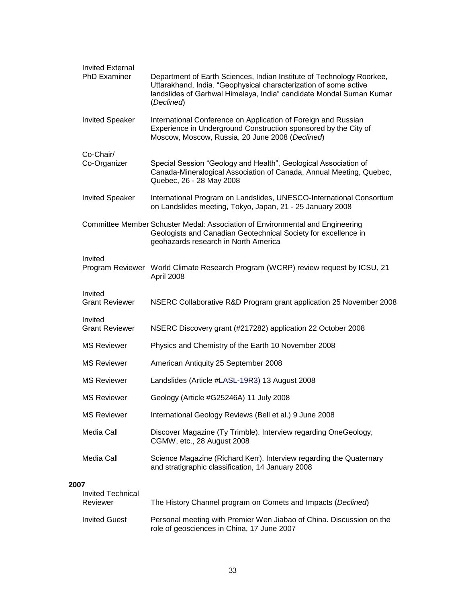|      | <b>Invited External</b><br><b>PhD Examiner</b> | Department of Earth Sciences, Indian Institute of Technology Roorkee,<br>Uttarakhand, India. "Geophysical characterization of some active<br>landslides of Garhwal Himalaya, India" candidate Mondal Suman Kumar<br>(Declined) |  |
|------|------------------------------------------------|--------------------------------------------------------------------------------------------------------------------------------------------------------------------------------------------------------------------------------|--|
|      | <b>Invited Speaker</b>                         | International Conference on Application of Foreign and Russian<br>Experience in Underground Construction sponsored by the City of<br>Moscow, Moscow, Russia, 20 June 2008 (Declined)                                           |  |
|      | Co-Chair/<br>Co-Organizer                      | Special Session "Geology and Health", Geological Association of<br>Canada-Mineralogical Association of Canada, Annual Meeting, Quebec,<br>Quebec, 26 - 28 May 2008                                                             |  |
|      | <b>Invited Speaker</b>                         | International Program on Landslides, UNESCO-International Consortium<br>on Landslides meeting, Tokyo, Japan, 21 - 25 January 2008                                                                                              |  |
|      |                                                | Committee Member Schuster Medal: Association of Environmental and Engineering<br>Geologists and Canadian Geotechnical Society for excellence in<br>geohazards research in North America                                        |  |
|      | Invited                                        | Program Reviewer World Climate Research Program (WCRP) review request by ICSU, 21<br>April 2008                                                                                                                                |  |
|      | Invited<br><b>Grant Reviewer</b>               | NSERC Collaborative R&D Program grant application 25 November 2008                                                                                                                                                             |  |
|      | Invited<br><b>Grant Reviewer</b>               | NSERC Discovery grant (#217282) application 22 October 2008                                                                                                                                                                    |  |
|      | <b>MS Reviewer</b>                             | Physics and Chemistry of the Earth 10 November 2008                                                                                                                                                                            |  |
|      | <b>MS Reviewer</b>                             | American Antiquity 25 September 2008                                                                                                                                                                                           |  |
|      | <b>MS Reviewer</b>                             | Landslides (Article #LASL-19R3) 13 August 2008                                                                                                                                                                                 |  |
|      | <b>MS Reviewer</b>                             | Geology (Article #G25246A) 11 July 2008                                                                                                                                                                                        |  |
|      | <b>MS Reviewer</b>                             | International Geology Reviews (Bell et al.) 9 June 2008                                                                                                                                                                        |  |
|      | Media Call                                     | Discover Magazine (Ty Trimble). Interview regarding OneGeology,<br>CGMW, etc., 28 August 2008                                                                                                                                  |  |
|      | Media Call                                     | Science Magazine (Richard Kerr). Interview regarding the Quaternary<br>and stratigraphic classification, 14 January 2008                                                                                                       |  |
| 2007 |                                                |                                                                                                                                                                                                                                |  |
|      | Invited Technical<br>Reviewer                  | The History Channel program on Comets and Impacts (Declined)                                                                                                                                                                   |  |
|      | <b>Invited Guest</b>                           | Personal meeting with Premier Wen Jiabao of China. Discussion on the<br>role of geosciences in China, 17 June 2007                                                                                                             |  |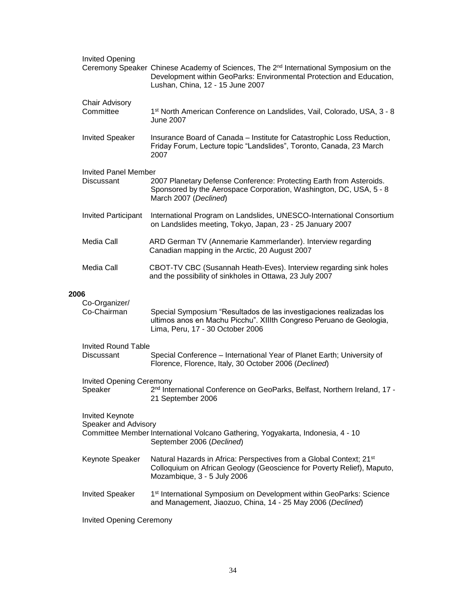|      | <b>Invited Opening</b>                     | Ceremony Speaker Chinese Academy of Sciences, The 2 <sup>nd</sup> International Symposium on the<br>Development within GeoParks: Environmental Protection and Education,<br>Lushan, China, 12 - 15 June 2007 |
|------|--------------------------------------------|--------------------------------------------------------------------------------------------------------------------------------------------------------------------------------------------------------------|
|      | <b>Chair Advisory</b><br>Committee         | 1 <sup>st</sup> North American Conference on Landslides, Vail, Colorado, USA, 3 - 8<br><b>June 2007</b>                                                                                                      |
|      | <b>Invited Speaker</b>                     | Insurance Board of Canada - Institute for Catastrophic Loss Reduction,<br>Friday Forum, Lecture topic "Landslides", Toronto, Canada, 23 March<br>2007                                                        |
|      | <b>Invited Panel Member</b><br>Discussant  | 2007 Planetary Defense Conference: Protecting Earth from Asteroids.<br>Sponsored by the Aerospace Corporation, Washington, DC, USA, 5 - 8<br>March 2007 (Declined)                                           |
|      | <b>Invited Participant</b>                 | International Program on Landslides, UNESCO-International Consortium<br>on Landslides meeting, Tokyo, Japan, 23 - 25 January 2007                                                                            |
|      | Media Call                                 | ARD German TV (Annemarie Kammerlander). Interview regarding<br>Canadian mapping in the Arctic, 20 August 2007                                                                                                |
|      | Media Call                                 | CBOT-TV CBC (Susannah Heath-Eves). Interview regarding sink holes<br>and the possibility of sinkholes in Ottawa, 23 July 2007                                                                                |
| 2006 | Co-Organizer/<br>Co-Chairman               | Special Symposium "Resultados de las investigaciones realizadas los<br>ultimos anos en Machu Picchu". XIIIth Congreso Peruano de Geologia,<br>Lima, Peru, 17 - 30 October 2006                               |
|      | <b>Invited Round Table</b>                 |                                                                                                                                                                                                              |
|      | Discussant                                 | Special Conference - International Year of Planet Earth; University of<br>Florence, Florence, Italy, 30 October 2006 (Declined)                                                                              |
|      | <b>Invited Opening Ceremony</b><br>Speaker | 2 <sup>nd</sup> International Conference on GeoParks, Belfast, Northern Ireland, 17 -<br>21 September 2006                                                                                                   |
|      | Invited Keynote<br>Speaker and Advisory    | Committee Member International Volcano Gathering, Yogyakarta, Indonesia, 4 - 10<br>September 2006 (Declined)                                                                                                 |
|      | Keynote Speaker                            | Natural Hazards in Africa: Perspectives from a Global Context; 21 <sup>st</sup><br>Colloquium on African Geology (Geoscience for Poverty Relief), Maputo,<br>Mozambique, 3 - 5 July 2006                     |
|      | <b>Invited Speaker</b>                     | 1 <sup>st</sup> International Symposium on Development within GeoParks: Science<br>and Management, Jiaozuo, China, 14 - 25 May 2006 (Declined)                                                               |
|      | <b>Invited Opening Ceremony</b>            |                                                                                                                                                                                                              |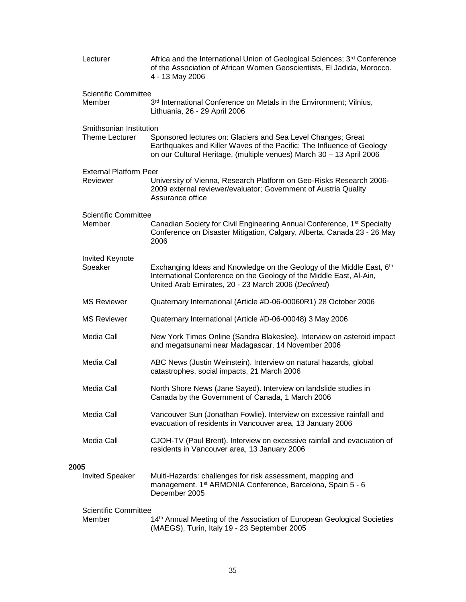|      | Lecturer                      | Africa and the International Union of Geological Sciences; 3rd Conference<br>of the Association of African Women Geoscientists, El Jadida, Morocco.<br>4 - 13 May 2006                                        |  |  |
|------|-------------------------------|---------------------------------------------------------------------------------------------------------------------------------------------------------------------------------------------------------------|--|--|
|      | <b>Scientific Committee</b>   |                                                                                                                                                                                                               |  |  |
|      | Member                        | 3rd International Conference on Metals in the Environment; Vilnius,<br>Lithuania, 26 - 29 April 2006                                                                                                          |  |  |
|      | Smithsonian Institution       |                                                                                                                                                                                                               |  |  |
|      | <b>Theme Lecturer</b>         | Sponsored lectures on: Glaciers and Sea Level Changes; Great<br>Earthquakes and Killer Waves of the Pacific; The Influence of Geology<br>on our Cultural Heritage, (multiple venues) March 30 - 13 April 2006 |  |  |
|      | <b>External Platform Peer</b> |                                                                                                                                                                                                               |  |  |
|      | Reviewer                      | University of Vienna, Research Platform on Geo-Risks Research 2006-<br>2009 external reviewer/evaluator; Government of Austria Quality<br>Assurance office                                                    |  |  |
|      | <b>Scientific Committee</b>   |                                                                                                                                                                                                               |  |  |
|      | Member                        | Canadian Society for Civil Engineering Annual Conference, 1 <sup>st</sup> Specialty<br>Conference on Disaster Mitigation, Calgary, Alberta, Canada 23 - 26 May<br>2006                                        |  |  |
|      | Invited Keynote               |                                                                                                                                                                                                               |  |  |
|      | Speaker                       | Exchanging Ideas and Knowledge on the Geology of the Middle East, 6th<br>International Conference on the Geology of the Middle East, Al-Ain,<br>United Arab Emirates, 20 - 23 March 2006 (Declined)           |  |  |
|      | <b>MS Reviewer</b>            | Quaternary International (Article #D-06-00060R1) 28 October 2006                                                                                                                                              |  |  |
|      | <b>MS Reviewer</b>            | Quaternary International (Article #D-06-00048) 3 May 2006                                                                                                                                                     |  |  |
|      | Media Call                    | New York Times Online (Sandra Blakeslee). Interview on asteroid impact<br>and megatsunami near Madagascar, 14 November 2006                                                                                   |  |  |
|      | Media Call                    | ABC News (Justin Weinstein). Interview on natural hazards, global<br>catastrophes, social impacts, 21 March 2006                                                                                              |  |  |
|      | Media Call                    | North Shore News (Jane Sayed). Interview on landslide studies in<br>Canada by the Government of Canada, 1 March 2006                                                                                          |  |  |
|      | Media Call                    | Vancouver Sun (Jonathan Fowlie). Interview on excessive rainfall and<br>evacuation of residents in Vancouver area, 13 January 2006                                                                            |  |  |
|      | Media Call                    | CJOH-TV (Paul Brent). Interview on excessive rainfall and evacuation of<br>residents in Vancouver area, 13 January 2006                                                                                       |  |  |
|      |                               |                                                                                                                                                                                                               |  |  |
| 2005 | <b>Invited Speaker</b>        | Multi-Hazards: challenges for risk assessment, mapping and<br>management. 1 <sup>st</sup> ARMONIA Conference, Barcelona, Spain 5 - 6<br>December 2005                                                         |  |  |
|      | <b>Scientific Committee</b>   |                                                                                                                                                                                                               |  |  |
|      | Member                        | 14th Annual Meeting of the Association of European Geological Societies<br>(MAEGS), Turin, Italy 19 - 23 September 2005                                                                                       |  |  |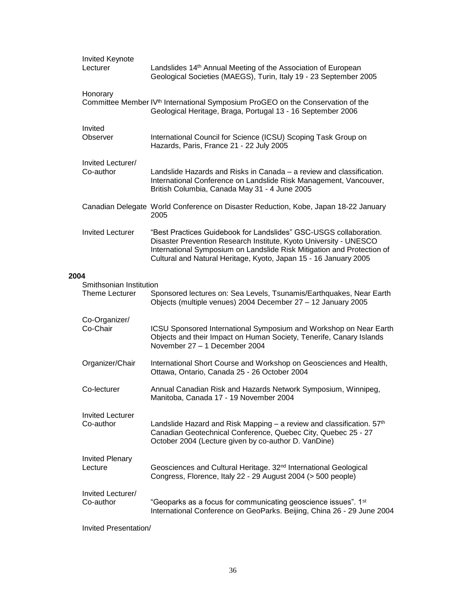|      | <b>Invited Keynote</b><br>Lecturer               | Landslides 14 <sup>th</sup> Annual Meeting of the Association of European<br>Geological Societies (MAEGS), Turin, Italy 19 - 23 September 2005                                                                                                                                       |
|------|--------------------------------------------------|--------------------------------------------------------------------------------------------------------------------------------------------------------------------------------------------------------------------------------------------------------------------------------------|
|      | Honorary                                         | Committee Member IV <sup>th</sup> International Symposium ProGEO on the Conservation of the<br>Geological Heritage, Braga, Portugal 13 - 16 September 2006                                                                                                                           |
|      | Invited<br>Observer                              | International Council for Science (ICSU) Scoping Task Group on<br>Hazards, Paris, France 21 - 22 July 2005                                                                                                                                                                           |
|      | Invited Lecturer/<br>Co-author                   | Landslide Hazards and Risks in Canada – a review and classification.<br>International Conference on Landslide Risk Management, Vancouver,<br>British Columbia, Canada May 31 - 4 June 2005                                                                                           |
|      |                                                  | Canadian Delegate World Conference on Disaster Reduction, Kobe, Japan 18-22 January<br>2005                                                                                                                                                                                          |
|      | <b>Invited Lecturer</b>                          | "Best Practices Guidebook for Landslides" GSC-USGS collaboration.<br>Disaster Prevention Research Institute, Kyoto University - UNESCO<br>International Symposium on Landslide Risk Mitigation and Protection of<br>Cultural and Natural Heritage, Kyoto, Japan 15 - 16 January 2005 |
| 2004 |                                                  |                                                                                                                                                                                                                                                                                      |
|      | Smithsonian Institution<br><b>Theme Lecturer</b> | Sponsored lectures on: Sea Levels, Tsunamis/Earthquakes, Near Earth<br>Objects (multiple venues) 2004 December 27 - 12 January 2005                                                                                                                                                  |
|      | Co-Organizer/<br>Co-Chair                        | ICSU Sponsored International Symposium and Workshop on Near Earth<br>Objects and their Impact on Human Society, Tenerife, Canary Islands<br>November 27 - 1 December 2004                                                                                                            |
|      | Organizer/Chair                                  | International Short Course and Workshop on Geosciences and Health,<br>Ottawa, Ontario, Canada 25 - 26 October 2004                                                                                                                                                                   |
|      | Co-lecturer                                      | Annual Canadian Risk and Hazards Network Symposium, Winnipeg,<br>Manitoba, Canada 17 - 19 November 2004                                                                                                                                                                              |
|      | <b>Invited Lecturer</b><br>Co-author             | Landslide Hazard and Risk Mapping – a review and classification. $57th$<br>Canadian Geotechnical Conference, Quebec City, Quebec 25 - 27<br>October 2004 (Lecture given by co-author D. VanDine)                                                                                     |
|      | <b>Invited Plenary</b><br>Lecture                | Geosciences and Cultural Heritage. 32 <sup>nd</sup> International Geological<br>Congress, Florence, Italy 22 - 29 August 2004 (> 500 people)                                                                                                                                         |
|      | Invited Lecturer/<br>Co-author                   | "Geoparks as a focus for communicating geoscience issues". 1 <sup>st</sup><br>International Conference on GeoParks. Beijing, China 26 - 29 June 2004                                                                                                                                 |
|      |                                                  |                                                                                                                                                                                                                                                                                      |

Invited Presentation/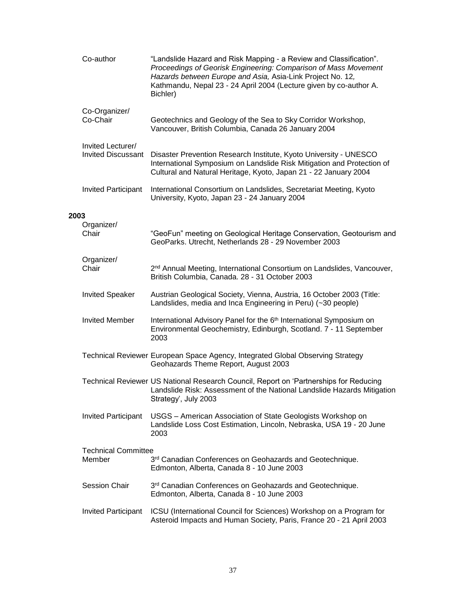|      | Co-author                                      | "Landslide Hazard and Risk Mapping - a Review and Classification".<br>Proceedings of Georisk Engineering: Comparison of Mass Movement<br>Hazards between Europe and Asia, Asia-Link Project No. 12,<br>Kathmandu, Nepal 23 - 24 April 2004 (Lecture given by co-author A.<br>Bichler) |
|------|------------------------------------------------|---------------------------------------------------------------------------------------------------------------------------------------------------------------------------------------------------------------------------------------------------------------------------------------|
|      | Co-Organizer/<br>Co-Chair                      | Geotechnics and Geology of the Sea to Sky Corridor Workshop,<br>Vancouver, British Columbia, Canada 26 January 2004                                                                                                                                                                   |
|      | Invited Lecturer/<br><b>Invited Discussant</b> | Disaster Prevention Research Institute, Kyoto University - UNESCO<br>International Symposium on Landslide Risk Mitigation and Protection of<br>Cultural and Natural Heritage, Kyoto, Japan 21 - 22 January 2004                                                                       |
|      | <b>Invited Participant</b>                     | International Consortium on Landslides, Secretariat Meeting, Kyoto<br>University, Kyoto, Japan 23 - 24 January 2004                                                                                                                                                                   |
| 2003 | Organizer/<br>Chair                            | "GeoFun" meeting on Geological Heritage Conservation, Geotourism and<br>GeoParks. Utrecht, Netherlands 28 - 29 November 2003                                                                                                                                                          |
|      | Organizer/<br>Chair                            | 2 <sup>nd</sup> Annual Meeting, International Consortium on Landslides, Vancouver,<br>British Columbia, Canada. 28 - 31 October 2003                                                                                                                                                  |
|      | <b>Invited Speaker</b>                         | Austrian Geological Society, Vienna, Austria, 16 October 2003 (Title:<br>Landslides, media and Inca Engineering in Peru) (~30 people)                                                                                                                                                 |
|      | <b>Invited Member</b>                          | International Advisory Panel for the 6 <sup>th</sup> International Symposium on<br>Environmental Geochemistry, Edinburgh, Scotland. 7 - 11 September<br>2003                                                                                                                          |
|      |                                                | Technical Reviewer European Space Agency, Integrated Global Observing Strategy<br>Geohazards Theme Report, August 2003                                                                                                                                                                |
|      |                                                | Technical Reviewer US National Research Council, Report on 'Partnerships for Reducing<br>Landslide Risk: Assessment of the National Landslide Hazards Mitigation<br>Strategy', July 2003                                                                                              |
|      | <b>Invited Participant</b>                     | USGS - American Association of State Geologists Workshop on<br>Landslide Loss Cost Estimation, Lincoln, Nebraska, USA 19 - 20 June<br>2003                                                                                                                                            |
|      | <b>Technical Committee</b><br>Member           | 3rd Canadian Conferences on Geohazards and Geotechnique.<br>Edmonton, Alberta, Canada 8 - 10 June 2003                                                                                                                                                                                |
|      | <b>Session Chair</b>                           | 3rd Canadian Conferences on Geohazards and Geotechnique.<br>Edmonton, Alberta, Canada 8 - 10 June 2003                                                                                                                                                                                |
|      | <b>Invited Participant</b>                     | ICSU (International Council for Sciences) Workshop on a Program for<br>Asteroid Impacts and Human Society, Paris, France 20 - 21 April 2003                                                                                                                                           |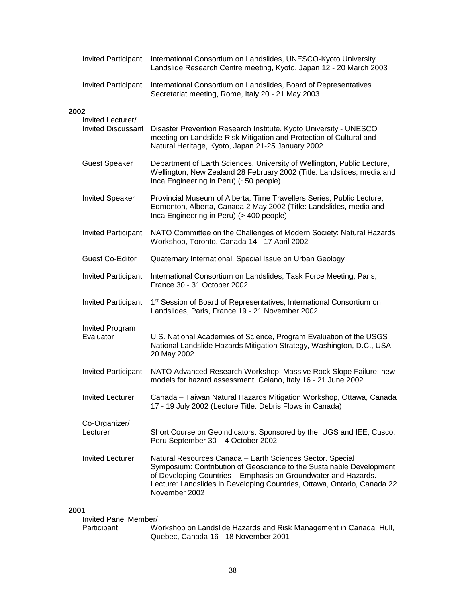|                               | <b>Invited Participant</b>                     | International Consortium on Landslides, UNESCO-Kyoto University<br>Landslide Research Centre meeting, Kyoto, Japan 12 - 20 March 2003                                                                                                                                                           |
|-------------------------------|------------------------------------------------|-------------------------------------------------------------------------------------------------------------------------------------------------------------------------------------------------------------------------------------------------------------------------------------------------|
|                               | <b>Invited Participant</b>                     | International Consortium on Landslides, Board of Representatives<br>Secretariat meeting, Rome, Italy 20 - 21 May 2003                                                                                                                                                                           |
| 2002                          |                                                |                                                                                                                                                                                                                                                                                                 |
|                               | Invited Lecturer/<br><b>Invited Discussant</b> | Disaster Prevention Research Institute, Kyoto University - UNESCO<br>meeting on Landslide Risk Mitigation and Protection of Cultural and<br>Natural Heritage, Kyoto, Japan 21-25 January 2002                                                                                                   |
|                               | <b>Guest Speaker</b>                           | Department of Earth Sciences, University of Wellington, Public Lecture,<br>Wellington, New Zealand 28 February 2002 (Title: Landslides, media and<br>Inca Engineering in Peru) (~50 people)                                                                                                     |
|                               | <b>Invited Speaker</b>                         | Provincial Museum of Alberta, Time Travellers Series, Public Lecture,<br>Edmonton, Alberta, Canada 2 May 2002 (Title: Landslides, media and<br>Inca Engineering in Peru) (> 400 people)                                                                                                         |
|                               | <b>Invited Participant</b>                     | NATO Committee on the Challenges of Modern Society: Natural Hazards<br>Workshop, Toronto, Canada 14 - 17 April 2002                                                                                                                                                                             |
|                               | <b>Guest Co-Editor</b>                         | Quaternary International, Special Issue on Urban Geology                                                                                                                                                                                                                                        |
|                               | <b>Invited Participant</b>                     | International Consortium on Landslides, Task Force Meeting, Paris,<br>France 30 - 31 October 2002                                                                                                                                                                                               |
|                               | <b>Invited Participant</b>                     | 1 <sup>st</sup> Session of Board of Representatives, International Consortium on<br>Landslides, Paris, France 19 - 21 November 2002                                                                                                                                                             |
| Evaluator                     | <b>Invited Program</b>                         | U.S. National Academies of Science, Program Evaluation of the USGS<br>National Landslide Hazards Mitigation Strategy, Washington, D.C., USA<br>20 May 2002                                                                                                                                      |
|                               | <b>Invited Participant</b>                     | NATO Advanced Research Workshop: Massive Rock Slope Failure: new<br>models for hazard assessment, Celano, Italy 16 - 21 June 2002                                                                                                                                                               |
|                               | <b>Invited Lecturer</b>                        | Canada - Taiwan Natural Hazards Mitigation Workshop, Ottawa, Canada<br>17 - 19 July 2002 (Lecture Title: Debris Flows in Canada)                                                                                                                                                                |
| Lecturer                      | Co-Organizer/                                  | Short Course on Geoindicators. Sponsored by the IUGS and IEE, Cusco,<br>Peru September 30 - 4 October 2002                                                                                                                                                                                      |
|                               | <b>Invited Lecturer</b>                        | Natural Resources Canada - Earth Sciences Sector. Special<br>Symposium: Contribution of Geoscience to the Sustainable Development<br>of Developing Countries - Emphasis on Groundwater and Hazards.<br>Lecture: Landslides in Developing Countries, Ottawa, Ontario, Canada 22<br>November 2002 |
| 2001<br>Invited Panel Member/ |                                                |                                                                                                                                                                                                                                                                                                 |
|                               |                                                |                                                                                                                                                                                                                                                                                                 |

| Participant | Workshop on Landslide Hazards and Risk Management in Canada. Hull, |
|-------------|--------------------------------------------------------------------|
|             | Quebec, Canada 16 - 18 November 2001                               |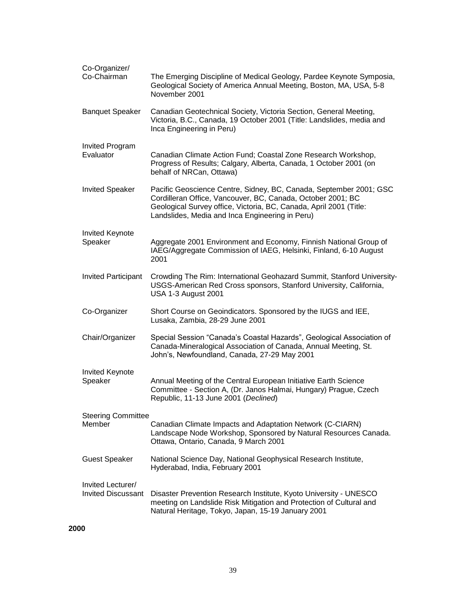| Co-Organizer/<br>Co-Chairman                   | The Emerging Discipline of Medical Geology, Pardee Keynote Symposia,<br>Geological Society of America Annual Meeting, Boston, MA, USA, 5-8<br>November 2001                                                                                                |
|------------------------------------------------|------------------------------------------------------------------------------------------------------------------------------------------------------------------------------------------------------------------------------------------------------------|
| <b>Banquet Speaker</b>                         | Canadian Geotechnical Society, Victoria Section, General Meeting,<br>Victoria, B.C., Canada, 19 October 2001 (Title: Landslides, media and<br>Inca Engineering in Peru)                                                                                    |
| <b>Invited Program</b><br>Evaluator            | Canadian Climate Action Fund; Coastal Zone Research Workshop,<br>Progress of Results; Calgary, Alberta, Canada, 1 October 2001 (on<br>behalf of NRCan, Ottawa)                                                                                             |
| <b>Invited Speaker</b>                         | Pacific Geoscience Centre, Sidney, BC, Canada, September 2001; GSC<br>Cordilleran Office, Vancouver, BC, Canada, October 2001; BC<br>Geological Survey office, Victoria, BC, Canada, April 2001 (Title:<br>Landslides, Media and Inca Engineering in Peru) |
| <b>Invited Keynote</b><br>Speaker              | Aggregate 2001 Environment and Economy, Finnish National Group of<br>IAEG/Aggregate Commission of IAEG, Helsinki, Finland, 6-10 August<br>2001                                                                                                             |
| <b>Invited Participant</b>                     | Crowding The Rim: International Geohazard Summit, Stanford University-<br>USGS-American Red Cross sponsors, Stanford University, California,<br><b>USA 1-3 August 2001</b>                                                                                 |
| Co-Organizer                                   | Short Course on Geoindicators. Sponsored by the IUGS and IEE,<br>Lusaka, Zambia, 28-29 June 2001                                                                                                                                                           |
| Chair/Organizer                                | Special Session "Canada's Coastal Hazards", Geological Association of<br>Canada-Mineralogical Association of Canada, Annual Meeting, St.<br>John's, Newfoundland, Canada, 27-29 May 2001                                                                   |
| <b>Invited Keynote</b><br>Speaker              | Annual Meeting of the Central European Initiative Earth Science<br>Committee - Section A, (Dr. Janos Halmai, Hungary) Prague, Czech<br>Republic, 11-13 June 2001 (Declined)                                                                                |
| <b>Steering Committee</b><br>Member            | Canadian Climate Impacts and Adaptation Network (C-CIARN)<br>Landscape Node Workshop, Sponsored by Natural Resources Canada.<br>Ottawa, Ontario, Canada, 9 March 2001                                                                                      |
| <b>Guest Speaker</b>                           | National Science Day, National Geophysical Research Institute,<br>Hyderabad, India, February 2001                                                                                                                                                          |
| Invited Lecturer/<br><b>Invited Discussant</b> | Disaster Prevention Research Institute, Kyoto University - UNESCO<br>meeting on Landslide Risk Mitigation and Protection of Cultural and<br>Natural Heritage, Tokyo, Japan, 15-19 January 2001                                                             |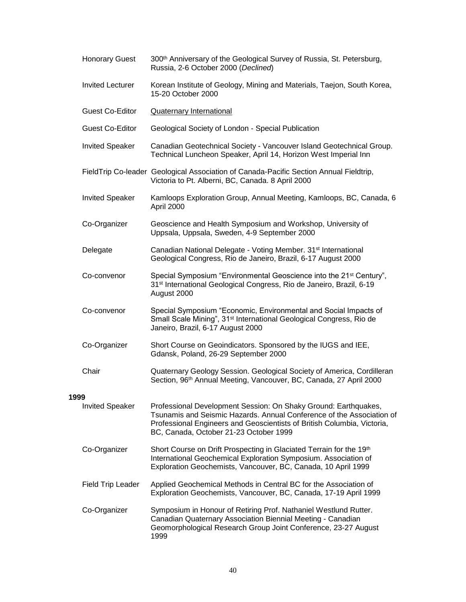|      | <b>Honorary Guest</b>    | 300th Anniversary of the Geological Survey of Russia, St. Petersburg,<br>Russia, 2-6 October 2000 (Declined)                                                                                                                                                  |
|------|--------------------------|---------------------------------------------------------------------------------------------------------------------------------------------------------------------------------------------------------------------------------------------------------------|
|      | <b>Invited Lecturer</b>  | Korean Institute of Geology, Mining and Materials, Taejon, South Korea,<br>15-20 October 2000                                                                                                                                                                 |
|      | <b>Guest Co-Editor</b>   | <b>Quaternary International</b>                                                                                                                                                                                                                               |
|      | <b>Guest Co-Editor</b>   | Geological Society of London - Special Publication                                                                                                                                                                                                            |
|      | <b>Invited Speaker</b>   | Canadian Geotechnical Society - Vancouver Island Geotechnical Group.<br>Technical Luncheon Speaker, April 14, Horizon West Imperial Inn                                                                                                                       |
|      |                          | FieldTrip Co-leader Geological Association of Canada-Pacific Section Annual Fieldtrip,<br>Victoria to Pt. Alberni, BC, Canada. 8 April 2000                                                                                                                   |
|      | <b>Invited Speaker</b>   | Kamloops Exploration Group, Annual Meeting, Kamloops, BC, Canada, 6<br>April 2000                                                                                                                                                                             |
|      | Co-Organizer             | Geoscience and Health Symposium and Workshop, University of<br>Uppsala, Uppsala, Sweden, 4-9 September 2000                                                                                                                                                   |
|      | Delegate                 | Canadian National Delegate - Voting Member. 31 <sup>st</sup> International<br>Geological Congress, Rio de Janeiro, Brazil, 6-17 August 2000                                                                                                                   |
|      | Co-convenor              | Special Symposium "Environmental Geoscience into the 21 <sup>st</sup> Century",<br>31 <sup>st</sup> International Geological Congress, Rio de Janeiro, Brazil, 6-19<br>August 2000                                                                            |
|      | Co-convenor              | Special Symposium "Economic, Environmental and Social Impacts of<br>Small Scale Mining", 31 <sup>st</sup> International Geological Congress, Rio de<br>Janeiro, Brazil, 6-17 August 2000                                                                      |
|      | Co-Organizer             | Short Course on Geoindicators. Sponsored by the IUGS and IEE,<br>Gdansk, Poland, 26-29 September 2000                                                                                                                                                         |
|      | Chair                    | Quaternary Geology Session. Geological Society of America, Cordilleran<br>Section, 96 <sup>th</sup> Annual Meeting, Vancouver, BC, Canada, 27 April 2000                                                                                                      |
| 1999 |                          |                                                                                                                                                                                                                                                               |
|      | <b>Invited Speaker</b>   | Professional Development Session: On Shaky Ground: Earthquakes,<br>Tsunamis and Seismic Hazards, Annual Conference of the Association of<br>Professional Engineers and Geoscientists of British Columbia, Victoria,<br>BC, Canada, October 21-23 October 1999 |
|      | Co-Organizer             | Short Course on Drift Prospecting in Glaciated Terrain for the 19th<br>International Geochemical Exploration Symposium. Association of<br>Exploration Geochemists, Vancouver, BC, Canada, 10 April 1999                                                       |
|      | <b>Field Trip Leader</b> | Applied Geochemical Methods in Central BC for the Association of<br>Exploration Geochemists, Vancouver, BC, Canada, 17-19 April 1999                                                                                                                          |
|      | Co-Organizer             | Symposium in Honour of Retiring Prof. Nathaniel Westlund Rutter.<br>Canadian Quaternary Association Biennial Meeting - Canadian<br>Geomorphological Research Group Joint Conference, 23-27 August<br>1999                                                     |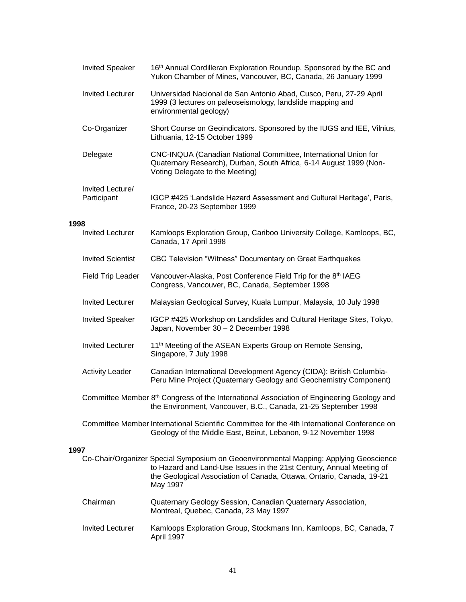|      | <b>Invited Speaker</b>          | 16th Annual Cordilleran Exploration Roundup, Sponsored by the BC and<br>Yukon Chamber of Mines, Vancouver, BC, Canada, 26 January 1999                                                                                                            |  |
|------|---------------------------------|---------------------------------------------------------------------------------------------------------------------------------------------------------------------------------------------------------------------------------------------------|--|
|      | <b>Invited Lecturer</b>         | Universidad Nacional de San Antonio Abad, Cusco, Peru, 27-29 April<br>1999 (3 lectures on paleoseismology, landslide mapping and<br>environmental geology)                                                                                        |  |
|      | Co-Organizer                    | Short Course on Geoindicators. Sponsored by the IUGS and IEE, Vilnius,<br>Lithuania, 12-15 October 1999                                                                                                                                           |  |
|      | Delegate                        | CNC-INQUA (Canadian National Committee, International Union for<br>Quaternary Research), Durban, South Africa, 6-14 August 1999 (Non-<br>Voting Delegate to the Meeting)                                                                          |  |
|      | Invited Lecture/<br>Participant | IGCP #425 'Landslide Hazard Assessment and Cultural Heritage', Paris,<br>France, 20-23 September 1999                                                                                                                                             |  |
| 1998 |                                 |                                                                                                                                                                                                                                                   |  |
|      | <b>Invited Lecturer</b>         | Kamloops Exploration Group, Cariboo University College, Kamloops, BC,<br>Canada, 17 April 1998                                                                                                                                                    |  |
|      | <b>Invited Scientist</b>        | CBC Television "Witness" Documentary on Great Earthquakes                                                                                                                                                                                         |  |
|      | <b>Field Trip Leader</b>        | Vancouver-Alaska, Post Conference Field Trip for the 8th IAEG<br>Congress, Vancouver, BC, Canada, September 1998                                                                                                                                  |  |
|      | <b>Invited Lecturer</b>         | Malaysian Geological Survey, Kuala Lumpur, Malaysia, 10 July 1998                                                                                                                                                                                 |  |
|      | <b>Invited Speaker</b>          | IGCP #425 Workshop on Landslides and Cultural Heritage Sites, Tokyo,<br>Japan, November 30 - 2 December 1998                                                                                                                                      |  |
|      | <b>Invited Lecturer</b>         | 11 <sup>th</sup> Meeting of the ASEAN Experts Group on Remote Sensing,<br>Singapore, 7 July 1998                                                                                                                                                  |  |
|      | <b>Activity Leader</b>          | Canadian International Development Agency (CIDA): British Columbia-<br>Peru Mine Project (Quaternary Geology and Geochemistry Component)                                                                                                          |  |
|      |                                 | Committee Member 8 <sup>th</sup> Congress of the International Association of Engineering Geology and<br>the Environment, Vancouver, B.C., Canada, 21-25 September 1998                                                                           |  |
|      |                                 | Committee Member International Scientific Committee for the 4th International Conference on<br>Geology of the Middle East, Beirut, Lebanon, 9-12 November 1998                                                                                    |  |
| 1997 |                                 |                                                                                                                                                                                                                                                   |  |
|      |                                 | Co-Chair/Organizer Special Symposium on Geoenvironmental Mapping: Applying Geoscience<br>to Hazard and Land-Use Issues in the 21st Century, Annual Meeting of<br>the Geological Association of Canada, Ottawa, Ontario, Canada, 19-21<br>May 1997 |  |
|      | Chairman                        | Quaternary Geology Session, Canadian Quaternary Association,<br>Montreal, Quebec, Canada, 23 May 1997                                                                                                                                             |  |
|      | <b>Invited Lecturer</b>         | Kamloops Exploration Group, Stockmans Inn, Kamloops, BC, Canada, 7<br>April 1997                                                                                                                                                                  |  |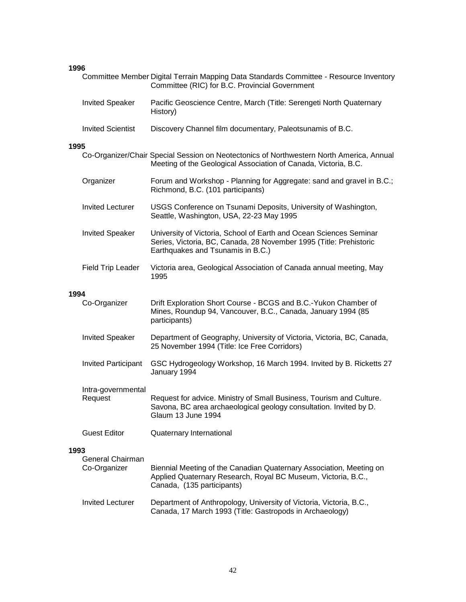# **1996**

|      |                               | Committee Member Digital Terrain Mapping Data Standards Committee - Resource Inventory<br>Committee (RIC) for B.C. Provincial Government                                      |
|------|-------------------------------|-------------------------------------------------------------------------------------------------------------------------------------------------------------------------------|
|      | <b>Invited Speaker</b>        | Pacific Geoscience Centre, March (Title: Serengeti North Quaternary<br>History)                                                                                               |
|      | <b>Invited Scientist</b>      | Discovery Channel film documentary, Paleotsunamis of B.C.                                                                                                                     |
| 1995 |                               |                                                                                                                                                                               |
|      |                               | Co-Organizer/Chair Special Session on Neotectonics of Northwestern North America, Annual<br>Meeting of the Geological Association of Canada, Victoria, B.C.                   |
|      | Organizer                     | Forum and Workshop - Planning for Aggregate: sand and gravel in B.C.;<br>Richmond, B.C. (101 participants)                                                                    |
|      | <b>Invited Lecturer</b>       | USGS Conference on Tsunami Deposits, University of Washington,<br>Seattle, Washington, USA, 22-23 May 1995                                                                    |
|      | <b>Invited Speaker</b>        | University of Victoria, School of Earth and Ocean Sciences Seminar<br>Series, Victoria, BC, Canada, 28 November 1995 (Title: Prehistoric<br>Earthquakes and Tsunamis in B.C.) |
|      | <b>Field Trip Leader</b>      | Victoria area, Geological Association of Canada annual meeting, May<br>1995                                                                                                   |
| 1994 |                               |                                                                                                                                                                               |
|      | Co-Organizer                  | Drift Exploration Short Course - BCGS and B.C.-Yukon Chamber of<br>Mines, Roundup 94, Vancouver, B.C., Canada, January 1994 (85<br>participants)                              |
|      | <b>Invited Speaker</b>        | Department of Geography, University of Victoria, Victoria, BC, Canada,<br>25 November 1994 (Title: Ice Free Corridors)                                                        |
|      | <b>Invited Participant</b>    | GSC Hydrogeology Workshop, 16 March 1994. Invited by B. Ricketts 27<br>January 1994                                                                                           |
|      | Intra-governmental<br>Request | Request for advice. Ministry of Small Business, Tourism and Culture.<br>Savona, BC area archaeological geology consultation. Invited by D.<br>Glaum 13 June 1994              |
|      | <b>Guest Editor</b>           | Quaternary International                                                                                                                                                      |
| 1993 |                               |                                                                                                                                                                               |
|      | General Chairman              |                                                                                                                                                                               |
|      | Co-Organizer                  | Biennial Meeting of the Canadian Quaternary Association, Meeting on<br>Applied Quaternary Research, Royal BC Museum, Victoria, B.C.,<br>Canada, (135 participants)            |
|      | <b>Invited Lecturer</b>       | Department of Anthropology, University of Victoria, Victoria, B.C.,<br>Canada, 17 March 1993 (Title: Gastropods in Archaeology)                                               |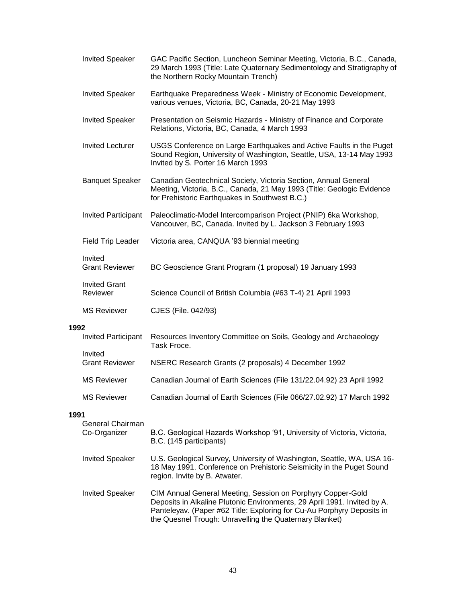|      | <b>Invited Speaker</b>           | GAC Pacific Section, Luncheon Seminar Meeting, Victoria, B.C., Canada,<br>29 March 1993 (Title: Late Quaternary Sedimentology and Stratigraphy of<br>the Northern Rocky Mountain Trench)                                                                                     |
|------|----------------------------------|------------------------------------------------------------------------------------------------------------------------------------------------------------------------------------------------------------------------------------------------------------------------------|
|      | <b>Invited Speaker</b>           | Earthquake Preparedness Week - Ministry of Economic Development,<br>various venues, Victoria, BC, Canada, 20-21 May 1993                                                                                                                                                     |
|      | <b>Invited Speaker</b>           | Presentation on Seismic Hazards - Ministry of Finance and Corporate<br>Relations, Victoria, BC, Canada, 4 March 1993                                                                                                                                                         |
|      | <b>Invited Lecturer</b>          | USGS Conference on Large Earthquakes and Active Faults in the Puget<br>Sound Region, University of Washington, Seattle, USA, 13-14 May 1993<br>Invited by S. Porter 16 March 1993                                                                                            |
|      | <b>Banquet Speaker</b>           | Canadian Geotechnical Society, Victoria Section, Annual General<br>Meeting, Victoria, B.C., Canada, 21 May 1993 (Title: Geologic Evidence<br>for Prehistoric Earthquakes in Southwest B.C.)                                                                                  |
|      | <b>Invited Participant</b>       | Paleoclimatic-Model Intercomparison Project (PNIP) 6ka Workshop,<br>Vancouver, BC, Canada. Invited by L. Jackson 3 February 1993                                                                                                                                             |
|      | Field Trip Leader                | Victoria area, CANQUA '93 biennial meeting                                                                                                                                                                                                                                   |
|      | Invited<br><b>Grant Reviewer</b> | BC Geoscience Grant Program (1 proposal) 19 January 1993                                                                                                                                                                                                                     |
|      | <b>Invited Grant</b><br>Reviewer | Science Council of British Columbia (#63 T-4) 21 April 1993                                                                                                                                                                                                                  |
|      | <b>MS Reviewer</b>               | CJES (File. 042/93)                                                                                                                                                                                                                                                          |
| 1992 |                                  |                                                                                                                                                                                                                                                                              |
|      | <b>Invited Participant</b>       | Resources Inventory Committee on Soils, Geology and Archaeology<br>Task Froce.                                                                                                                                                                                               |
|      | Invited<br><b>Grant Reviewer</b> | NSERC Research Grants (2 proposals) 4 December 1992                                                                                                                                                                                                                          |
|      | <b>MS Reviewer</b>               | Canadian Journal of Earth Sciences (File 131/22.04.92) 23 April 1992                                                                                                                                                                                                         |
|      | <b>MS Reviewer</b>               | Canadian Journal of Earth Sciences (File 066/27.02.92) 17 March 1992                                                                                                                                                                                                         |
| 1991 |                                  |                                                                                                                                                                                                                                                                              |
|      | General Chairman<br>Co-Organizer | B.C. Geological Hazards Workshop '91, University of Victoria, Victoria,<br>B.C. (145 participants)                                                                                                                                                                           |
|      | <b>Invited Speaker</b>           | U.S. Geological Survey, University of Washington, Seattle, WA, USA 16-<br>18 May 1991. Conference on Prehistoric Seismicity in the Puget Sound<br>region. Invite by B. Atwater.                                                                                              |
|      | <b>Invited Speaker</b>           | CIM Annual General Meeting, Session on Porphyry Copper-Gold<br>Deposits in Alkaline Plutonic Environments, 29 April 1991. Invited by A.<br>Panteleyav. (Paper #62 Title: Exploring for Cu-Au Porphyry Deposits in<br>the Quesnel Trough: Unravelling the Quaternary Blanket) |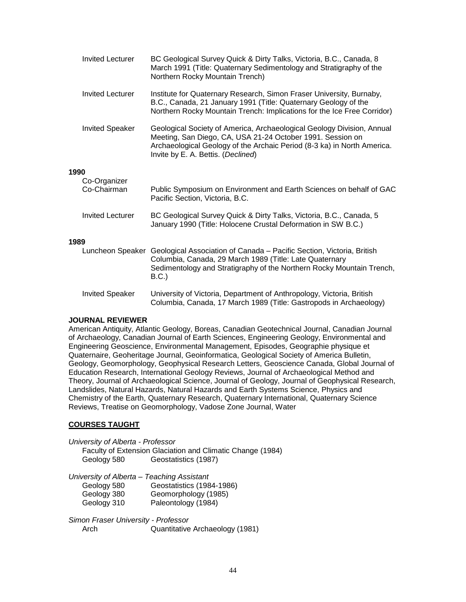|      | <b>Invited Lecturer</b>     | BC Geological Survey Quick & Dirty Talks, Victoria, B.C., Canada, 8<br>March 1991 (Title: Quaternary Sedimentology and Stratigraphy of the<br>Northern Rocky Mountain Trench)                                                                         |
|------|-----------------------------|-------------------------------------------------------------------------------------------------------------------------------------------------------------------------------------------------------------------------------------------------------|
|      | <b>Invited Lecturer</b>     | Institute for Quaternary Research, Simon Fraser University, Burnaby,<br>B.C., Canada, 21 January 1991 (Title: Quaternary Geology of the<br>Northern Rocky Mountain Trench: Implications for the Ice Free Corridor)                                    |
|      | <b>Invited Speaker</b>      | Geological Society of America, Archaeological Geology Division, Annual<br>Meeting, San Diego, CA, USA 21-24 October 1991. Session on<br>Archaeological Geology of the Archaic Period (8-3 ka) in North America.<br>Invite by E. A. Bettis. (Declined) |
| 1990 |                             |                                                                                                                                                                                                                                                       |
|      | Co-Organizer<br>Co-Chairman | Public Symposium on Environment and Earth Sciences on behalf of GAC<br>Pacific Section, Victoria, B.C.                                                                                                                                                |
|      | <b>Invited Lecturer</b>     | BC Geological Survey Quick & Dirty Talks, Victoria, B.C., Canada, 5<br>January 1990 (Title: Holocene Crustal Deformation in SW B.C.)                                                                                                                  |
| 1989 |                             |                                                                                                                                                                                                                                                       |
|      |                             | Luncheon Speaker Geological Association of Canada - Pacific Section, Victoria, British<br>Columbia, Canada, 29 March 1989 (Title: Late Quaternary<br>Sedimentology and Stratigraphy of the Northern Rocky Mountain Trench,<br>B.C.                    |
|      | <b>Invited Speaker</b>      | University of Victoria, Department of Anthropology, Victoria, British<br>Columbia, Canada, 17 March 1989 (Title: Gastropods in Archaeology)                                                                                                           |

#### **JOURNAL REVIEWER**

American Antiquity, Atlantic Geology, Boreas, Canadian Geotechnical Journal, Canadian Journal of Archaeology, Canadian Journal of Earth Sciences, Engineering Geology, Environmental and Engineering Geoscience, Environmental Management, Episodes, Geographie physique et Quaternaire, Geoheritage Journal, Geoinformatica, Geological Society of America Bulletin, Geology, Geomorphology, Geophysical Research Letters, Geoscience Canada, Global Journal of Education Research, International Geology Reviews, Journal of Archaeological Method and Theory, Journal of Archaeological Science, Journal of Geology, Journal of Geophysical Research, Landslides, Natural Hazards, Natural Hazards and Earth Systems Science, Physics and Chemistry of the Earth, Quaternary Research, Quaternary International, Quaternary Science Reviews, Treatise on Geomorphology, Vadose Zone Journal, Water

## **COURSES TAUGHT**

*University of Alberta - Professor*

Faculty of Extension Glaciation and Climatic Change (1984) Geology 580 Geostatistics (1987)

*University of Alberta – Teaching Assistant* Geology 580 Geostatistics (1984-1986) Geology 380 Geomorphology (1985) Geology 310 Paleontology (1984)

*Simon Fraser University - Professor* Arch Quantitative Archaeology (1981)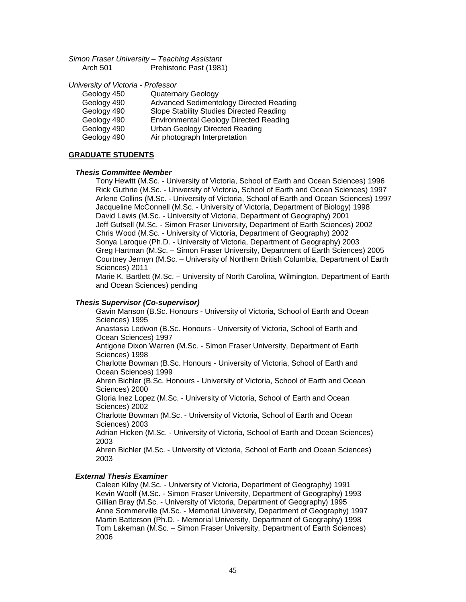*Simon Fraser University – Teaching Assistant* Arch 501 Prehistoric Past (1981)

*University of Victoria - Professor*

| Geology 450 | <b>Quaternary Geology</b>                      |
|-------------|------------------------------------------------|
| Geology 490 | <b>Advanced Sedimentology Directed Reading</b> |
| Geology 490 | Slope Stability Studies Directed Reading       |
| Geology 490 | <b>Environmental Geology Directed Reading</b>  |
| Geology 490 | <b>Urban Geology Directed Reading</b>          |
| Geology 490 | Air photograph Interpretation                  |

#### **GRADUATE STUDENTS**

#### *Thesis Committee Member*

Tony Hewitt (M.Sc. - University of Victoria, School of Earth and Ocean Sciences) 1996 Rick Guthrie (M.Sc. - University of Victoria, School of Earth and Ocean Sciences) 1997 Arlene Collins (M.Sc. - University of Victoria, School of Earth and Ocean Sciences) 1997 Jacqueline McConnell (M.Sc. - University of Victoria, Department of Biology) 1998 David Lewis (M.Sc. - University of Victoria, Department of Geography) 2001 Jeff Gutsell (M.Sc. - Simon Fraser University, Department of Earth Sciences) 2002 Chris Wood (M.Sc. - University of Victoria, Department of Geography) 2002 Sonya Laroque (Ph.D. - University of Victoria, Department of Geography) 2003 Greg Hartman (M.Sc. – Simon Fraser University, Department of Earth Sciences) 2005 Courtney Jermyn (M.Sc. – University of Northern British Columbia, Department of Earth Sciences) 2011

Marie K. Bartlett (M.Sc. – University of North Carolina, Wilmington, Department of Earth and Ocean Sciences) pending

#### *Thesis Supervisor (Co-supervisor)*

Gavin Manson (B.Sc. Honours - University of Victoria, School of Earth and Ocean Sciences) 1995 Anastasia Ledwon (B.Sc. Honours - University of Victoria, School of Earth and Ocean Sciences) 1997 Antigone Dixon Warren (M.Sc. - Simon Fraser University, Department of Earth Sciences) 1998 Charlotte Bowman (B.Sc. Honours - University of Victoria, School of Earth and Ocean Sciences) 1999 Ahren Bichler (B.Sc. Honours - University of Victoria, School of Earth and Ocean Sciences) 2000 Gloria Inez Lopez (M.Sc. - University of Victoria, School of Earth and Ocean Sciences) 2002 Charlotte Bowman (M.Sc. - University of Victoria, School of Earth and Ocean Sciences) 2003 Adrian Hicken (M.Sc. - University of Victoria, School of Earth and Ocean Sciences) 2003 Ahren Bichler (M.Sc. - University of Victoria, School of Earth and Ocean Sciences) 2003

#### *External Thesis Examiner*

Caleen Kilby (M.Sc. - University of Victoria, Department of Geography) 1991 Kevin Woolf (M.Sc. - Simon Fraser University, Department of Geography) 1993 Gillian Bray (M.Sc. - University of Victoria, Department of Geography) 1995 Anne Sommerville (M.Sc. - Memorial University, Department of Geography) 1997 Martin Batterson (Ph.D. - Memorial University, Department of Geography) 1998 Tom Lakeman (M.Sc. – Simon Fraser University, Department of Earth Sciences) 2006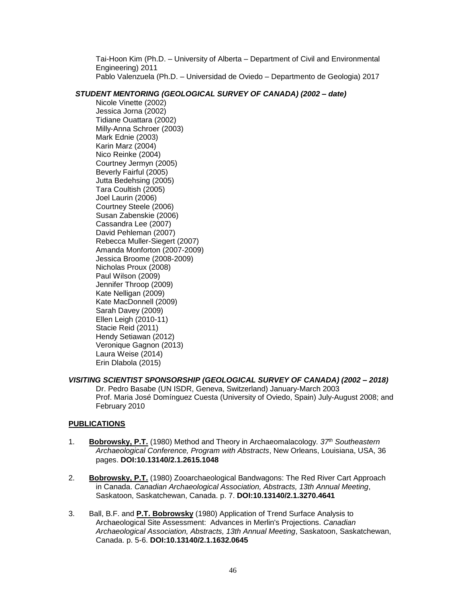Tai-Hoon Kim (Ph.D. – University of Alberta – Department of Civil and Environmental Engineering) 2011 Pablo Valenzuela (Ph.D. – Universidad de Oviedo – Departmento de Geologia) 2017

## *STUDENT MENTORING (GEOLOGICAL SURVEY OF CANADA) (2002 – date)*

Nicole Vinette (2002) Jessica Jorna (2002) Tidiane Ouattara (2002) Milly-Anna Schroer (2003) Mark Ednie (2003) Karin Marz (2004) Nico Reinke (2004) Courtney Jermyn (2005) Beverly Fairful (2005) Jutta Bedehsing (2005) Tara Coultish (2005) Joel Laurin (2006) Courtney Steele (2006) Susan Zabenskie (2006) Cassandra Lee (2007) David Pehleman (2007) Rebecca Muller-Siegert (2007) Amanda Monforton (2007-2009) Jessica Broome (2008-2009) Nicholas Proux (2008) Paul Wilson (2009) Jennifer Throop (2009) Kate Nelligan (2009) Kate MacDonnell (2009) Sarah Davey (2009) Ellen Leigh (2010-11) Stacie Reid (2011) Hendy Setiawan (2012) Veronique Gagnon (2013) Laura Weise (2014) Erin Dlabola (2015)

# *VISITING SCIENTIST SPONSORSHIP (GEOLOGICAL SURVEY OF CANADA) (2002 – 2018)*

Dr. Pedro Basabe (UN ISDR, Geneva, Switzerland) January-March 2003 Prof. Maria José Domínguez Cuesta (University of Oviedo, Spain) July-August 2008; and February 2010

## **PUBLICATIONS**

- 1. **Bobrowsky, P.T.** (1980) Method and Theory in Archaeomalacology. *37th Southeastern Archaeological Conference, Program with Abstracts*, New Orleans, Louisiana, USA, 36 pages. **DOI:10.13140/2.1.2615.1048**
- 2. **Bobrowsky, P.T.** (1980) Zooarchaeological Bandwagons: The Red River Cart Approach in Canada. *Canadian Archaeological Association, Abstracts, 13th Annual Meeting*, Saskatoon, Saskatchewan, Canada. p. 7. **DOI:10.13140/2.1.3270.4641**
- 3. Ball, B.F. and **P.T. Bobrowsky** (1980) Application of Trend Surface Analysis to Archaeological Site Assessment: Advances in Merlin's Projections. *Canadian Archaeological Association, Abstracts, 13th Annual Meeting*, Saskatoon, Saskatchewan, Canada. p. 5-6. **DOI:10.13140/2.1.1632.0645**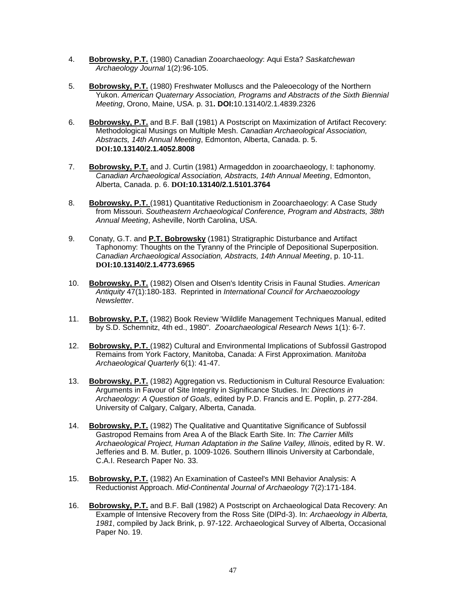- 4. **Bobrowsky, P.T.** (1980) Canadian Zooarchaeology: Aqui Esta? *Saskatchewan Archaeology Journal* 1(2):96-105.
- 5. **Bobrowsky, P.T.** (1980) Freshwater Molluscs and the Paleoecology of the Northern Yukon. *American Quaternary Association, Programs and Abstracts of the Sixth Biennial Meeting*, Orono, Maine, USA. p. 31**. DOI:**10.13140/2.1.4839.2326
- 6. **Bobrowsky, P.T.** and B.F. Ball (1981) A Postscript on Maximization of Artifact Recovery: Methodological Musings on Multiple Mesh. *Canadian Archaeological Association, Abstracts, 14th Annual Meeting*, Edmonton, Alberta, Canada. p. 5. **DOI:10.13140/2.1.4052.8008**
- 7. **Bobrowsky, P.T.** and J. Curtin (1981) Armageddon in zooarchaeology, I: taphonomy. *Canadian Archaeological Association, Abstracts, 14th Annual Meeting*, Edmonton, Alberta, Canada. p. 6. **DOI:10.13140/2.1.5101.3764**
- 8. **Bobrowsky, P.T.** (1981) Quantitative Reductionism in Zooarchaeology: A Case Study from Missouri. *Southeastern Archaeological Conference, Program and Abstracts, 38th Annual Meeting*, Asheville, North Carolina, USA.
- 9. Conaty, G.T. and **P.T. Bobrowsky** (1981) Stratigraphic Disturbance and Artifact Taphonomy: Thoughts on the Tyranny of the Principle of Depositional Superposition. *Canadian Archaeological Association, Abstracts, 14th Annual Meeting*, p. 10-11. **DOI:10.13140/2.1.4773.6965**
- 10. **Bobrowsky, P.T.** (1982) Olsen and Olsen's Identity Crisis in Faunal Studies. *American Antiquity* 47(1):180-183. Reprinted in *International Council for Archaeozoology Newsletter*.
- 11. **Bobrowsky, P.T.** (1982) Book Review 'Wildlife Management Techniques Manual, edited by S.D. Schemnitz, 4th ed., 1980". *Zooarchaeological Research News* 1(1): 6-7.
- 12. **Bobrowsky, P.T.** (1982) Cultural and Environmental Implications of Subfossil Gastropod Remains from York Factory, Manitoba, Canada: A First Approximation. *Manitoba Archaeological Quarterly* 6(1): 41-47.
- 13. **Bobrowsky, P.T.** (1982) Aggregation vs. Reductionism in Cultural Resource Evaluation: Arguments in Favour of Site Integrity in Significance Studies. In: *Directions in Archaeology: A Question of Goals*, edited by P.D. Francis and E. Poplin, p. 277-284. University of Calgary, Calgary, Alberta, Canada.
- 14. **Bobrowsky, P.T.** (1982) The Qualitative and Quantitative Significance of Subfossil Gastropod Remains from Area A of the Black Earth Site. In: *The Carrier Mills Archaeological Project, Human Adaptation in the Saline Valley, Illinois*, edited by R. W. Jefferies and B. M. Butler, p. 1009-1026. Southern Illinois University at Carbondale, C.A.I. Research Paper No. 33.
- 15. **Bobrowsky, P.T.** (1982) An Examination of Casteel's MNI Behavior Analysis: A Reductionist Approach. *Mid-Continental Journal of Archaeology* 7(2):171-184.
- 16. **Bobrowsky, P.T.** and B.F. Ball (1982) A Postscript on Archaeological Data Recovery: An Example of Intensive Recovery from the Ross Site (DlPd-3). In: *Archaeology in Alberta, 1981*, compiled by Jack Brink, p. 97-122. Archaeological Survey of Alberta, Occasional Paper No. 19.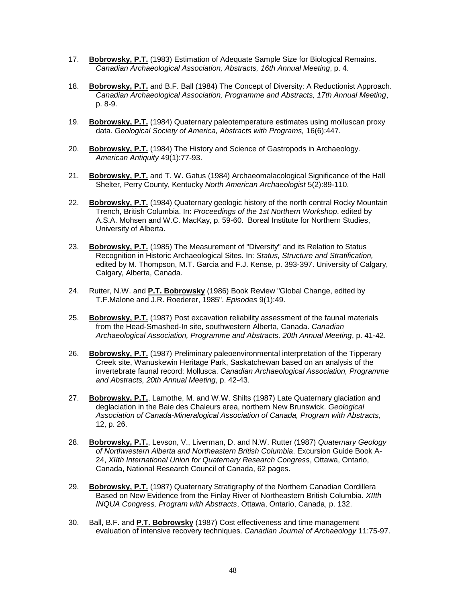- 17. **Bobrowsky, P.T.** (1983) Estimation of Adequate Sample Size for Biological Remains. *Canadian Archaeological Association, Abstracts, 16th Annual Meeting*, p. 4.
- 18. **Bobrowsky, P.T.** and B.F. Ball (1984) The Concept of Diversity: A Reductionist Approach. *Canadian Archaeological Association, Programme and Abstracts, 17th Annual Meeting*, p. 8-9.
- 19. **Bobrowsky, P.T.** (1984) Quaternary paleotemperature estimates using molluscan proxy data. *Geological Society of America, Abstracts with Programs,* 16(6):447.
- 20. **Bobrowsky, P.T.** (1984) The History and Science of Gastropods in Archaeology. *American Antiquity* 49(1):77-93.
- 21. **Bobrowsky, P.T.** and T. W. Gatus (1984) Archaeomalacological Significance of the Hall Shelter, Perry County, Kentucky *North American Archaeologist* 5(2):89-110.
- 22. **Bobrowsky, P.T.** (1984) Quaternary geologic history of the north central Rocky Mountain Trench, British Columbia. In: *Proceedings of the 1st Northern Workshop*, edited by A.S.A. Mohsen and W.C. MacKay, p. 59-60. Boreal Institute for Northern Studies, University of Alberta.
- 23. **Bobrowsky, P.T.** (1985) The Measurement of "Diversity" and its Relation to Status Recognition in Historic Archaeological Sites. In: *Status, Structure and Stratification,*  edited by M. Thompson, M.T. Garcia and F.J. Kense, p. 393-397. University of Calgary, Calgary, Alberta, Canada.
- 24. Rutter, N.W. and **P.T. Bobrowsky** (1986) Book Review "Global Change, edited by T.F.Malone and J.R. Roederer, 1985". *Episodes* 9(1):49.
- 25. **Bobrowsky, P.T.** (1987) Post excavation reliability assessment of the faunal materials from the Head-Smashed-In site, southwestern Alberta, Canada. *Canadian Archaeological Association, Programme and Abstracts, 20th Annual Meeting*, p. 41-42.
- 26. **Bobrowsky, P.T.** (1987) Preliminary paleoenvironmental interpretation of the Tipperary Creek site, Wanuskewin Heritage Park, Saskatchewan based on an analysis of the invertebrate faunal record: Mollusca. *Canadian Archaeological Association, Programme and Abstracts, 20th Annual Meeting*, p. 42-43.
- 27. **Bobrowsky, P.T.**, Lamothe, M. and W.W. Shilts (1987) Late Quaternary glaciation and deglaciation in the Baie des Chaleurs area, northern New Brunswick. *Geological Association of Canada-Mineralogical Association of Canada, Program with Abstracts,*  12, p. 26.
- 28. **Bobrowsky, P.T.**, Levson, V., Liverman, D. and N.W. Rutter (1987) *Quaternary Geology of Northwestern Alberta and Northeastern British Columbia*. Excursion Guide Book A-24, *XIIth International Union for Quaternary Research Congress*, Ottawa, Ontario, Canada, National Research Council of Canada, 62 pages.
- 29. **Bobrowsky, P.T.** (1987) Quaternary Stratigraphy of the Northern Canadian Cordillera Based on New Evidence from the Finlay River of Northeastern British Columbia. *XIIth INQUA Congress, Program with Abstracts*, Ottawa, Ontario, Canada, p. 132.
- 30. Ball, B.F. and **P.T. Bobrowsky** (1987) Cost effectiveness and time management evaluation of intensive recovery techniques. *Canadian Journal of Archaeology* 11:75-97.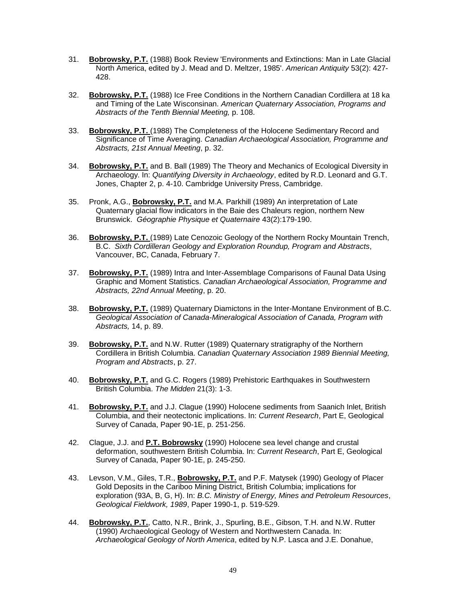- 31. **Bobrowsky, P.T.** (1988) Book Review 'Environments and Extinctions: Man in Late Glacial North America, edited by J. Mead and D. Meltzer, 1985'. *American Antiquity* 53(2): 427- 428.
- 32. **Bobrowsky, P.T.** (1988) Ice Free Conditions in the Northern Canadian Cordillera at 18 ka and Timing of the Late Wisconsinan. *American Quaternary Association, Programs and Abstracts of the Tenth Biennial Meeting,* p. 108.
- 33. **Bobrowsky, P.T.** (1988) The Completeness of the Holocene Sedimentary Record and Significance of Time Averaging. *Canadian Archaeological Association, Programme and Abstracts, 21st Annual Meeting*, p. 32.
- 34. **Bobrowsky, P.T.** and B. Ball (1989) The Theory and Mechanics of Ecological Diversity in Archaeology. In: *Quantifying Diversity in Archaeology*, edited by R.D. Leonard and G.T. Jones, Chapter 2, p. 4-10. Cambridge University Press, Cambridge.
- 35. Pronk, A.G., **Bobrowsky, P.T.** and M.A. Parkhill (1989) An interpretation of Late Quaternary glacial flow indicators in the Baie des Chaleurs region, northern New Brunswick. *Géographie Physique et Quaternaire* 43(2):179-190.
- 36. **Bobrowsky, P.T.** (1989) Late Cenozoic Geology of the Northern Rocky Mountain Trench, B.C. *Sixth Cordilleran Geology and Exploration Roundup, Program and Abstracts*, Vancouver, BC, Canada, February 7.
- 37. **Bobrowsky, P.T.** (1989) Intra and Inter-Assemblage Comparisons of Faunal Data Using Graphic and Moment Statistics. *Canadian Archaeological Association, Programme and Abstracts, 22nd Annual Meeting*, p. 20.
- 38. **Bobrowsky, P.T.** (1989) Quaternary Diamictons in the Inter-Montane Environment of B.C. *Geological Association of Canada-Mineralogical Association of Canada, Program with Abstracts,* 14, p. 89.
- 39. **Bobrowsky, P.T.** and N.W. Rutter (1989) Quaternary stratigraphy of the Northern Cordillera in British Columbia. *Canadian Quaternary Association 1989 Biennial Meeting, Program and Abstracts*, p. 27.
- 40. **Bobrowsky, P.T.** and G.C. Rogers (1989) Prehistoric Earthquakes in Southwestern British Columbia. *The Midden* 21(3): 1-3.
- 41. **Bobrowsky, P.T.** and J.J. Clague (1990) Holocene sediments from Saanich Inlet, British Columbia, and their neotectonic implications. In: *Current Research*, Part E, Geological Survey of Canada, Paper 90-1E, p. 251-256.
- 42. Clague, J.J. and **P.T. Bobrowsky** (1990) Holocene sea level change and crustal deformation, southwestern British Columbia. In: *Current Research*, Part E, Geological Survey of Canada, Paper 90-1E, p. 245-250.
- 43. Levson, V.M., Giles, T.R., **Bobrowsky, P.T.** and P.F. Matysek (1990) Geology of Placer Gold Deposits in the Cariboo Mining District, British Columbia; implications for exploration (93A, B, G, H). In: *B.C. Ministry of Energy, Mines and Petroleum Resources*, *Geological Fieldwork, 1989*, Paper 1990-1, p. 519-529.
- 44. **Bobrowsky, P.T.**, Catto, N.R., Brink, J., Spurling, B.E., Gibson, T.H. and N.W. Rutter (1990) Archaeological Geology of Western and Northwestern Canada. In: *Archaeological Geology of North America*, edited by N.P. Lasca and J.E. Donahue,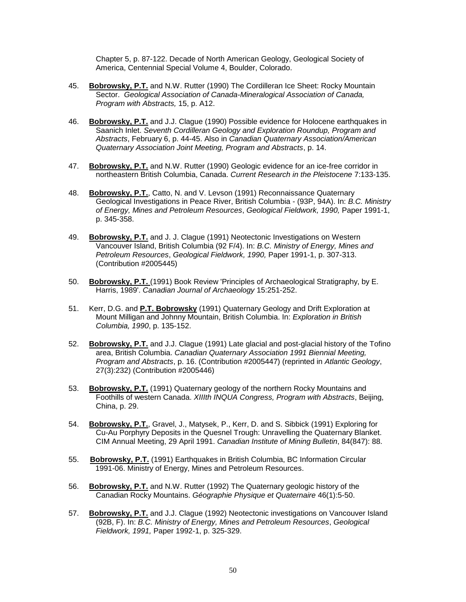Chapter 5, p. 87-122. Decade of North American Geology, Geological Society of America, Centennial Special Volume 4, Boulder, Colorado.

- 45. **Bobrowsky, P.T.** and N.W. Rutter (1990) The Cordilleran Ice Sheet: Rocky Mountain Sector. *Geological Association of Canada-Mineralogical Association of Canada, Program with Abstracts,* 15, p. A12.
- 46. **Bobrowsky, P.T.** and J.J. Clague (1990) Possible evidence for Holocene earthquakes in Saanich Inlet. *Seventh Cordilleran Geology and Exploration Roundup, Program and Abstracts*, February 6, p. 44-45. Also in *Canadian Quaternary Association/American Quaternary Association Joint Meeting, Program and Abstracts*, p. 14.
- 47. **Bobrowsky, P.T.** and N.W. Rutter (1990) Geologic evidence for an ice-free corridor in northeastern British Columbia, Canada. *Current Research in the Pleistocene* 7:133-135.
- 48. **Bobrowsky, P.T.**, Catto, N. and V. Levson (1991) Reconnaissance Quaternary Geological Investigations in Peace River, British Columbia - (93P, 94A). In: *B.C. Ministry of Energy, Mines and Petroleum Resources*, *Geological Fieldwork, 1990,* Paper 1991-1, p. 345-358.
- 49. **Bobrowsky, P.T.** and J. J. Clague (1991) Neotectonic Investigations on Western Vancouver Island, British Columbia (92 F/4). In: *B.C. Ministry of Energy, Mines and Petroleum Resources*, *Geological Fieldwork, 1990,* Paper 1991-1, p. 307-313. (Contribution #2005445)
- 50. **Bobrowsky, P.T.** (1991) Book Review 'Principles of Archaeological Stratigraphy, by E. Harris, 1989'. *Canadian Journal of Archaeology* 15:251-252.
- 51. Kerr, D.G. and **P.T. Bobrowsky** (1991) Quaternary Geology and Drift Exploration at Mount Milligan and Johnny Mountain, British Columbia. In: *Exploration in British Columbia, 1990*, p. 135-152.
- 52. **Bobrowsky, P.T.** and J.J. Clague (1991) Late glacial and post-glacial history of the Tofino area, British Columbia. *Canadian Quaternary Association 1991 Biennial Meeting, Program and Abstracts*, p. 16. (Contribution #2005447) (reprinted in *Atlantic Geology*, 27(3):232) (Contribution #2005446)
- 53. **Bobrowsky, P.T.** (1991) Quaternary geology of the northern Rocky Mountains and Foothills of western Canada. *XIIIth INQUA Congress, Program with Abstracts*, Beijing, China, p. 29.
- 54. **Bobrowsky, P.T.**, Gravel, J., Matysek, P., Kerr, D. and S. Sibbick (1991) Exploring for Cu-Au Porphyry Deposits in the Quesnel Trough: Unravelling the Quaternary Blanket. CIM Annual Meeting, 29 April 1991. *Canadian Institute of Mining Bulletin*, 84(847): 88.
- 55. **Bobrowsky, P.T.** (1991) Earthquakes in British Columbia, BC Information Circular 1991-06. Ministry of Energy, Mines and Petroleum Resources.
- 56. **Bobrowsky, P.T.** and N.W. Rutter (1992) The Quaternary geologic history of the Canadian Rocky Mountains. *Géographie Physique et Quaternaire* 46(1):5-50.
- 57. **Bobrowsky, P.T.** and J.J. Clague (1992) Neotectonic investigations on Vancouver Island (92B, F). In: *B.C. Ministry of Energy, Mines and Petroleum Resources*, *Geological Fieldwork, 1991,* Paper 1992-1, p. 325-329.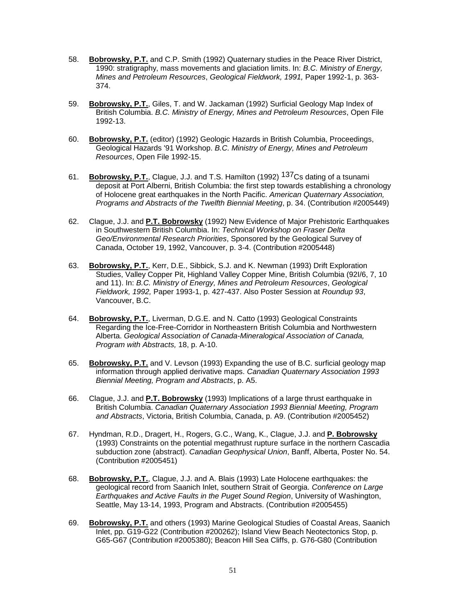- 58. **Bobrowsky, P.T.** and C.P. Smith (1992) Quaternary studies in the Peace River District, 1990: stratigraphy, mass movements and glaciation limits. In: *B.C. Ministry of Energy, Mines and Petroleum Resources*, *Geological Fieldwork, 1991,* Paper 1992-1, p. 363- 374.
- 59. **Bobrowsky, P.T.**, Giles, T. and W. Jackaman (1992) Surficial Geology Map Index of British Columbia. *B.C. Ministry of Energy, Mines and Petroleum Resources*, Open File 1992-13.
- 60. **Bobrowsky, P.T.** (editor) (1992) Geologic Hazards in British Columbia, Proceedings, Geological Hazards '91 Workshop. *B.C. Ministry of Energy, Mines and Petroleum Resources*, Open File 1992-15.
- 61. **Bobrowsky, P.T.**, Clague, J.J. and T.S. Hamilton (1992) 137Cs dating of a tsunami deposit at Port Alberni, British Columbia: the first step towards establishing a chronology of Holocene great earthquakes in the North Pacific. *American Quaternary Association, Programs and Abstracts of the Twelfth Biennial Meeting*, p. 34. (Contribution #2005449)
- 62. Clague, J.J. and **P.T. Bobrowsky** (1992) New Evidence of Major Prehistoric Earthquakes in Southwestern British Columbia. In: *Technical Workshop on Fraser Delta Geo/Environmental Research Priorities*, Sponsored by the Geological Survey of Canada, October 19, 1992, Vancouver, p. 3-4. (Contribution #2005448)
- 63. **Bobrowsky, P.T.**, Kerr, D.E., Sibbick, S.J. and K. Newman (1993) Drift Exploration Studies, Valley Copper Pit, Highland Valley Copper Mine, British Columbia (92I/6, 7, 10 and 11). In: *B.C. Ministry of Energy, Mines and Petroleum Resources*, *Geological Fieldwork, 1992,* Paper 1993-1, p. 427-437. Also Poster Session at *Roundup 93*, Vancouver, B.C.
- 64. **Bobrowsky, P.T.**, Liverman, D.G.E. and N. Catto (1993) Geological Constraints Regarding the Ice-Free-Corridor in Northeastern British Columbia and Northwestern Alberta. *Geological Association of Canada-Mineralogical Association of Canada, Program with Abstracts,* 18, p. A-10.
- 65. **Bobrowsky, P.T.** and V. Levson (1993) Expanding the use of B.C. surficial geology map information through applied derivative maps. *Canadian Quaternary Association 1993 Biennial Meeting, Program and Abstracts*, p. A5.
- 66. Clague, J.J. and **P.T. Bobrowsky** (1993) Implications of a large thrust earthquake in British Columbia. *Canadian Quaternary Association 1993 Biennial Meeting, Program and Abstracts*, Victoria, British Columbia, Canada, p. A9. (Contribution #2005452)
- 67. Hyndman, R.D., Dragert, H., Rogers, G.C., Wang, K., Clague, J.J. and **P. Bobrowsky** (1993) Constraints on the potential megathrust rupture surface in the northern Cascadia subduction zone (abstract). *Canadian Geophysical Union*, Banff, Alberta, Poster No. 54. (Contribution #2005451)
- 68. **Bobrowsky, P.T.**, Clague, J.J. and A. Blais (1993) Late Holocene earthquakes: the geological record from Saanich Inlet, southern Strait of Georgia. *Conference on Large Earthquakes and Active Faults in the Puget Sound Region*, University of Washington, Seattle, May 13-14, 1993, Program and Abstracts. (Contribution #2005455)
- 69. **Bobrowsky, P.T.** and others (1993) Marine Geological Studies of Coastal Areas, Saanich Inlet, pp. G19-G22 (Contribution #200262); Island View Beach Neotectonics Stop, p. G65-G67 (Contribution #2005380); Beacon Hill Sea Cliffs, p. G76-G80 (Contribution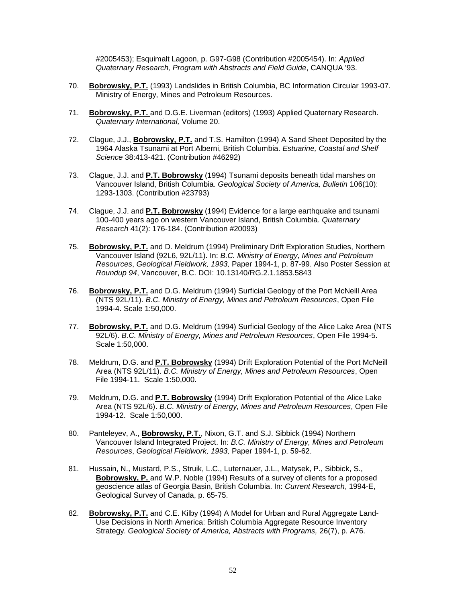#2005453); Esquimalt Lagoon, p. G97-G98 (Contribution #2005454). In: *Applied Quaternary Research, Program with Abstracts and Field Guide*, CANQUA '93.

- 70. **Bobrowsky, P.T.** (1993) Landslides in British Columbia, BC Information Circular 1993-07. Ministry of Energy, Mines and Petroleum Resources.
- 71. **Bobrowsky, P.T.** and D.G.E. Liverman (editors) (1993) Applied Quaternary Research. *Quaternary International,* Volume 20.
- 72. Clague, J.J., **Bobrowsky, P.T.** and T.S. Hamilton (1994) A Sand Sheet Deposited by the 1964 Alaska Tsunami at Port Alberni, British Columbia. *Estuarine, Coastal and Shelf Science* 38:413-421. (Contribution #46292)
- 73. Clague, J.J. and **P.T. Bobrowsky** (1994) Tsunami deposits beneath tidal marshes on Vancouver Island, British Columbia. *Geological Society of America, Bulletin* 106(10): 1293-1303. (Contribution #23793)
- 74. Clague, J.J. and **P.T. Bobrowsky** (1994) Evidence for a large earthquake and tsunami 100-400 years ago on western Vancouver Island, British Columbia. *Quaternary Research* 41(2): 176-184. (Contribution #20093)
- 75. **Bobrowsky, P.T.** and D. Meldrum (1994) Preliminary Drift Exploration Studies, Northern Vancouver Island (92L6, 92L/11). In: *B.C. Ministry of Energy, Mines and Petroleum Resources*, *Geological Fieldwork, 1993,* Paper 1994-1, p. 87-99. Also Poster Session at *Roundup 94*, Vancouver, B.C. DOI: 10.13140/RG.2.1.1853.5843
- 76. **Bobrowsky, P.T.** and D.G. Meldrum (1994) Surficial Geology of the Port McNeill Area (NTS 92L/11). *B.C. Ministry of Energy, Mines and Petroleum Resources*, Open File 1994-4. Scale 1:50,000.
- 77. **Bobrowsky, P.T.** and D.G. Meldrum (1994) Surficial Geology of the Alice Lake Area (NTS 92L/6). *B.C. Ministry of Energy, Mines and Petroleum Resources*, Open File 1994-5. Scale 1:50,000.
- 78. Meldrum, D.G. and **P.T. Bobrowsky** (1994) Drift Exploration Potential of the Port McNeill Area (NTS 92L/11). *B.C. Ministry of Energy, Mines and Petroleum Resources*, Open File 1994-11. Scale 1:50,000.
- 79. Meldrum, D.G. and **P.T. Bobrowsky** (1994) Drift Exploration Potential of the Alice Lake Area (NTS 92L/6). *B.C. Ministry of Energy, Mines and Petroleum Resources*, Open File 1994-12. Scale 1:50,000.
- 80. Panteleyev, A., **Bobrowsky, P.T.**, Nixon, G.T. and S.J. Sibbick (1994) Northern Vancouver Island Integrated Project. In: *B.C. Ministry of Energy, Mines and Petroleum Resources*, *Geological Fieldwork, 1993,* Paper 1994-1, p. 59-62.
- 81. Hussain, N., Mustard, P.S., Struik, L.C., Luternauer, J.L., Matysek, P., Sibbick, S., **Bobrowsky, P.** and W.P. Noble (1994) Results of a survey of clients for a proposed geoscience atlas of Georgia Basin, British Columbia. In: *Current Research*, 1994-E, Geological Survey of Canada, p. 65-75.
- 82. **Bobrowsky, P.T.** and C.E. Kilby (1994) A Model for Urban and Rural Aggregate Land-Use Decisions in North America: British Columbia Aggregate Resource Inventory Strategy. *Geological Society of America, Abstracts with Programs,* 26(7), p. A76.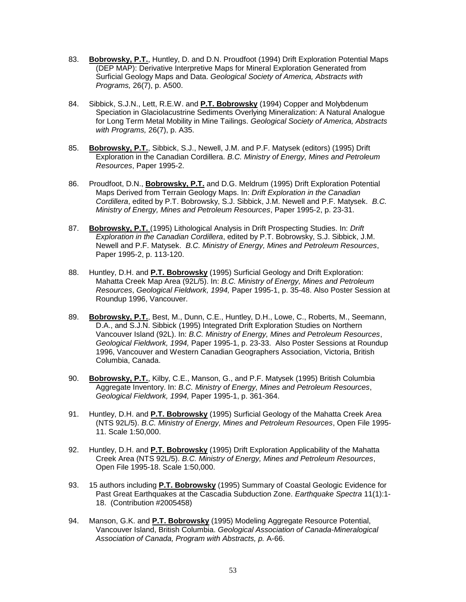- 83. **Bobrowsky, P.T.**, Huntley, D. and D.N. Proudfoot (1994) Drift Exploration Potential Maps (DEP MAP): Derivative Interpretive Maps for Mineral Exploration Generated from Surficial Geology Maps and Data. *Geological Society of America, Abstracts with Programs,* 26(7), p. A500.
- 84. Sibbick, S.J.N., Lett, R.E.W. and **P.T. Bobrowsky** (1994) Copper and Molybdenum Speciation in Glaciolacustrine Sediments Overlying Mineralization: A Natural Analogue for Long Term Metal Mobility in Mine Tailings. *Geological Society of America, Abstracts with Programs,* 26(7), p. A35.
- 85. **Bobrowsky, P.T.**, Sibbick, S.J., Newell, J.M. and P.F. Matysek (editors) (1995) Drift Exploration in the Canadian Cordillera. *B.C. Ministry of Energy, Mines and Petroleum Resources*, Paper 1995-2.
- 86. Proudfoot, D.N., **Bobrowsky, P.T.** and D.G. Meldrum (1995) Drift Exploration Potential Maps Derived from Terrain Geology Maps. In: *Drift Exploration in the Canadian Cordillera*, edited by P.T. Bobrowsky, S.J. Sibbick, J.M. Newell and P.F. Matysek. *B.C. Ministry of Energy, Mines and Petroleum Resources*, Paper 1995-2, p. 23-31.
- 87. **Bobrowsky, P.T.** (1995) Lithological Analysis in Drift Prospecting Studies. In: *Drift Exploration in the Canadian Cordillera*, edited by P.T. Bobrowsky, S.J. Sibbick, J.M. Newell and P.F. Matysek. *B.C. Ministry of Energy, Mines and Petroleum Resources*, Paper 1995-2, p. 113-120.
- 88. Huntley, D.H. and **P.T. Bobrowsky** (1995) Surficial Geology and Drift Exploration: Mahatta Creek Map Area (92L/5). In: *B.C. Ministry of Energy, Mines and Petroleum Resources*, *Geological Fieldwork, 1994,* Paper 1995-1, p. 35-48. Also Poster Session at Roundup 1996, Vancouver.
- 89. **Bobrowsky, P.T.**, Best, M., Dunn, C.E., Huntley, D.H., Lowe, C., Roberts, M., Seemann, D.A., and S.J.N. Sibbick (1995) Integrated Drift Exploration Studies on Northern Vancouver Island (92L). In: *B.C. Ministry of Energy, Mines and Petroleum Resources*, *Geological Fieldwork, 1994,* Paper 1995-1, p. 23-33. Also Poster Sessions at Roundup 1996, Vancouver and Western Canadian Geographers Association, Victoria, British Columbia, Canada.
- 90. **Bobrowsky, P.T.**, Kilby, C.E., Manson, G., and P.F. Matysek (1995) British Columbia Aggregate Inventory. In: *B.C. Ministry of Energy, Mines and Petroleum Resources*, *Geological Fieldwork, 1994,* Paper 1995-1, p. 361-364.
- 91. Huntley, D.H. and **P.T. Bobrowsky** (1995) Surficial Geology of the Mahatta Creek Area (NTS 92L/5). *B.C. Ministry of Energy, Mines and Petroleum Resources*, Open File 1995- 11. Scale 1:50,000.
- 92. Huntley, D.H. and **P.T. Bobrowsky** (1995) Drift Exploration Applicability of the Mahatta Creek Area (NTS 92L/5). *B.C. Ministry of Energy, Mines and Petroleum Resources*, Open File 1995-18. Scale 1:50,000.
- 93. 15 authors including **P.T. Bobrowsky** (1995) Summary of Coastal Geologic Evidence for Past Great Earthquakes at the Cascadia Subduction Zone. *Earthquake Spectra* 11(1):1- 18. (Contribution #2005458)
- 94. Manson, G.K. and **P.T. Bobrowsky** (1995) Modeling Aggregate Resource Potential, Vancouver Island, British Columbia. *Geological Association of Canada-Mineralogical Association of Canada, Program with Abstracts, p.* A-66.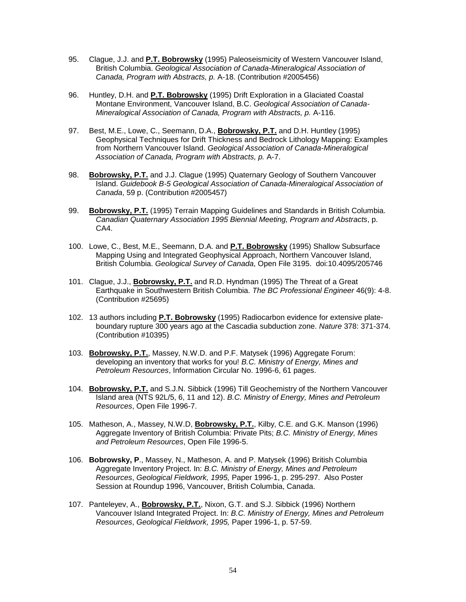- 95. Clague, J.J. and **P.T. Bobrowsky** (1995) Paleoseismicity of Western Vancouver Island, British Columbia. *Geological Association of Canada-Mineralogical Association of Canada, Program with Abstracts, p.* A-18. (Contribution #2005456)
- 96. Huntley, D.H. and **P.T. Bobrowsky** (1995) Drift Exploration in a Glaciated Coastal Montane Environment, Vancouver Island, B.C. *Geological Association of Canada-Mineralogical Association of Canada, Program with Abstracts, p.* A-116.
- 97. Best, M.E., Lowe, C., Seemann, D.A., **Bobrowsky, P.T.** and D.H. Huntley (1995) Geophysical Techniques for Drift Thickness and Bedrock Lithology Mapping: Examples from Northern Vancouver Island. *Geological Association of Canada-Mineralogical Association of Canada, Program with Abstracts, p.* A-7.
- 98. **Bobrowsky, P.T.** and J.J. Clague (1995) Quaternary Geology of Southern Vancouver Island. *Guidebook B-5 Geological Association of Canada-Mineralogical Association of Canada*, 59 p. (Contribution #2005457)
- 99. **Bobrowsky, P.T.** (1995) Terrain Mapping Guidelines and Standards in British Columbia. *Canadian Quaternary Association 1995 Biennial Meeting, Program and Abstracts*, p. CA4.
- 100. Lowe, C., Best, M.E., Seemann, D.A. and **P.T. Bobrowsky** (1995) Shallow Subsurface Mapping Using and Integrated Geophysical Approach, Northern Vancouver Island, British Columbia. *Geological Survey of Canada*, Open File 3195. doi:10.4095/205746
- 101. Clague, J.J., **Bobrowsky, P.T.** and R.D. Hyndman (1995) The Threat of a Great Earthquake in Southwestern British Columbia. *The BC Professional Engineer* 46(9): 4-8. (Contribution #25695)
- 102. 13 authors including **P.T. Bobrowsky** (1995) Radiocarbon evidence for extensive plateboundary rupture 300 years ago at the Cascadia subduction zone. *Nature* 378: 371-374. (Contribution #10395)
- 103. **Bobrowsky, P.T.**, Massey, N.W.D. and P.F. Matysek (1996) Aggregate Forum: developing an inventory that works for you! *B.C. Ministry of Energy, Mines and Petroleum Resources*, Information Circular No. 1996-6, 61 pages.
- 104. **Bobrowsky, P.T.** and S.J.N. Sibbick (1996) Till Geochemistry of the Northern Vancouver Island area (NTS 92L/5, 6, 11 and 12). *B.C. Ministry of Energy, Mines and Petroleum Resources*, Open File 1996-7.
- 105. Matheson, A., Massey, N.W.D, **Bobrowsky, P.T.**, Kilby, C.E. and G.K. Manson (1996) Aggregate Inventory of British Columbia: Private Pits; *B.C. Ministry of Energy, Mines and Petroleum Resources*, Open File 1996-5.
- 106. **Bobrowsky, P**., Massey, N., Matheson, A. and P. Matysek (1996) British Columbia Aggregate Inventory Project. In: *B.C. Ministry of Energy, Mines and Petroleum Resources*, *Geological Fieldwork, 1995,* Paper 1996-1, p. 295-297. Also Poster Session at Roundup 1996, Vancouver, British Columbia, Canada.
- 107. Panteleyev, A., **Bobrowsky, P.T.**, Nixon, G.T. and S.J. Sibbick (1996) Northern Vancouver Island Integrated Project. In: *B.C. Ministry of Energy, Mines and Petroleum Resources*, *Geological Fieldwork, 1995,* Paper 1996-1, p. 57-59.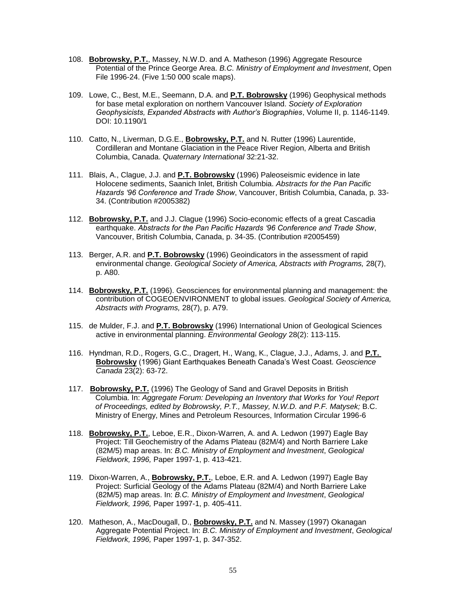- 108. **Bobrowsky, P.T.**, Massey, N.W.D. and A. Matheson (1996) Aggregate Resource Potential of the Prince George Area. *B.C. Ministry of Employment and Investment*, Open File 1996-24. (Five 1:50 000 scale maps).
- 109. Lowe, C., Best, M.E., Seemann, D.A. and **P.T. Bobrowsky** (1996) Geophysical methods for base metal exploration on northern Vancouver Island. *Society of Exploration Geophysicists, Expanded Abstracts with Author's Biographies*, Volume II, p. 1146-1149. DOI: 10.1190/1
- 110. Catto, N., Liverman, D.G.E., **Bobrowsky, P.T.** and N. Rutter (1996) Laurentide, Cordilleran and Montane Glaciation in the Peace River Region, Alberta and British Columbia, Canada. *Quaternary International* 32:21-32.
- 111. Blais, A., Clague, J.J. and **P.T. Bobrowsky** (1996) Paleoseismic evidence in late Holocene sediments, Saanich Inlet, British Columbia. *Abstracts for the Pan Pacific Hazards '96 Conference and Trade Show*, Vancouver, British Columbia, Canada, p. 33- 34. (Contribution #2005382)
- 112. **Bobrowsky, P.T.** and J.J. Clague (1996) Socio-economic effects of a great Cascadia earthquake. *Abstracts for the Pan Pacific Hazards '96 Conference and Trade Show*, Vancouver, British Columbia, Canada, p. 34-35. (Contribution #2005459)
- 113. Berger, A.R. and **P.T. Bobrowsky** (1996) Geoindicators in the assessment of rapid environmental change. *Geological Society of America, Abstracts with Programs,* 28(7), p. A80.
- 114. **Bobrowsky, P.T.** (1996). Geosciences for environmental planning and management: the contribution of COGEOENVIRONMENT to global issues. *Geological Society of America, Abstracts with Programs,* 28(7), p. A79.
- 115. de Mulder, F.J. and **P.T. Bobrowsky** (1996) International Union of Geological Sciences active in environmental planning. *Environmental Geology* 28(2): 113-115.
- 116. Hyndman, R.D., Rogers, G.C., Dragert, H., Wang, K., Clague, J.J., Adams, J. and **P.T. Bobrowsky** (1996) Giant Earthquakes Beneath Canada's West Coast. *Geoscience Canada* 23(2): 63-72.
- 117. **Bobrowsky, P.T.** (1996) The Geology of Sand and Gravel Deposits in British Columbia. In: *Aggregate Forum: Developing an Inventory that Works for You! Report of Proceedings, edited by Bobrowsky, P.T., Massey, N.W.D. and P.F. Matysek;* B.C. Ministry of Energy, Mines and Petroleum Resources, Information Circular 1996-6
- 118. **Bobrowsky, P.T.**, Leboe, E.R., Dixon-Warren, A. and A. Ledwon (1997) Eagle Bay Project: Till Geochemistry of the Adams Plateau (82M/4) and North Barriere Lake (82M/5) map areas. In: *B.C. Ministry of Employment and Investment*, *Geological Fieldwork, 1996,* Paper 1997-1, p. 413-421.
- 119. Dixon-Warren, A., **Bobrowsky, P.T.**, Leboe, E.R. and A. Ledwon (1997) Eagle Bay Project: Surficial Geology of the Adams Plateau (82M/4) and North Barriere Lake (82M/5) map areas. In: *B.C. Ministry of Employment and Investment*, *Geological Fieldwork, 1996,* Paper 1997-1, p. 405-411.
- 120. Matheson, A., MacDougall, D., **Bobrowsky, P.T.** and N. Massey (1997) Okanagan Aggregate Potential Project. In: *B.C. Ministry of Employment and Investment*, *Geological Fieldwork, 1996,* Paper 1997-1, p. 347-352.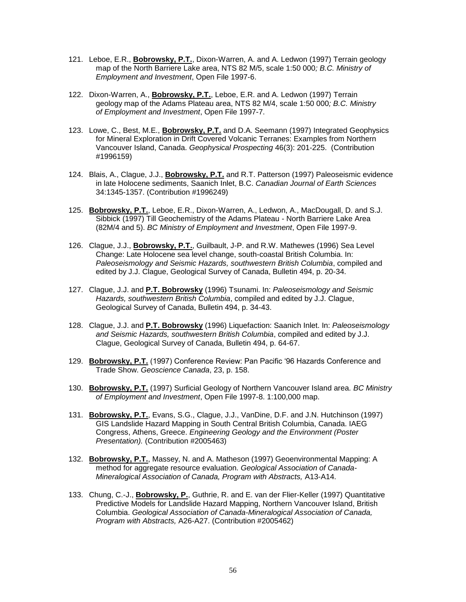- 121. Leboe, E.R., **Bobrowsky, P.T.**, Dixon-Warren, A. and A. Ledwon (1997) Terrain geology map of the North Barriere Lake area, NTS 82 M/5, scale 1:50 000*; B.C. Ministry of Employment and Investment*, Open File 1997-6.
- 122. Dixon-Warren, A., **Bobrowsky, P.T.**, Leboe, E.R. and A. Ledwon (1997) Terrain geology map of the Adams Plateau area, NTS 82 M/4, scale 1:50 000*; B.C. Ministry of Employment and Investment*, Open File 1997-7.
- 123. Lowe, C., Best, M.E., **Bobrowsky, P.T.** and D.A. Seemann (1997) Integrated Geophysics for Mineral Exploration in Drift Covered Volcanic Terranes: Examples from Northern Vancouver Island, Canada. *Geophysical Prospecting* 46(3): 201-225. (Contribution #1996159)
- 124. Blais, A., Clague, J.J., **Bobrowsky, P.T.** and R.T. Patterson (1997) Paleoseismic evidence in late Holocene sediments, Saanich Inlet, B.C. *Canadian Journal of Earth Sciences* 34:1345-1357. (Contribution #1996249)
- 125. **Bobrowsky, P.T.**, Leboe, E.R., Dixon-Warren, A., Ledwon, A., MacDougall, D. and S.J. Sibbick (1997) Till Geochemistry of the Adams Plateau - North Barriere Lake Area (82M/4 and 5). *BC Ministry of Employment and Investment*, Open File 1997-9.
- 126. Clague, J.J., **Bobrowsky, P.T.**, Guilbault, J-P. and R.W. Mathewes (1996) Sea Level Change: Late Holocene sea level change, south-coastal British Columbia. In: *Paleoseismology and Seismic Hazards, southwestern British Columbia*, compiled and edited by J.J. Clague, Geological Survey of Canada, Bulletin 494, p. 20-34.
- 127. Clague, J.J. and **P.T. Bobrowsky** (1996) Tsunami. In: *Paleoseismology and Seismic Hazards, southwestern British Columbia*, compiled and edited by J.J. Clague, Geological Survey of Canada, Bulletin 494, p. 34-43.
- 128. Clague, J.J. and **P.T. Bobrowsky** (1996) Liquefaction: Saanich Inlet. In: *Paleoseismology and Seismic Hazards, southwestern British Columbia*, compiled and edited by J.J. Clague, Geological Survey of Canada, Bulletin 494, p. 64-67.
- 129. **Bobrowsky, P.T.** (1997) Conference Review: Pan Pacific '96 Hazards Conference and Trade Show. *Geoscience Canada*, 23, p. 158.
- 130. **Bobrowsky, P.T.** (1997) Surficial Geology of Northern Vancouver Island area. *BC Ministry of Employment and Investment*, Open File 1997-8. 1:100,000 map.
- 131. **Bobrowsky, P.T.**, Evans, S.G., Clague, J.J., VanDine, D.F. and J.N. Hutchinson (1997) GIS Landslide Hazard Mapping in South Central British Columbia, Canada. IAEG Congress, Athens, Greece. *Engineering Geology and the Environment (Poster Presentation).* (Contribution #2005463)
- 132. **Bobrowsky, P.T.**, Massey, N. and A. Matheson (1997) Geoenvironmental Mapping: A method for aggregate resource evaluation. *Geological Association of Canada-Mineralogical Association of Canada, Program with Abstracts,* A13-A14.
- 133. Chung, C.-J., **Bobrowsky, P.**, Guthrie, R. and E. van der Flier-Keller (1997) Quantitative Predictive Models for Landslide Hazard Mapping, Northern Vancouver Island, British Columbia. *Geological Association of Canada-Mineralogical Association of Canada, Program with Abstracts,* A26-A27. (Contribution #2005462)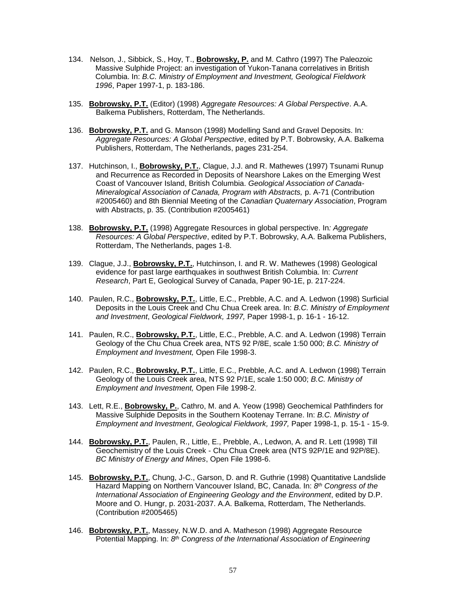- 134. Nelson, J., Sibbick, S., Hoy, T., **Bobrowsky, P.** and M. Cathro (1997) The Paleozoic Massive Sulphide Project: an investigation of Yukon-Tanana correlatives in British Columbia. In: *B.C. Ministry of Employment and Investment, Geological Fieldwork 1996*, Paper 1997-1, p. 183-186.
- 135. **Bobrowsky, P.T.** (Editor) (1998) *Aggregate Resources: A Global Perspective*. A.A. Balkema Publishers, Rotterdam, The Netherlands.
- 136. **Bobrowsky, P.T.** and G. Manson (1998) Modelling Sand and Gravel Deposits. In*: Aggregate Resources: A Global Perspective*, edited by P.T. Bobrowsky, A.A. Balkema Publishers, Rotterdam, The Netherlands, pages 231-254.
- 137. Hutchinson, I., **Bobrowsky, P.T.**, Clague, J.J. and R. Mathewes (1997) Tsunami Runup and Recurrence as Recorded in Deposits of Nearshore Lakes on the Emerging West Coast of Vancouver Island, British Columbia. *Geological Association of Canada-Mineralogical Association of Canada, Program with Abstracts,* p. A-71 (Contribution #2005460) and 8th Biennial Meeting of the *Canadian Quaternary Association*, Program with Abstracts, p. 35. (Contribution #2005461)
- 138. **Bobrowsky, P.T.** (1998) Aggregate Resources in global perspective. In*: Aggregate Resources: A Global Perspective*, edited by P.T. Bobrowsky, A.A. Balkema Publishers, Rotterdam, The Netherlands, pages 1-8.
- 139. Clague, J.J., **Bobrowsky, P.T.**, Hutchinson, I. and R. W. Mathewes (1998) Geological evidence for past large earthquakes in southwest British Columbia. In: *Current Research*, Part E, Geological Survey of Canada, Paper 90-1E, p. 217-224.
- 140. Paulen, R.C., **Bobrowsky, P.T.**, Little, E.C., Prebble, A.C. and A. Ledwon (1998) Surficial Deposits in the Louis Creek and Chu Chua Creek area. In: *B.C. Ministry of Employment and Investment*, *Geological Fieldwork, 1997,* Paper 1998-1, p. 16-1 - 16-12.
- 141. Paulen, R.C., **Bobrowsky, P.T.**, Little, E.C., Prebble, A.C. and A. Ledwon (1998) Terrain Geology of the Chu Chua Creek area, NTS 92 P/8E, scale 1:50 000; *B.C. Ministry of Employment and Investment,* Open File 1998-3.
- 142. Paulen, R.C., **Bobrowsky, P.T.**, Little, E.C., Prebble, A.C. and A. Ledwon (1998) Terrain Geology of the Louis Creek area, NTS 92 P/1E, scale 1:50 000; *B.C. Ministry of Employment and Investment,* Open File 1998-2.
- 143. Lett, R.E., **Bobrowsky, P.**, Cathro, M. and A. Yeow (1998) Geochemical Pathfinders for Massive Sulphide Deposits in the Southern Kootenay Terrane. In: *B.C. Ministry of Employment and Investment*, *Geological Fieldwork, 1997,* Paper 1998-1, p. 15-1 - 15-9.
- 144. **Bobrowsky, P.T.**, Paulen, R., Little, E., Prebble, A., Ledwon, A. and R. Lett (1998) Till Geochemistry of the Louis Creek - Chu Chua Creek area (NTS 92P/1E and 92P/8E). *BC Ministry of Energy and Mines*, Open File 1998-6.
- 145. **Bobrowsky, P.T.**, Chung, J-C., Garson, D. and R. Guthrie (1998) Quantitative Landslide Hazard Mapping on Northern Vancouver Island, BC, Canada. In: *8 th Congress of the International Association of Engineering Geology and the Environment*, edited by D.P. Moore and O. Hungr, p. 2031-2037. A.A. Balkema, Rotterdam, The Netherlands. (Contribution #2005465)
- 146. **Bobrowsky, P.T.**, Massey, N.W.D. and A. Matheson (1998) Aggregate Resource Potential Mapping. In: 8<sup>th</sup> Congress of the International Association of Engineering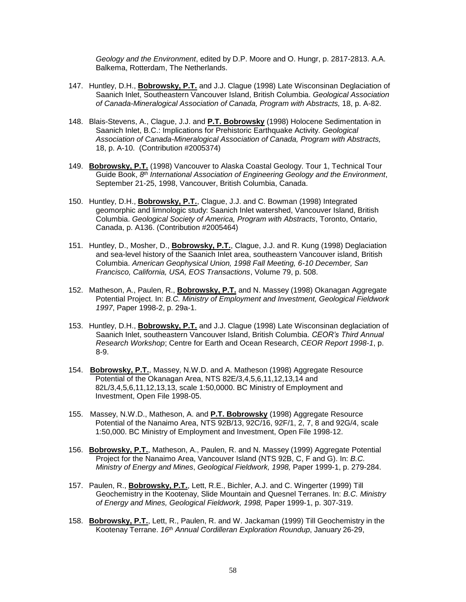*Geology and the Environment*, edited by D.P. Moore and O. Hungr, p. 2817-2813. A.A. Balkema, Rotterdam, The Netherlands.

- 147. Huntley, D.H., **Bobrowsky, P.T.** and J.J. Clague (1998) Late Wisconsinan Deglaciation of Saanich Inlet, Southeastern Vancouver Island, British Columbia. *Geological Association of Canada-Mineralogical Association of Canada, Program with Abstracts,* 18, p. A-82.
- 148. Blais-Stevens, A., Clague, J.J. and **P.T. Bobrowsky** (1998) Holocene Sedimentation in Saanich Inlet, B.C.: Implications for Prehistoric Earthquake Activity. *Geological Association of Canada-Mineralogical Association of Canada, Program with Abstracts,*  18, p. A-10. (Contribution #2005374)
- 149. **Bobrowsky, P.T.** (1998) Vancouver to Alaska Coastal Geology. Tour 1, Technical Tour Guide Book, *8 th International Association of Engineering Geology and the Environment*, September 21-25, 1998, Vancouver, British Columbia, Canada.
- 150. Huntley, D.H., **Bobrowsky, P.T.**, Clague, J.J. and C. Bowman (1998) Integrated geomorphic and limnologic study: Saanich Inlet watershed, Vancouver Island, British Columbia. *Geological Society of America, Program with Abstracts*, Toronto, Ontario, Canada, p. A136. (Contribution #2005464)
- 151. Huntley, D., Mosher, D., **Bobrowsky, P.T.**, Clague, J.J. and R. Kung (1998) Deglaciation and sea-level history of the Saanich Inlet area, southeastern Vancouver island, British Columbia. *American Geophysical Union, 1998 Fall Meeting, 6-10 December, San Francisco, California, USA, EOS Transactions*, Volume 79, p. 508.
- 152. Matheson, A., Paulen, R., **Bobrowsky, P.T.** and N. Massey (1998) Okanagan Aggregate Potential Project. In: *B.C. Ministry of Employment and Investment, Geological Fieldwork 1997*, Paper 1998-2, p. 29a-1.
- 153. Huntley, D.H., **Bobrowsky, P.T.** and J.J. Clague (1998) Late Wisconsinan deglaciation of Saanich Inlet, southeastern Vancouver Island, British Columbia. *CEOR's Third Annual Research Workshop*; Centre for Earth and Ocean Research, *CEOR Report 1998-1*, p. 8-9.
- 154. **Bobrowsky, P.T.**, Massey, N.W.D. and A. Matheson (1998) Aggregate Resource Potential of the Okanagan Area, NTS 82E/3,4,5,6,11,12,13,14 and 82L/3,4,5,6,11,12,13,13, scale 1:50,0000. BC Ministry of Employment and Investment, Open File 1998-05.
- 155. Massey, N.W.D., Matheson, A. and **P.T. Bobrowsky** (1998) Aggregate Resource Potential of the Nanaimo Area, NTS 92B/13, 92C/16, 92F/1, 2, 7, 8 and 92G/4, scale 1:50,000. BC Ministry of Employment and Investment, Open File 1998-12.
- 156. **Bobrowsky, P.T.**, Matheson, A., Paulen, R. and N. Massey (1999) Aggregate Potential Project for the Nanaimo Area, Vancouver Island (NTS 92B, C, F and G). In: *B.C. Ministry of Energy and Mines*, *Geological Fieldwork, 1998,* Paper 1999-1, p. 279-284.
- 157. Paulen, R., **Bobrowsky, P.T.**, Lett, R.E., Bichler, A.J. and C. Wingerter (1999) Till Geochemistry in the Kootenay, Slide Mountain and Quesnel Terranes. In: *B.C. Ministry of Energy and Mines, Geological Fieldwork, 1998,* Paper 1999-1, p. 307-319.
- 158. **Bobrowsky, P.T.**, Lett, R., Paulen, R. and W. Jackaman (1999) Till Geochemistry in the Kootenay Terrane. *16th Annual Cordilleran Exploration Roundup*, January 26-29,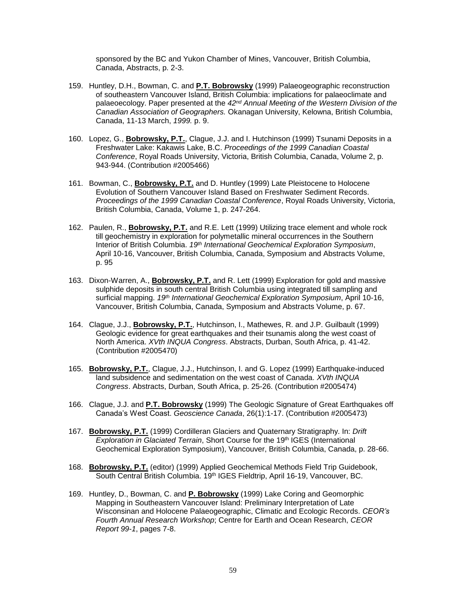sponsored by the BC and Yukon Chamber of Mines, Vancouver, British Columbia, Canada, Abstracts, p. 2-3.

- 159. Huntley, D.H., Bowman, C. and **P.T. Bobrowsky** (1999) Palaeogeographic reconstruction of southeastern Vancouver Island, British Columbia: implications for palaeoclimate and palaeoecology. Paper presented at the *42nd Annual Meeting of the Western Division of the Canadian Association of Geographers.* Okanagan University, Kelowna, British Columbia, Canada, 11-13 March, *1999.* p. 9.
- 160. Lopez, G., **Bobrowsky, P.T.**, Clague, J.J. and I. Hutchinson (1999) Tsunami Deposits in a Freshwater Lake: Kakawis Lake, B.C. *Proceedings of the 1999 Canadian Coastal Conference*, Royal Roads University, Victoria, British Columbia, Canada, Volume 2, p. 943-944. (Contribution #2005466)
- 161. Bowman, C., **Bobrowsky, P.T.** and D. Huntley (1999) Late Pleistocene to Holocene Evolution of Southern Vancouver Island Based on Freshwater Sediment Records. *Proceedings of the 1999 Canadian Coastal Conference*, Royal Roads University, Victoria, British Columbia, Canada, Volume 1, p. 247-264.
- 162. Paulen, R., **Bobrowsky, P.T.** and R.E. Lett (1999) Utilizing trace element and whole rock till geochemistry in exploration for polymetallic mineral occurrences in the Southern Interior of British Columbia. *19th International Geochemical Exploration Symposium*, April 10-16, Vancouver, British Columbia, Canada, Symposium and Abstracts Volume, p. 95
- 163. Dixon-Warren, A., **Bobrowsky, P.T.** and R. Lett (1999) Exploration for gold and massive sulphide deposits in south central British Columbia using integrated till sampling and surficial mapping. *19th International Geochemical Exploration Symposium*, April 10-16, Vancouver, British Columbia, Canada, Symposium and Abstracts Volume, p. 67.
- 164. Clague, J.J., **Bobrowsky, P.T.**, Hutchinson, I., Mathewes, R. and J.P. Guilbault (1999) Geologic evidence for great earthquakes and their tsunamis along the west coast of North America. *XVth INQUA Congress*. Abstracts, Durban, South Africa, p. 41-42. (Contribution #2005470)
- 165. **Bobrowsky, P.T.**, Clague, J.J., Hutchinson, I. and G. Lopez (1999) Earthquake-induced land subsidence and sedimentation on the west coast of Canada. *XVth INQUA Congress*. Abstracts, Durban, South Africa, p. 25-26. (Contribution #2005474)
- 166. Clague, J.J. and **P.T. Bobrowsky** (1999) The Geologic Signature of Great Earthquakes off Canada's West Coast. *Geoscience Canada*, 26(1):1-17. (Contribution #2005473)
- 167. **Bobrowsky, P.T.** (1999) Cordilleran Glaciers and Quaternary Stratigraphy. In: *Drift Exploration in Glaciated Terrain*, Short Course for the 19th IGES (International Geochemical Exploration Symposium), Vancouver, British Columbia, Canada, p. 28-66.
- 168. **Bobrowsky, P.T.** (editor) (1999) Applied Geochemical Methods Field Trip Guidebook, South Central British Columbia. 19<sup>th</sup> IGES Fieldtrip, April 16-19, Vancouver, BC.
- 169. Huntley, D., Bowman, C. and **P. Bobrowsky** (1999) Lake Coring and Geomorphic Mapping in Southeastern Vancouver Island: Preliminary Interpretation of Late Wisconsinan and Holocene Palaeogeographic, Climatic and Ecologic Records. *CEOR's Fourth Annual Research Workshop*; Centre for Earth and Ocean Research, *CEOR Report 99-1*, pages 7-8.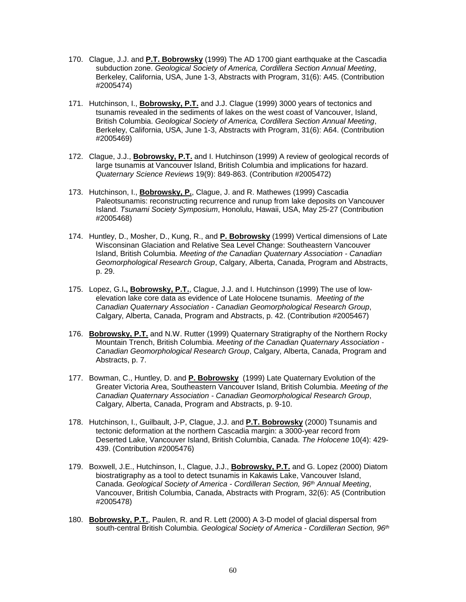- 170. Clague, J.J. and **P.T. Bobrowsky** (1999) The AD 1700 giant earthquake at the Cascadia subduction zone. *Geological Society of America, Cordillera Section Annual Meeting*, Berkeley, California, USA, June 1-3, Abstracts with Program, 31(6): A45. (Contribution #2005474)
- 171. Hutchinson, I., **Bobrowsky, P.T.** and J.J. Clague (1999) 3000 years of tectonics and tsunamis revealed in the sediments of lakes on the west coast of Vancouver, Island, British Columbia. *Geological Society of America, Cordillera Section Annual Meeting*, Berkeley, California, USA, June 1-3, Abstracts with Program, 31(6): A64. (Contribution #2005469)
- 172. Clague, J.J., **Bobrowsky, P.T.** and I. Hutchinson (1999) A review of geological records of large tsunamis at Vancouver Island, British Columbia and implications for hazard. *Quaternary Science Reviews* 19(9): 849-863. (Contribution #2005472)
- 173. Hutchinson, I., **Bobrowsky, P.**, Clague, J. and R. Mathewes (1999) Cascadia Paleotsunamis: reconstructing recurrence and runup from lake deposits on Vancouver Island. *Tsunami Society Symposium*, Honolulu, Hawaii, USA, May 25-27 (Contribution #2005468)
- 174. Huntley, D., Mosher, D., Kung, R., and **P. Bobrowsky** (1999) Vertical dimensions of Late Wisconsinan Glaciation and Relative Sea Level Change: Southeastern Vancouver Island, British Columbia. *Meeting of the Canadian Quaternary Association - Canadian Geomorphological Research Group*, Calgary, Alberta, Canada, Program and Abstracts, p. 29.
- 175. Lopez, G.I**., Bobrowsky, P.T.**, Clague, J.J. and I. Hutchinson (1999) The use of lowelevation lake core data as evidence of Late Holocene tsunamis. *Meeting of the Canadian Quaternary Association - Canadian Geomorphological Research Group*, Calgary, Alberta, Canada, Program and Abstracts, p. 42. (Contribution #2005467)
- 176. **Bobrowsky, P.T.** and N.W. Rutter (1999) Quaternary Stratigraphy of the Northern Rocky Mountain Trench, British Columbia. *Meeting of the Canadian Quaternary Association - Canadian Geomorphological Research Group*, Calgary, Alberta, Canada, Program and Abstracts, p. 7.
- 177. Bowman, C., Huntley, D. and **P. Bobrowsky** (1999) Late Quaternary Evolution of the Greater Victoria Area, Southeastern Vancouver Island, British Columbia. *Meeting of the Canadian Quaternary Association - Canadian Geomorphological Research Group*, Calgary, Alberta, Canada, Program and Abstracts, p. 9-10.
- 178. Hutchinson, I., Guilbault, J-P, Clague, J.J. and **P.T. Bobrowsky** (2000) Tsunamis and tectonic deformation at the northern Cascadia margin: a 3000-year record from Deserted Lake, Vancouver Island, British Columbia, Canada. *The Holocene* 10(4): 429- 439. (Contribution #2005476)
- 179. Boxwell, J.E., Hutchinson, I., Clague, J.J., **Bobrowsky, P.T.** and G. Lopez (2000) Diatom biostratigraphy as a tool to detect tsunamis in Kakawis Lake, Vancouver Island, Canada. *Geological Society of America - Cordilleran Section, 96th Annual Meeting*, Vancouver, British Columbia, Canada, Abstracts with Program, 32(6): A5 (Contribution #2005478)
- 180. **Bobrowsky, P.T.**, Paulen, R. and R. Lett (2000) A 3-D model of glacial dispersal from south-central British Columbia. *Geological Society of America - Cordilleran Section, 96th*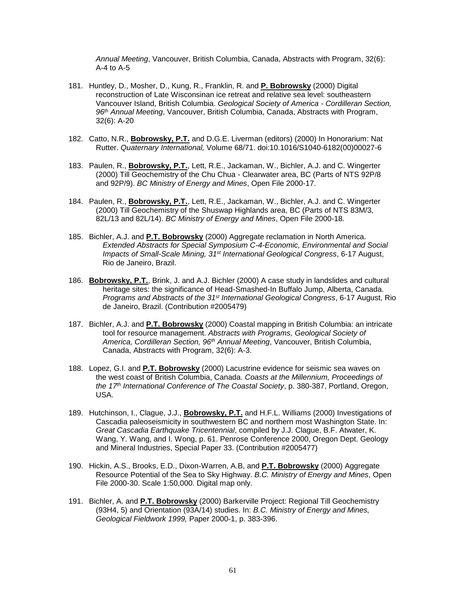*Annual Meeting*, Vancouver, British Columbia, Canada, Abstracts with Program, 32(6): A-4 to A-5

- 181. Huntley, D., Mosher, D., Kung, R., Franklin, R. and **P. Bobrowsky** (2000) Digital reconstruction of Late Wisconsinan ice retreat and relative sea level: southeastern Vancouver Island, British Columbia. *Geological Society of America - Cordilleran Section, 96th Annual Meeting*, Vancouver, British Columbia, Canada, Abstracts with Program, 32(6): A-20
- 182. Catto, N.R., **Bobrowsky, P.T.** and D.G.E. Liverman (editors) (2000) In Honorarium: Nat Rutter. *Quaternary International,* Volume 68/71. doi:10.1016/S1040-6182(00)00027-6
- 183. Paulen, R., **Bobrowsky, P.T.**, Lett, R.E., Jackaman, W., Bichler, A.J. and C. Wingerter (2000) Till Geochemistry of the Chu Chua - Clearwater area, BC (Parts of NTS 92P/8 and 92P/9). *BC Ministry of Energy and Mines*, Open File 2000-17.
- 184. Paulen, R., **Bobrowsky, P.T.**, Lett, R.E., Jackaman, W., Bichler, A.J. and C. Wingerter (2000) Till Geochemistry of the Shuswap Highlands area, BC (Parts of NTS 83M/3, 82L/13 and 82L/14). *BC Ministry of Energy and Mines*, Open File 2000-18.
- 185. Bichler, A.J. and **P.T. Bobrowsky** (2000) Aggregate reclamation in North America. *Extended Abstracts for Special Symposium C-4-Economic, Environmental and Social Impacts of Small-Scale Mining, 31st International Geological Congress*, 6-17 August, Rio de Janeiro, Brazil.
- 186. **Bobrowsky, P.T.**, Brink, J. and A.J. Bichler (2000) A case study in landslides and cultural heritage sites: the significance of Head-Smashed-In Buffalo Jump, Alberta, Canada. *Programs and Abstracts of the 31st International Geological Congress*, 6-17 August, Rio de Janeiro, Brazil. (Contribution #2005479)
- 187. Bichler, A.J. and **P.T. Bobrowsky** (2000) Coastal mapping in British Columbia: an intricate tool for resource management. *Abstracts with Programs, Geological Society of America, Cordilleran Section, 96th Annual Meeting*, Vancouver, British Columbia, Canada, Abstracts with Program, 32(6): A-3.
- 188. Lopez, G.I. and **P.T. Bobrowsky** (2000) Lacustrine evidence for seismic sea waves on the west coast of British Columbia, Canada. *Coasts at the Millennium, Proceedings of the 17th International Conference of The Coastal Society*, p. 380-387, Portland, Oregon, USA.
- 189. Hutchinson, I., Clague, J.J., **Bobrowsky, P.T.** and H.F.L. Williams (2000) Investigations of Cascadia paleoseismicity in southwestern BC and northern most Washington State. In: *Great Cascadia Earthquake Tricentennial*, compiled by J.J. Clague, B.F. Atwater, K. Wang, Y. Wang, and I. Wong, p. 61. Penrose Conference 2000, Oregon Dept. Geology and Mineral Industries, Special Paper 33. (Contribution #2005477)
- 190. Hickin, A.S., Brooks, E.D., Dixon-Warren, A.B, and **P.T. Bobrowsky** (2000) Aggregate Resource Potential of the Sea to Sky Highway. *B.C. Ministry of Energy and Mines*, Open File 2000-30. Scale 1:50,000. Digital map only.
- 191. Bichler, A. and **P.T. Bobrowsky** (2000) Barkerville Project: Regional Till Geochemistry (93H4, 5) and Orientation (93A/14) studies. In: *B.C. Ministry of Energy and Mines, Geological Fieldwork 1999,* Paper 2000-1, p. 383-396.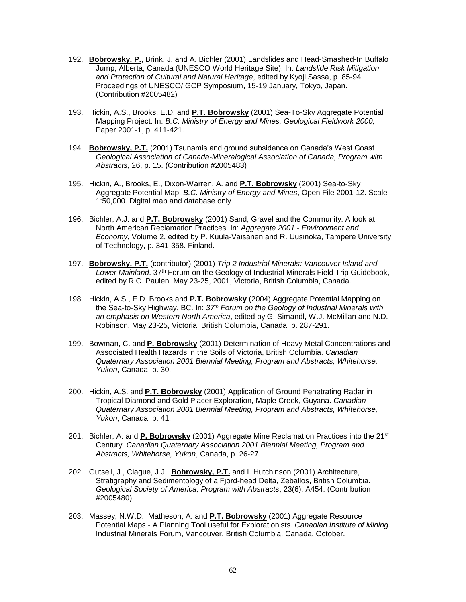- 192. **Bobrowsky, P.**, Brink, J. and A. Bichler (2001) Landslides and Head-Smashed-In Buffalo Jump, Alberta, Canada (UNESCO World Heritage Site). In: *Landslide Risk Mitigation and Protection of Cultural and Natural Heritage*, edited by Kyoji Sassa, p. 85-94. Proceedings of UNESCO/IGCP Symposium, 15-19 January, Tokyo, Japan. (Contribution #2005482)
- 193. Hickin, A.S., Brooks, E.D. and **P.T. Bobrowsky** (2001) Sea-To-Sky Aggregate Potential Mapping Project. In: *B.C. Ministry of Energy and Mines, Geological Fieldwork 2000,* Paper 2001-1, p. 411-421.
- 194. **Bobrowsky, P.T.** (2001) Tsunamis and ground subsidence on Canada's West Coast. *Geological Association of Canada-Mineralogical Association of Canada, Program with Abstracts,* 26, p. 15. (Contribution #2005483)
- 195. Hickin, A., Brooks, E., Dixon-Warren, A. and **P.T. Bobrowsky** (2001) Sea-to-Sky Aggregate Potential Map. *B.C. Ministry of Energy and Mines*, Open File 2001-12. Scale 1:50,000. Digital map and database only.
- 196. Bichler, A.J. and **P.T. Bobrowsky** (2001) Sand, Gravel and the Community: A look at North American Reclamation Practices. In: *Aggregate 2001 - Environment and Economy*, Volume 2, edited by P. Kuula-Vaisanen and R. Uusinoka, Tampere University of Technology, p. 341-358. Finland.
- 197. **Bobrowsky, P.T.** (contributor) (2001) *Trip 2 Industrial Minerals: Vancouver Island and Lower Mainland*. 37th Forum on the Geology of Industrial Minerals Field Trip Guidebook, edited by R.C. Paulen. May 23-25, 2001, Victoria, British Columbia, Canada.
- 198. Hickin, A.S., E.D. Brooks and **P.T. Bobrowsky** (2004) Aggregate Potential Mapping on the Sea-to-Sky Highway, BC. In: *37th Forum on the Geology of Industrial Minerals with an emphasis on Western North America*, edited by G. Simandl, W.J. McMillan and N.D. Robinson, May 23-25, Victoria, British Columbia, Canada, p. 287-291.
- 199. Bowman, C. and **P. Bobrowsky** (2001) Determination of Heavy Metal Concentrations and Associated Health Hazards in the Soils of Victoria, British Columbia. *Canadian Quaternary Association 2001 Biennial Meeting, Program and Abstracts, Whitehorse, Yukon*, Canada, p. 30.
- 200. Hickin, A.S. and **P.T. Bobrowsky** (2001) Application of Ground Penetrating Radar in Tropical Diamond and Gold Placer Exploration, Maple Creek, Guyana. *Canadian Quaternary Association 2001 Biennial Meeting, Program and Abstracts, Whitehorse, Yukon*, Canada, p. 41.
- 201. Bichler, A. and **P. Bobrowsky** (2001) Aggregate Mine Reclamation Practices into the 21st Century. *Canadian Quaternary Association 2001 Biennial Meeting, Program and Abstracts, Whitehorse, Yukon*, Canada, p. 26-27.
- 202. Gutsell, J., Clague, J.J., **Bobrowsky, P.T.** and I. Hutchinson (2001) Architecture, Stratigraphy and Sedimentology of a Fjord-head Delta, Zeballos, British Columbia. *Geological Society of America, Program with Abstracts*, 23(6): A454. (Contribution #2005480)
- 203. Massey, N.W.D., Matheson, A. and **P.T. Bobrowsky** (2001) Aggregate Resource Potential Maps - A Planning Tool useful for Explorationists. *Canadian Institute of Mining*. Industrial Minerals Forum, Vancouver, British Columbia, Canada, October.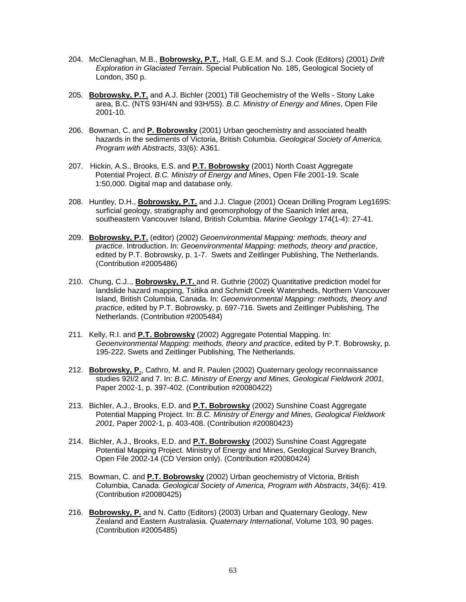- 204. McClenaghan, M.B., **Bobrowsky, P.T.**, Hall, G.E.M. and S.J. Cook (Editors) (2001) *Drift Exploration in Glaciated Terrain*. Special Publication No. 185, Geological Society of London, 350 p.
- 205. **Bobrowsky, P.T.** and A.J. Bichler (2001) Till Geochemistry of the Wells Stony Lake area, B.C. (NTS 93H/4N and 93H/5S). *B.C. Ministry of Energy and Mines*, Open File 2001-10.
- 206. Bowman, C. and **P. Bobrowsky** (2001) Urban geochemistry and associated health hazards in the sediments of Victoria, British Columbia. *Geological Society of America, Program with Abstracts*, 33(6): A361.
- 207. Hickin, A.S., Brooks, E.S. and **P.T. Bobrowsky** (2001) North Coast Aggregate Potential Project. *B.C. Ministry of Energy and Mines*, Open File 2001-19. Scale 1:50,000. Digital map and database only.
- 208. Huntley, D.H., **Bobrowsky, P.T.** and J.J. Clague (2001) Ocean Drilling Program Leg169S: surficial geology, stratigraphy and geomorphology of the Saanich Inlet area, southeastern Vancouver Island, British Columbia. *Marine Geology* 174(1-4): 27-41.
- 209. **Bobrowsky, P.T.** (editor) (2002) *Geoenvironmental Mapping: methods, theory and practice*. Introduction. In: *Geoenvironmental Mapping: methods, theory and practice*, edited by P.T. Bobrowsky, p. 1-7. Swets and Zeitlinger Publishing, The Netherlands. (Contribution #2005486)
- 210. Chung, C.J.., **Bobrowsky, P.T.** and R. Guthrie (2002) Quantitative prediction model for landslide hazard mapping, Tsitika and Schmidt Creek Watersheds, Northern Vancouver Island, British Columbia, Canada. In: *Geoenvironmental Mapping: methods, theory and practice*, edited by P.T. Bobrowsky, p. 697-716. Swets and Zeitlinger Publishing, The Netherlands. (Contribution #2005484)
- 211. Kelly, R.I. and **P.T. Bobrowsky** (2002) Aggregate Potential Mapping. In: *Geoenvironmental Mapping: methods, theory and practice*, edited by P.T. Bobrowsky, p. 195-222. Swets and Zeitlinger Publishing, The Netherlands.
- 212. **Bobrowsky, P.**, Cathro, M. and R. Paulen (2002) Quaternary geology reconnaissance studies 92I/2 and 7. In: *B.C. Ministry of Energy and Mines, Geological Fieldwork 2001,* Paper 2002-1, p. 397-402. (Contribution #20080422)
- 213. Bichler, A.J., Brooks, E.D. and **P.T. Bobrowsky** (2002) Sunshine Coast Aggregate Potential Mapping Project. In: *B.C. Ministry of Energy and Mines, Geological Fieldwork 2001,* Paper 2002-1, p. 403-408. (Contribution #20080423)
- 214. Bichler, A.J., Brooks, E.D. and **P.T. Bobrowsky** (2002) Sunshine Coast Aggregate Potential Mapping Project. Ministry of Energy and Mines, Geological Survey Branch, Open File 2002-14 (CD Version only). (Contribution #20080424)
- 215. Bowman, C. and **P.T. Bobrowsky** (2002) Urban geochemistry of Victoria, British Columbia, Canada. *Geological Society of America, Program with Abstracts*, 34(6): 419. (Contribution #20080425)
- 216. **Bobrowsky, P.** and N. Catto (Editors) (2003) Urban and Quaternary Geology, New Zealand and Eastern Australasia. *Quaternary International*, Volume 103, 90 pages. (Contribution #2005485)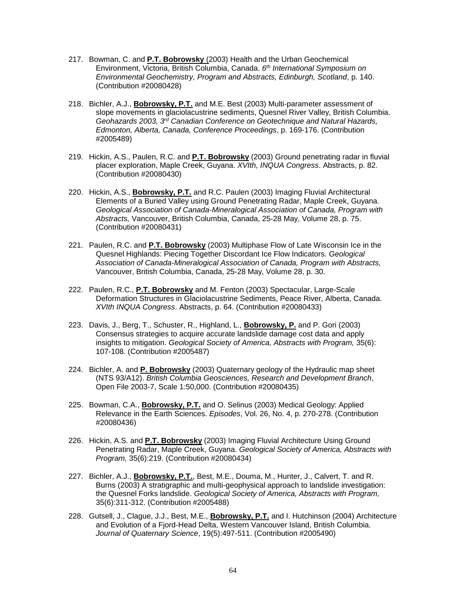- 217. Bowman, C. and **P.T. Bobrowsky** (2003) Health and the Urban Geochemical Environment, Victoria, British Columbia, Canada. *6 th International Symposium on Environmental Geochemistry, Program and Abstracts, Edinburgh, Scotland*, p. 140. (Contribution #20080428)
- 218. Bichler, A.J., **Bobrowsky, P.T.** and M.E. Best (2003) Multi-parameter assessment of slope movements in glaciolacustrine sediments, Quesnel River Valley, British Columbia. *Geohazards 2003, 3rd Canadian Conference on Geotechnique and Natural Hazards, Edmonton, Alberta, Canada, Conference Proceedings*, p. 169-176. (Contribution #2005489)
- 219. Hickin, A.S., Paulen, R.C. and **P.T. Bobrowsky** (2003) Ground penetrating radar in fluvial placer exploration, Maple Creek, Guyana. *XVIth, INQUA Congress*. Abstracts, p. 82. (Contribution #20080430)
- 220. Hickin, A.S., **Bobrowsky, P.T.** and R.C. Paulen (2003) Imaging Fluvial Architectural Elements of a Buried Valley using Ground Penetrating Radar, Maple Creek, Guyana. *Geological Association of Canada-Mineralogical Association of Canada, Program with Abstracts,* Vancouver, British Columbia, Canada, 25-28 May, Volume 28, p. 75. (Contribution #20080431)
- 221. Paulen, R.C. and **P.T. Bobrowsky** (2003) Multiphase Flow of Late Wisconsin Ice in the Quesnel Highlands: Piecing Together Discordant Ice Flow Indicators. *Geological Association of Canada-Mineralogical Association of Canada, Program with Abstracts,* Vancouver, British Columbia, Canada, 25-28 May, Volume 28, p. 30.
- 222. Paulen, R.C., **P.T. Bobrowsky** and M. Fenton (2003) Spectacular, Large-Scale Deformation Structures in Glaciolacustrine Sediments, Peace River, Alberta, Canada. *XVIth INQUA Congress*. Abstracts, p. 64. (Contribution #20080433)
- 223. Davis, J., Berg, T., Schuster, R., Highland, L., **Bobrowsky, P.** and P. Gori (2003) Consensus strategies to acquire accurate landslide damage cost data and apply insights to mitigation. *Geological Society of America, Abstracts with Program,* 35(6): 107-108. (Contribution #2005487)
- 224. Bichler, A. and **P. Bobrowsky** (2003) Quaternary geology of the Hydraulic map sheet (NTS 93/A12). *British Columbia Geosciences, Research and Development Branch*, Open File 2003-7, Scale 1:50,000. (Contribution #20080435)
- 225. Bowman, C.A., **Bobrowsky, P.T.** and O. Selinus (2003) Medical Geology: Applied Relevance in the Earth Sciences. *Episodes*, Vol. 26, No. 4, p. 270-278. (Contribution #20080436)
- 226. Hickin, A.S. and **P.T. Bobrowsky** (2003) Imaging Fluvial Architecture Using Ground Penetrating Radar, Maple Creek, Guyana. *Geological Society of America, Abstracts with Program,* 35(6):219. (Contribution #20080434)
- 227. Bichler, A.J., **Bobrowsky, P.T.**, Best, M.E., Douma, M., Hunter, J., Calvert, T. and R. Burns (2003) A stratigraphic and multi-geophysical approach to landslide investigation: the Quesnel Forks landslide. *Geological Society of America, Abstracts with Program,*  35(6):311-312. (Contribution #2005488)
- 228. Gutsell, J., Clague, J.J., Best, M.E., **Bobrowsky, P.T.** and I. Hutchinson (2004) Architecture and Evolution of a Fjord-Head Delta, Western Vancouver Island, British Columbia. *Journal of Quaternary Science*, 19(5):497-511. (Contribution #2005490)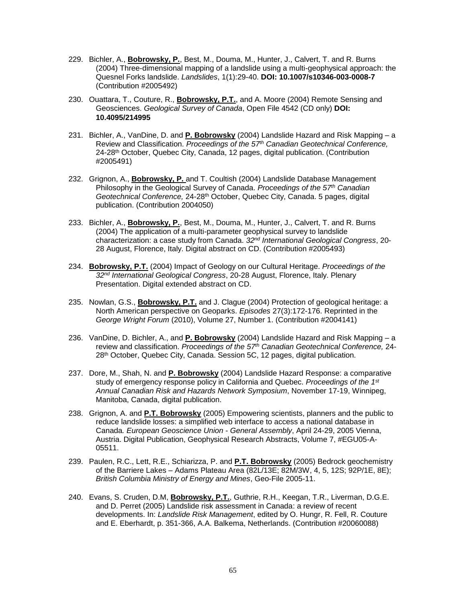- 229. Bichler, A., **Bobrowsky, P.**, Best, M., Douma, M., Hunter, J., Calvert, T. and R. Burns (2004) Three-dimensional mapping of a landslide using a multi-geophysical approach: the Quesnel Forks landslide. *Landslides*, 1(1):29-40. **DOI: 10.1007/s10346-003-0008-7** (Contribution #2005492)
- 230. Ouattara, T., Couture, R., **Bobrowsky, P.T.**, and A. Moore (2004) Remote Sensing and Geosciences. *Geological Survey of Canada*, Open File 4542 (CD only) **DOI: 10.4095/214995**
- 231. Bichler, A., VanDine, D. and **P. Bobrowsky** (2004) Landslide Hazard and Risk Mapping a Review and Classification. *Proceedings of the 57th Canadian Geotechnical Conference,*  24-28th October, Quebec City, Canada, 12 pages, digital publication. (Contribution #2005491)
- 232. Grignon, A., **Bobrowsky, P.** and T. Coultish (2004) Landslide Database Management Philosophy in the Geological Survey of Canada. *Proceedings of the 57th Canadian Geotechnical Conference,* 24-28th October, Quebec City, Canada. 5 pages, digital publication. (Contribution 2004050)
- 233. Bichler, A., **Bobrowsky, P.**, Best, M., Douma, M., Hunter, J., Calvert, T. and R. Burns (2004) The application of a multi-parameter geophysical survey to landslide characterization: a case study from Canada. *32nd International Geological Congress*, 20- 28 August, Florence, Italy. Digital abstract on CD. (Contribution #2005493)
- 234. **Bobrowsky, P.T.** (2004) Impact of Geology on our Cultural Heritage. *Proceedings of the 32nd International Geological Congress*, 20-28 August, Florence, Italy. Plenary Presentation. Digital extended abstract on CD.
- 235. Nowlan, G.S., **Bobrowsky, P.T.** and J. Clague (2004) Protection of geological heritage: a North American perspective on Geoparks. *Episodes* 27(3):172-176. Reprinted in the *George Wright Forum* (2010), Volume 27, Number 1. (Contribution #2004141)
- 236. VanDine, D. Bichler, A., and **P. Bobrowsky** (2004) Landslide Hazard and Risk Mapping a review and classification. *Proceedings of the 57th Canadian Geotechnical Conference,* 24- 28<sup>th</sup> October, Quebec City, Canada. Session 5C, 12 pages, digital publication.
- 237. Dore, M., Shah, N. and **P. Bobrowsky** (2004) Landslide Hazard Response: a comparative study of emergency response policy in California and Quebec. *Proceedings of the 1st Annual Canadian Risk and Hazards Network Symposium*, November 17-19, Winnipeg, Manitoba, Canada, digital publication.
- 238. Grignon, A. and **P.T. Bobrowsky** (2005) Empowering scientists, planners and the public to reduce landslide losses: a simplified web interface to access a national database in Canada*. European Geoscience Union - General Assembly*, April 24-29, 2005 Vienna, Austria. Digital Publication, Geophysical Research Abstracts, Volume 7, #EGU05-A-05511.
- 239. Paulen, R.C., Lett, R.E., Schiarizza, P. and **P.T. Bobrowsky** (2005) Bedrock geochemistry of the Barriere Lakes – Adams Plateau Area (82L/13E; 82M/3W, 4, 5, 12S; 92P/1E, 8E); *British Columbia Ministry of Energy and Mines*, Geo-File 2005-11.
- 240. Evans, S. Cruden, D.M, **Bobrowsky, P.T.**, Guthrie, R.H., Keegan, T.R., Liverman, D.G.E. and D. Perret (2005) Landslide risk assessment in Canada: a review of recent developments. In: *Landslide Risk Management*, edited by O. Hungr, R. Fell, R. Couture and E. Eberhardt, p. 351-366, A.A. Balkema, Netherlands. (Contribution #20060088)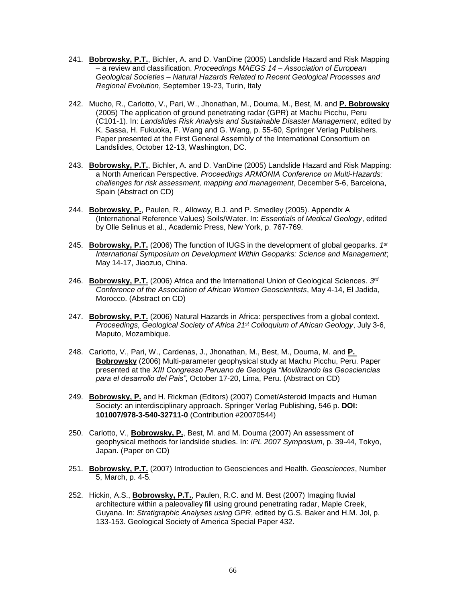- 241. **Bobrowsky, P.T.**, Bichler, A. and D. VanDine (2005) Landslide Hazard and Risk Mapping – a review and classification. *Proceedings MAEGS 14 – Association of European Geological Societies – Natural Hazards Related to Recent Geological Processes and Regional Evolution*, September 19-23, Turin, Italy
- 242. Mucho, R., Carlotto, V., Pari, W., Jhonathan, M., Douma, M., Best, M. and **P. Bobrowsky** (2005) The application of ground penetrating radar (GPR) at Machu Picchu, Peru (C101-1). In: *Landslides Risk Analysis and Sustainable Disaster Management*, edited by K. Sassa, H. Fukuoka, F. Wang and G. Wang, p. 55-60, Springer Verlag Publishers. Paper presented at the First General Assembly of the International Consortium on Landslides, October 12-13, Washington, DC.
- 243. **Bobrowsky, P.T.**, Bichler, A. and D. VanDine (2005) Landslide Hazard and Risk Mapping: a North American Perspective. *Proceedings ARMONIA Conference on Multi-Hazards: challenges for risk assessment, mapping and management*, December 5-6, Barcelona, Spain (Abstract on CD)
- 244. **Bobrowsky, P.**, Paulen, R., Alloway, B.J. and P. Smedley (2005). Appendix A (International Reference Values) Soils/Water. In: *Essentials of Medical Geology*, edited by Olle Selinus et al., Academic Press, New York, p. 767-769.
- 245. **Bobrowsky, P.T.** (2006) The function of IUGS in the development of global geoparks. *1 st International Symposium on Development Within Geoparks: Science and Management*; May 14-17, Jiaozuo, China.
- 246. **Bobrowsky, P.T.** (2006) Africa and the International Union of Geological Sciences. *3 rd Conference of the Association of African Women Geoscientists*, May 4-14, El Jadida, Morocco. (Abstract on CD)
- 247. **Bobrowsky, P.T.** (2006) Natural Hazards in Africa: perspectives from a global context. *Proceedings, Geological Society of Africa 21st Colloquium of African Geology*, July 3-6, Maputo, Mozambique.
- 248. Carlotto, V., Pari, W., Cardenas, J., Jhonathan, M., Best, M., Douma, M. and **P. Bobrowsky** (2006) Multi-parameter geophysical study at Machu Picchu, Peru. Paper presented at the *XIII Congresso Peruano de Geologia "Movilizando las Geosciencias para el desarrollo del Pais"*, October 17-20, Lima, Peru. (Abstract on CD)
- 249. **Bobrowsky, P.** and H. Rickman (Editors) (2007) Comet/Asteroid Impacts and Human Society: an interdisciplinary approach. Springer Verlag Publishing, 546 p. **DOI: 101007/978-3-540-32711-0** (Contribution #20070544)
- 250. Carlotto, V., **Bobrowsky, P.**, Best, M. and M. Douma (2007) An assessment of geophysical methods for landslide studies. In: *IPL 2007 Symposium*, p. 39-44, Tokyo, Japan. (Paper on CD)
- 251. **Bobrowsky, P.T.** (2007) Introduction to Geosciences and Health. *Geosciences*, Number 5, March, p. 4-5.
- 252. Hickin, A.S., **Bobrowsky, P.T.**, Paulen, R.C. and M. Best (2007) Imaging fluvial architecture within a paleovalley fill using ground penetrating radar, Maple Creek, Guyana. In: *Stratigraphic Analyses using GPR*, edited by G.S. Baker and H.M. Jol, p. 133-153. Geological Society of America Special Paper 432.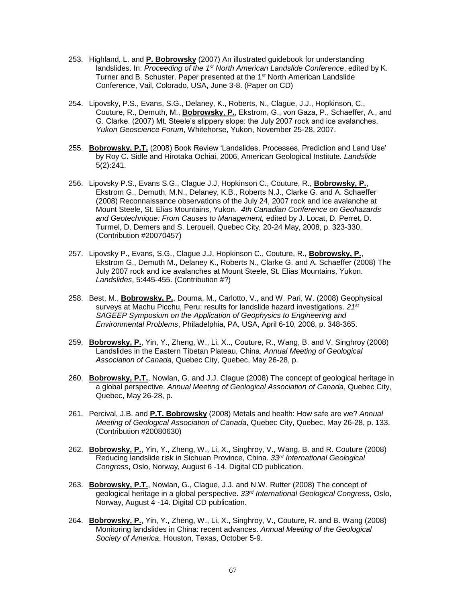- 253. Highland, L. and **P. Bobrowsky** (2007) An illustrated guidebook for understanding landslides. In: *Proceeding of the 1st North American Landslide Conference*, edited by K. Turner and B. Schuster. Paper presented at the 1<sup>st</sup> North American Landslide Conference, Vail, Colorado, USA, June 3-8. (Paper on CD)
- 254. Lipovsky, P.S., Evans, S.G., Delaney, K., Roberts, N., Clague, J.J., Hopkinson, C., Couture, R., Demuth, M., **Bobrowsky**, **P.**, Ekstrom, G., von Gaza, P., Schaeffer, A., and G. Clarke. (2007) Mt. Steele's slippery slope: the July 2007 rock and ice avalanches. *Yukon Geoscience Forum*, Whitehorse, Yukon, November 25-28, 2007.
- 255. **Bobrowsky, P.T.** (2008) Book Review 'Landslides, Processes, Prediction and Land Use' by Roy C. Sidle and Hirotaka Ochiai, 2006, American Geological Institute. *Landslide* 5(2):241.
- 256. Lipovsky P.S., Evans S.G., Clague J.J, Hopkinson C., Couture, R., **Bobrowsky, P.**, Ekstrom G., Demuth, M.N., Delaney, K.B., Roberts N.J., Clarke G. and A. Schaeffer (2008) Reconnaissance observations of the July 24, 2007 rock and ice avalanche at Mount Steele, St. Elias Mountains, Yukon. *4th Canadian Conference on Geohazards and Geotechnique: From Causes to Management,* edited by J. Locat, D. Perret, D. Turmel, D. Demers and S. Leroueil, Quebec City, 20-24 May, 2008, p. 323-330. (Contribution #20070457)
- 257. Lipovsky P., Evans, S.G., Clague J.J, Hopkinson C., Couture, R., **Bobrowsky, P.**, Ekstrom G., Demuth M., Delaney K., Roberts N., Clarke G. and A. Schaeffer (2008) The July 2007 rock and ice avalanches at Mount Steele, St. Elias Mountains, Yukon. *Landslides*, 5:445-455. (Contribution #?)
- 258. Best, M., **Bobrowsky, P.**, Douma, M., Carlotto, V., and W. Pari, W. (2008) Geophysical surveys at Machu Picchu, Peru: results for landslide hazard investigations. *21st SAGEEP Symposium on the Application of Geophysics to Engineering and Environmental Problems*, Philadelphia, PA, USA, April 6-10, 2008, p. 348-365.
- 259. **Bobrowsky, P.**, Yin, Y., Zheng, W., Li, X.., Couture, R., Wang, B. and V. Singhroy (2008) Landslides in the Eastern Tibetan Plateau, China. *Annual Meeting of Geological Association of Canada*, Quebec City, Quebec, May 26-28, p.
- 260. **Bobrowsky, P.T.**, Nowlan, G. and J.J. Clague (2008) The concept of geological heritage in a global perspective. *Annual Meeting of Geological Association of Canada*, Quebec City, Quebec, May 26-28, p.
- 261. Percival, J.B. and **P.T. Bobrowsky** (2008) Metals and health: How safe are we? *Annual Meeting of Geological Association of Canada*, Quebec City, Quebec, May 26-28, p. 133. (Contribution #20080630)
- 262. **Bobrowsky, P.**, Yin, Y., Zheng, W., Li, X., Singhroy, V., Wang, B. and R. Couture (2008) Reducing landslide risk in Sichuan Province, China. *33rd International Geological Congress*, Oslo, Norway, August 6 -14. Digital CD publication.
- 263. **Bobrowsky, P.T.**, Nowlan, G., Clague, J.J. and N.W. Rutter (2008) The concept of geological heritage in a global perspective. *33rd International Geological Congress*, Oslo, Norway, August 4 -14. Digital CD publication.
- 264. **Bobrowsky, P.**, Yin, Y., Zheng, W., Li, X., Singhroy, V., Couture, R. and B. Wang (2008) Monitoring landslides in China: recent advances. *Annual Meeting of the Geological Society of America*, Houston, Texas, October 5-9.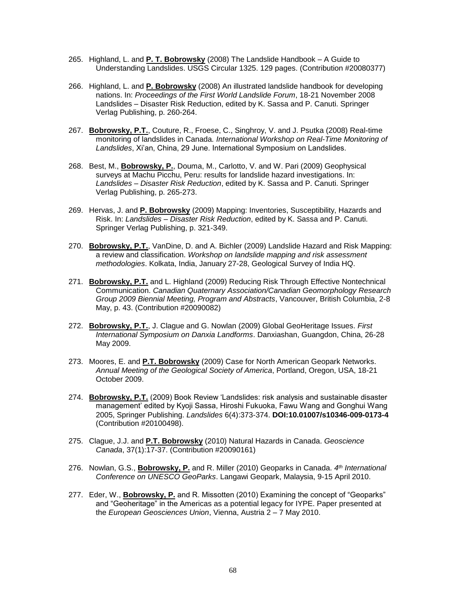- 265. Highland, L. and **P. T. Bobrowsky** (2008) The Landslide Handbook A Guide to Understanding Landslides. USGS Circular 1325. 129 pages. (Contribution #20080377)
- 266. Highland, L. and **P. Bobrowsky** (2008) An illustrated landslide handbook for developing nations. In: *Proceedings of the First World Landslide Forum*, 18-21 November 2008 Landslides – Disaster Risk Reduction, edited by K. Sassa and P. Canuti. Springer Verlag Publishing, p. 260-264.
- 267. **Bobrowsky, P.T.**, Couture, R., Froese, C., Singhroy, V. and J. Psutka (2008) Real-time monitoring of landslides in Canada*. International Workshop on Real-Time Monitoring of Landslides*, Xi'an, China, 29 June. International Symposium on Landslides.
- 268. Best, M., **Bobrowsky, P.**, Douma, M., Carlotto, V. and W. Pari (2009) Geophysical surveys at Machu Picchu, Peru: results for landslide hazard investigations. In: *Landslides – Disaster Risk Reduction*, edited by K. Sassa and P. Canuti. Springer Verlag Publishing, p. 265-273.
- 269. Hervas, J. and **P. Bobrowsky** (2009) Mapping: Inventories, Susceptibility, Hazards and Risk. In: *Landslides – Disaster Risk Reduction*, edited by K. Sassa and P. Canuti. Springer Verlag Publishing, p. 321-349.
- 270. **Bobrowsky, P.T.**, VanDine, D. and A. Bichler (2009) Landslide Hazard and Risk Mapping: a review and classification. *Workshop on landslide mapping and risk assessment methodologies*. Kolkata, India, January 27-28, Geological Survey of India HQ.
- 271. **Bobrowsky, P.T.** and L. Highland (2009) Reducing Risk Through Effective Nontechnical Communication. *Canadian Quaternary Association/Canadian Geomorphology Research Group 2009 Biennial Meeting, Program and Abstracts*, Vancouver, British Columbia, 2-8 May, p. 43. (Contribution #20090082)
- 272. **Bobrowsky, P.T.**, J. Clague and G. Nowlan (2009) Global GeoHeritage Issues. *First International Symposium on Danxia Landforms*. Danxiashan, Guangdon, China, 26-28 May 2009.
- 273. Moores, E. and **P.T. Bobrowsky** (2009) Case for North American Geopark Networks. *Annual Meeting of the Geological Society of America*, Portland, Oregon, USA, 18-21 October 2009.
- 274. **Bobrowsky, P.T.** (2009) Book Review 'Landslides: risk analysis and sustainable disaster management' edited by Kyoji Sassa, Hiroshi Fukuoka, Fawu Wang and Gonghui Wang 2005, Springer Publishing. *Landslides* 6(4):373-374. **DOI:10.01007/s10346-009-0173-4** (Contribution #20100498).
- 275. Clague, J.J. and **P.T. Bobrowsky** (2010) Natural Hazards in Canada. *Geoscience Canada*, 37(1):17-37. (Contribution #20090161)
- 276. Nowlan, G.S., **Bobrowsky, P.** and R. Miller (2010) Geoparks in Canada. *4 th International Conference on UNESCO GeoParks*. Langawi Geopark, Malaysia, 9-15 April 2010.
- 277. Eder, W., **Bobrowsky, P.** and R. Missotten (2010) Examining the concept of "Geoparks" and "Geoheritage" in the Americas as a potential legacy for IYPE. Paper presented at the *European Geosciences Union*, Vienna, Austria 2 – 7 May 2010.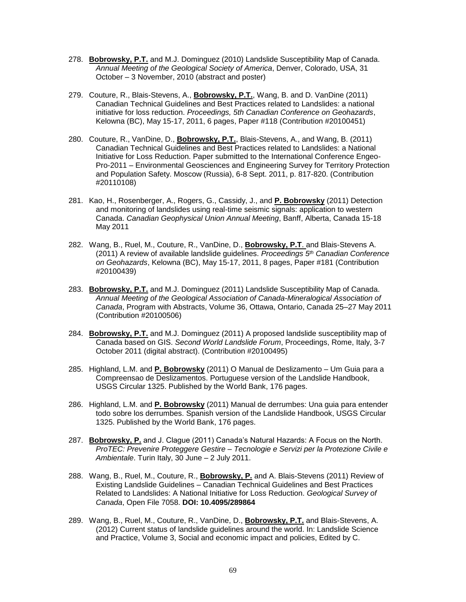- 278. **Bobrowsky, P.T.** and M.J. Dominguez (2010) Landslide Susceptibility Map of Canada. *Annual Meeting of the Geological Society of America*, Denver, Colorado, USA, 31 October – 3 November, 2010 (abstract and poster)
- 279. Couture, R., Blais-Stevens, A., **Bobrowsky, P.T.**, Wang, B. and D. VanDine (2011) Canadian Technical Guidelines and Best Practices related to Landslides: a national initiative for loss reduction. *Proceedings, 5th Canadian Conference on Geohazards*, Kelowna (BC), May 15-17, 2011, 6 pages, Paper #118 (Contribution #20100451)
- 280. Couture, R., VanDine, D., **Bobrowsky, P.T.**, Blais-Stevens, A., and Wang, B. (2011) Canadian Technical Guidelines and Best Practices related to Landslides: a National Initiative for Loss Reduction. Paper submitted to the International Conference Engeo-Pro-2011 – Environmental Geosciences and Engineering Survey for Territory Protection and Population Safety. Moscow (Russia), 6-8 Sept. 2011, p. 817-820. (Contribution #20110108)
- 281. Kao, H., Rosenberger, A., Rogers, G., Cassidy, J., and **P. Bobrowsky** (2011) Detection and monitoring of landslides using real-time seismic signals: application to western Canada. *Canadian Geophysical Union Annual Meeting*, Banff, Alberta, Canada 15-18 May 2011
- 282. Wang, B., Ruel, M., Couture, R., VanDine, D., **Bobrowsky, P.T**. and Blais-Stevens A. (2011) A review of available landslide guidelines. *Proceedings 5 th Canadian Conference on Geohazards*, Kelowna (BC), May 15-17, 2011, 8 pages, Paper #181 (Contribution #20100439)
- 283. **Bobrowsky, P.T.** and M.J. Dominguez (2011) Landslide Susceptibility Map of Canada. *Annual Meeting of the Geological Association of Canada-Mineralogical Association of Canada*, Program with Abstracts, Volume 36, Ottawa, Ontario, Canada 25–27 May 2011 (Contribution #20100506)
- 284. **Bobrowsky, P.T.** and M.J. Dominguez (2011) A proposed landslide susceptibility map of Canada based on GIS. *Second World Landslide Forum*, Proceedings, Rome, Italy, 3-7 October 2011 (digital abstract). (Contribution #20100495)
- 285. Highland, L.M. and **P. Bobrowsky** (2011) O Manual de Deslizamento Um Guia para a Compreensao de Deslizamentos. Portuguese version of the Landslide Handbook, USGS Circular 1325. Published by the World Bank, 176 pages.
- 286. Highland, L.M. and **P. Bobrowsky** (2011) Manual de derrumbes: Una guia para entender todo sobre los derrumbes. Spanish version of the Landslide Handbook, USGS Circular 1325. Published by the World Bank, 176 pages.
- 287. **Bobrowsky, P.** and J. Clague (2011) Canada's Natural Hazards: A Focus on the North. *ProTEC: Prevenire Proteggere Gestire – Tecnologie e Servizi per la Protezione Civile e Ambientale*. Turin Italy, 30 June – 2 July 2011.
- 288. Wang, B., Ruel, M., Couture, R., **Bobrowsky, P.** and A. Blais-Stevens (2011) Review of Existing Landslide Guidelines – Canadian Technical Guidelines and Best Practices Related to Landslides: A National Initiative for Loss Reduction. *Geological Survey of Canada*, Open File 7058. **DOI: 10.4095/289864**
- 289. Wang, B., Ruel, M., Couture, R., VanDine, D., **Bobrowsky, P.T.** and Blais-Stevens, A. (2012) Current status of landslide guidelines around the world. In: Landslide Science and Practice, Volume 3, Social and economic impact and policies, Edited by C.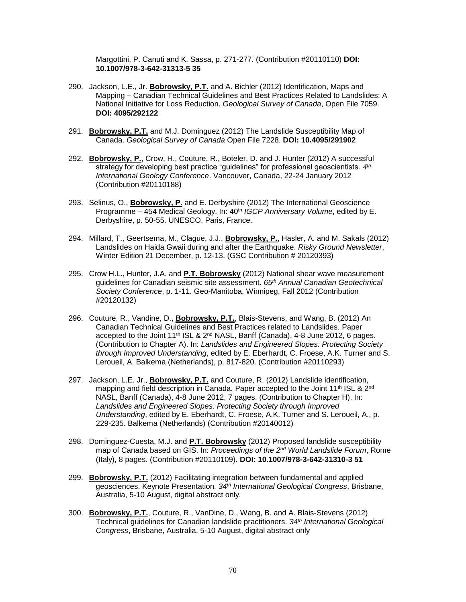Margottini, P. Canuti and K. Sassa, p. 271-277. (Contribution #20110110) **DOI: 10.1007/978-3-642-31313-5 35**

- 290. Jackson, L.E., Jr. **Bobrowsky, P.T.** and A. Bichler (2012) Identification, Maps and Mapping – Canadian Technical Guidelines and Best Practices Related to Landslides: A National Initiative for Loss Reduction. *Geological Survey of Canada*, Open File 7059. **DOI: 4095/292122**
- 291. **Bobrowsky, P.T.** and M.J. Dominguez (2012) The Landslide Susceptibility Map of Canada. *Geological Survey of Canada* Open File 7228. **DOI: 10.4095/291902**
- 292. **Bobrowsky, P.**, Crow, H., Couture, R., Boteler, D. and J. Hunter (2012) A successful strategy for developing best practice "guidelines" for professional geoscientists. *4 th International Geology Conference*. Vancouver, Canada, 22-24 January 2012 (Contribution #20110188)
- 293. Selinus, O., **Bobrowsky, P.** and E. Derbyshire (2012) The International Geoscience Programme – 454 Medical Geology. In: 40<sup>th</sup> *IGCP Anniversary Volume*, edited by E. Derbyshire, p. 50-55. UNESCO, Paris, France.
- 294. Millard, T., Geertsema, M., Clague, J.J., **Bobrowsky, P.**, Hasler, A. and M. Sakals (2012) Landslides on Haida Gwaii during and after the Earthquake. *Risky Ground Newsletter*, Winter Edition 21 December, p. 12-13. (GSC Contribution # 20120393)
- 295. Crow H.L., Hunter, J.A. and **P.T. Bobrowsky** (2012) National shear wave measurement guidelines for Canadian seismic site assessment. *65th Annual Canadian Geotechnical Society Conference*, p. 1-11. Geo-Manitoba, Winnipeg, Fall 2012 (Contribution #20120132)
- 296. Couture, R., Vandine, D., **Bobrowsky, P.T.**, Blais-Stevens, and Wang, B. (2012) An Canadian Technical Guidelines and Best Practices related to Landslides. Paper accepted to the Joint  $11<sup>th</sup>$  ISL &  $2<sup>nd</sup>$  NASL, Banff (Canada), 4-8 June 2012, 6 pages. (Contribution to Chapter A). In: *Landslides and Engineered Slopes: Protecting Society through Improved Understanding*, edited by E. Eberhardt, C. Froese, A.K. Turner and S. Leroueil, A. Balkema (Netherlands), p. 817-820. (Contribution #20110293)
- 297. Jackson, L.E. Jr., **Bobrowsky, P.T.** and Couture, R. (2012) Landslide identification, mapping and field description in Canada. Paper accepted to the Joint 11<sup>th</sup> ISL & 2<sup>nd</sup> NASL, Banff (Canada), 4-8 June 2012, 7 pages. (Contribution to Chapter H). In: *Landslides and Engineered Slopes: Protecting Society through Improved Understanding*, edited by E. Eberhardt, C. Froese, A.K. Turner and S. Leroueil, A., p. 229-235. Balkema (Netherlands) (Contribution #20140012)
- 298. Dominguez-Cuesta, M.J. and **P.T. Bobrowsky** (2012) Proposed landslide susceptibility map of Canada based on GIS. In: *Proceedings of the 2nd World Landslide Forum*, Rome (Italy), 8 pages. (Contribution #20110109). **DOI: 10.1007/978-3-642-31310-3 51**
- 299. **Bobrowsky, P.T.** (2012) Facilitating integration between fundamental and applied geosciences. Keynote Presentation*. 34th International Geological Congress*, Brisbane, Australia, 5-10 August, digital abstract only.
- 300. **Bobrowsky, P.T.**, Couture, R., VanDine, D., Wang, B. and A. Blais-Stevens (2012) Technical guidelines for Canadian landslide practitioners. *34th International Geological Congress*, Brisbane, Australia, 5-10 August, digital abstract only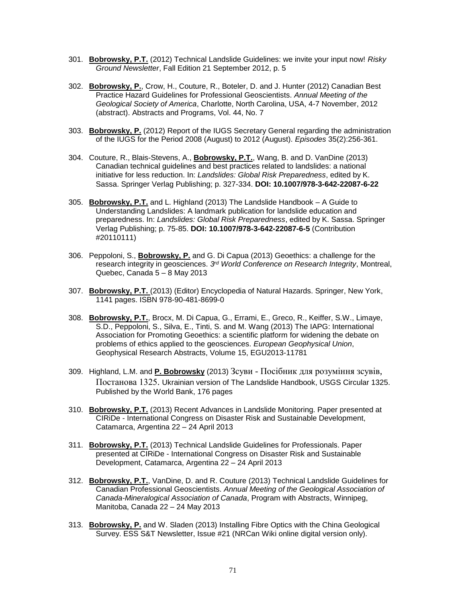- 301. **Bobrowsky, P.T.** (2012) Technical Landslide Guidelines: we invite your input now! *Risky Ground Newsletter*, Fall Edition 21 September 2012, p. 5
- 302. **Bobrowsky, P.**, Crow, H., Couture, R., Boteler, D. and J. Hunter (2012) Canadian Best Practice Hazard Guidelines for Professional Geoscientists. *Annual Meeting of the Geological Society of America*, Charlotte, North Carolina, USA, 4-7 November, 2012 (abstract). Abstracts and Programs, Vol. 44, No. 7
- 303. **Bobrowsky, P.** (2012) Report of the IUGS Secretary General regarding the administration of the IUGS for the Period 2008 (August) to 2012 (August). *Episodes* 35(2):256-361.
- 304. Couture, R., Blais-Stevens, A., **Bobrowsky, P.T.**, Wang, B. and D. VanDine (2013) Canadian technical guidelines and best practices related to landslides: a national initiative for less reduction. In: *Landslides: Global Risk Preparedness*, edited by K. Sassa. Springer Verlag Publishing; p. 327-334. **DOI: 10.1007/978-3-642-22087-6-22**
- 305. **Bobrowsky, P.T.** and L. Highland (2013) The Landslide Handbook A Guide to Understanding Landslides: A landmark publication for landslide education and preparedness. In: *Landslides: Global Risk Preparedness*, edited by K. Sassa. Springer Verlag Publishing; p. 75-85. **DOI: 10.1007/978-3-642-22087-6-5** (Contribution #20110111)
- 306. Peppoloni, S., **Bobrowsky, P.** and G. Di Capua (2013) Geoethics: a challenge for the research integrity in geosciences. *3 rd World Conference on Research Integrity*, Montreal, Quebec, Canada 5 – 8 May 2013
- 307. **Bobrowsky, P.T.** (2013) (Editor) Encyclopedia of Natural Hazards. Springer, New York, 1141 pages. ISBN 978-90-481-8699-0
- 308. **Bobrowsky, P.T.**, Brocx, M. Di Capua, G., Errami, E., Greco, R., Keiffer, S.W., Limaye, S.D., Peppoloni, S., Silva, E., Tinti, S. and M. Wang (2013) The IAPG: International Association for Promoting Geoethics: a scientific platform for widening the debate on problems of ethics applied to the geosciences. *European Geophysical Union*, Geophysical Research Abstracts, Volume 15, EGU2013-11781
- 309. Highland, L.M. and **P. Bobrowsky** (2013) Зсуви Посібник для розуміння зсувів, Постанова 1325. Ukrainian version of The Landslide Handbook, USGS Circular 1325. Published by the World Bank, 176 pages
- 310. **Bobrowsky, P.T.** (2013) Recent Advances in Landslide Monitoring. Paper presented at CIRiDe - International Congress on Disaster Risk and Sustainable Development, Catamarca, Argentina 22 – 24 April 2013
- 311. **Bobrowsky, P.T.** (2013) Technical Landslide Guidelines for Professionals. Paper presented at CIRiDe - International Congress on Disaster Risk and Sustainable Development, Catamarca, Argentina 22 – 24 April 2013
- 312. **Bobrowsky, P.T.**, VanDine, D. and R. Couture (2013) Technical Landslide Guidelines for Canadian Professional Geoscientists. *Annual Meeting of the Geological Association of Canada-Mineralogical Association of Canada*, Program with Abstracts, Winnipeg, Manitoba, Canada 22 – 24 May 2013
- 313. **Bobrowsky, P.** and W. Sladen (2013) Installing Fibre Optics with the China Geological Survey. ESS S&T Newsletter, Issue #21 (NRCan Wiki online digital version only).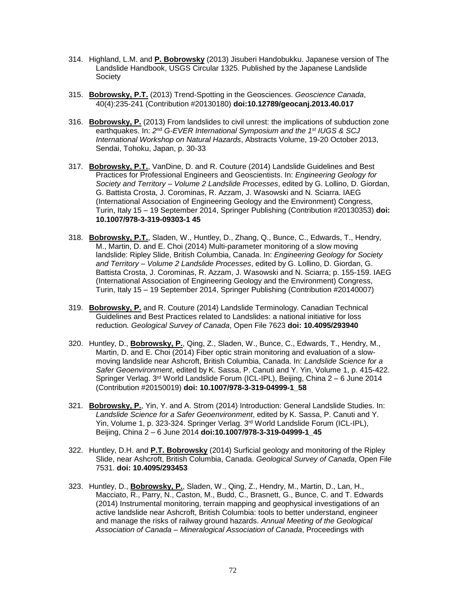- 314. Highland, L.M. and **P. Bobrowsky** (2013) Jisuberi Handobukku. Japanese version of The Landslide Handbook, USGS Circular 1325. Published by the Japanese Landslide **Society**
- 315. **Bobrowsky, P.T.** (2013) Trend-Spotting in the Geosciences. *Geoscience Canada*, 40(4):235-241 (Contribution #20130180) **doi:10.12789/geocanj.2013.40.017**
- 316. **Bobrowsky, P.** (2013) From landslides to civil unrest: the implications of subduction zone earthquakes. In: *2 nd G-EVER International Symposium and the 1st IUGS & SCJ International Workshop on Natural Hazards*, Abstracts Volume, 19-20 October 2013, Sendai, Tohoku, Japan, p. 30-33
- 317. **Bobrowsky, P.T.**, VanDine, D. and R. Couture (2014) Landslide Guidelines and Best Practices for Professional Engineers and Geoscientists. In: *Engineering Geology for Society and Territory – Volume 2 Landslide Processes*, edited by G. Lollino, D. Giordan, G. Battista Crosta, J. Corominas, R. Azzam, J. Wasowski and N. Sciarra. IAEG (International Association of Engineering Geology and the Environment) Congress, Turin, Italy 15 – 19 September 2014, Springer Publishing (Contribution #20130353) **doi: 10.1007/978-3-319-09303-1 45**
- 318. **Bobrowsky, P.T.**, Sladen, W., Huntley, D., Zhang, Q., Bunce, C., Edwards, T., Hendry, M., Martin, D. and E. Choi (2014) Multi-parameter monitoring of a slow moving landslide: Ripley Slide, British Columbia, Canada. In: *Engineering Geology for Society and Territory – Volume 2 Landslide Processes*, edited by G. Lollino, D. Giordan, G. Battista Crosta, J. Corominas, R. Azzam, J. Wasowski and N. Sciarra; p. 155-159. IAEG (International Association of Engineering Geology and the Environment) Congress, Turin, Italy 15 – 19 September 2014, Springer Publishing (Contribution #20140007)
- 319. **Bobrowsky, P.** and R. Couture (2014) Landslide Terminology. Canadian Technical Guidelines and Best Practices related to Landslides: a national initiative for loss reduction*. Geological Survey of Canada*, Open File 7623 **doi: 10.4095/293940**
- 320. Huntley, D., **Bobrowsky, P.**, Qing, Z., Sladen, W., Bunce, C., Edwards, T., Hendry, M., Martin, D. and E. Choi (2014) Fiber optic strain monitoring and evaluation of a slowmoving landslide near Ashcroft, British Columbia, Canada. In: *Landslide Science for a Safer Geoenvironment*, edited by K. Sassa, P. Canuti and Y. Yin, Volume 1, p. 415-422. Springer Verlag. 3rd World Landslide Forum (ICL-IPL), Beijing, China 2 – 6 June 2014 (Contribution #20150019) **doi: 10.1007/978-3-319-04999-1\_58**
- 321. **Bobrowsky, P.**, Yin, Y. and A. Strom (2014) Introduction: General Landslide Studies. In: *Landslide Science for a Safer Geoenvironment*, edited by K. Sassa, P. Canuti and Y. Yin, Volume 1, p. 323-324. Springer Verlag. 3rd World Landslide Forum (ICL-IPL), Beijing, China 2 – 6 June 2014 **doi:10.1007/978-3-319-04999-1\_45**
- 322. Huntley, D.H. and **P.T. Bobrowsky** (2014) Surficial geology and monitoring of the Ripley Slide, near Ashcroft, British Columbia, Canada. *Geological Survey of Canada*, Open File 7531. **doi: 10.4095/293453**
- 323. Huntley, D., **Bobrowsky, P.**, Sladen, W., Qing, Z., Hendry, M., Martin, D., Lan, H., Macciato, R., Parry, N., Caston, M., Budd, C., Brasnett, G., Bunce, C. and T. Edwards (2014) Instrumental monitoring, terrain mapping and geophysical investigations of an active landslide near Ashcroft, British Columbia: tools to better understand, engineer and manage the risks of railway ground hazards. *Annual Meeting of the Geological Association of Canada – Mineralogical Association of Canada*, Proceedings with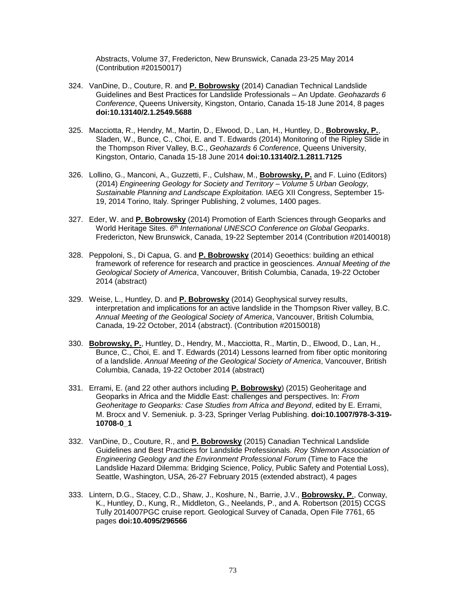Abstracts, Volume 37, Fredericton, New Brunswick, Canada 23-25 May 2014 (Contribution #20150017)

- 324. VanDine, D., Couture, R. and **P. Bobrowsky** (2014) Canadian Technical Landslide Guidelines and Best Practices for Landslide Professionals – An Update. *Geohazards 6 Conference*, Queens University, Kingston, Ontario, Canada 15-18 June 2014, 8 pages **doi:10.13140/2.1.2549.5688**
- 325. Macciotta, R., Hendry, M., Martin, D., Elwood, D., Lan, H., Huntley, D., **Bobrowsky, P.**, Sladen, W., Bunce, C., Choi, E. and T. Edwards (2014) Monitoring of the Ripley Slide in the Thompson River Valley, B.C., *Geohazards 6 Conference*, Queens University, Kingston, Ontario, Canada 15-18 June 2014 **doi:10.13140/2.1.2811.7125**
- 326. Lollino, G., Manconi, A., Guzzetti, F., Culshaw, M., **Bobrowsky, P.** and F. Luino (Editors) (2014) *Engineering Geology for Society and Territory – Volume 5 Urban Geology, Sustainable Planning and Landscape Exploitation.* IAEG XII Congress, September 15- 19, 2014 Torino, Italy. Springer Publishing, 2 volumes, 1400 pages.
- 327. Eder, W. and **P. Bobrowsky** (2014) Promotion of Earth Sciences through Geoparks and World Heritage Sites. *6 th International UNESCO Conference on Global Geoparks*. Fredericton, New Brunswick, Canada, 19-22 September 2014 (Contribution #20140018)
- 328. Peppoloni, S., Di Capua, G. and **P. Bobrowsky** (2014) Geoethics: building an ethical framework of reference for research and practice in geosciences. *Annual Meeting of the Geological Society of America*, Vancouver, British Columbia, Canada, 19-22 October 2014 (abstract)
- 329. Weise, L., Huntley, D. and **P. Bobrowsky** (2014) Geophysical survey results, interpretation and implications for an active landslide in the Thompson River valley, B.C. *Annual Meeting of the Geological Society of America*, Vancouver, British Columbia, Canada, 19-22 October, 2014 (abstract). (Contribution #20150018)
- 330. **Bobrowsky, P.**, Huntley, D., Hendry, M., Macciotta, R., Martin, D., Elwood, D., Lan, H., Bunce, C., Choi, E. and T. Edwards (2014) Lessons learned from fiber optic monitoring of a landslide. *Annual Meeting of the Geological Society of America*, Vancouver, British Columbia, Canada, 19-22 October 2014 (abstract)
- 331. Errami, E. (and 22 other authors including **P. Bobrowsky**) (2015) Geoheritage and Geoparks in Africa and the Middle East: challenges and perspectives. In: *From Geoheritage to Geoparks: Case Studies from Africa and Beyond*, edited by E. Errami, M. Brocx and V. Semeniuk. p. 3-23, Springer Verlag Publishing. **doi:10.1007/978-3-319- 10708-0\_1**
- 332. VanDine, D., Couture, R., and **P. Bobrowsky** (2015) Canadian Technical Landslide Guidelines and Best Practices for Landslide Professionals. *Roy Shlemon Association of Engineering Geology and the Environment Professional Forum* (Time to Face the Landslide Hazard Dilemma: Bridging Science, Policy, Public Safety and Potential Loss), Seattle, Washington, USA, 26-27 February 2015 (extended abstract), 4 pages
- 333. Lintern, D.G., Stacey, C.D., Shaw, J., Koshure, N., Barrie, J.V., **Bobrowsky, P**., Conway, K., Huntley, D., Kung, R., Middleton, G., Neelands, P., and A. Robertson (2015) CCGS Tully 2014007PGC cruise report. Geological Survey of Canada, Open File 7761, 65 pages **doi:10.4095/296566**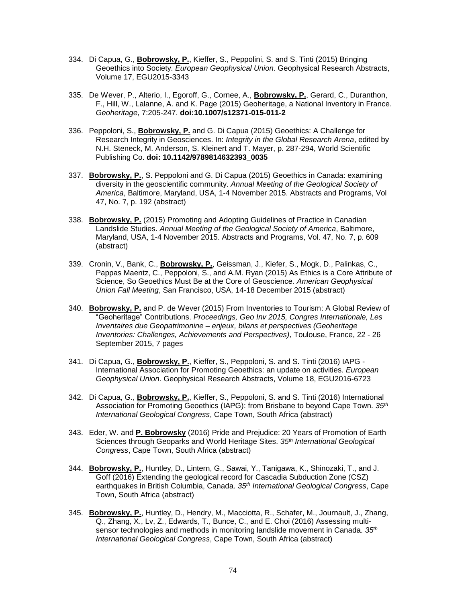- 334. Di Capua, G., **Bobrowsky, P.**, Kieffer, S., Peppolini, S. and S. Tinti (2015) Bringing Geoethics into Society. *European Geophysical Union*. Geophysical Research Abstracts, Volume 17, EGU2015-3343
- 335. De Wever, P., Alterio, I., Egoroff, G., Cornee, A., **Bobrowsky, P.**, Gerard, C., Duranthon, F., Hill, W., Lalanne, A. and K. Page (2015) Geoheritage, a National Inventory in France. *Geoheritage*, 7:205-247. **doi:10.1007/s12371-015-011-2**
- 336. Peppoloni, S., **Bobrowsky, P.** and G. Di Capua (2015) Geoethics: A Challenge for Research Integrity in Geosciences. In: *Integrity in the Global Research Arena*, edited by N.H. Steneck, M. Anderson, S. Kleinert and T. Mayer, p. 287-294, World Scientific Publishing Co. **doi: 10.1142/9789814632393\_0035**
- 337. **Bobrowsky, P.**, S. Peppoloni and G. Di Capua (2015) Geoethics in Canada: examining diversity in the geoscientific community. *Annual Meeting of the Geological Society of America*, Baltimore, Maryland, USA, 1-4 November 2015. Abstracts and Programs, Vol 47, No. 7, p. 192 (abstract)
- 338. **Bobrowsky, P.** (2015) Promoting and Adopting Guidelines of Practice in Canadian Landslide Studies. *Annual Meeting of the Geological Society of America*, Baltimore, Maryland, USA, 1-4 November 2015. Abstracts and Programs, Vol. 47, No. 7, p. 609 (abstract)
- 339. Cronin, V., Bank, C., **Bobrowsky, P.**, Geissman, J., Kiefer, S., Mogk, D., Palinkas, C., Pappas Maentz, C., Peppoloni, S., and A.M. Ryan (2015) As Ethics is a Core Attribute of Science, So Geoethics Must Be at the Core of Geoscience*. American Geophysical Union Fall Meeting*, San Francisco, USA, 14-18 December 2015 (abstract)
- 340. **Bobrowsky, P.** and P. de Wever (2015) From Inventories to Tourism: A Global Review of "Geoheritage" Contributions. *Proceedings, Geo Inv 2015, Congres Internationale, Les Inventaires due Geopatrimonine – enjeux, bilans et perspectives (Geoheritage Inventories: Challenges, Achievements and Perspectives),* Toulouse, France, 22 - 26 September 2015, 7 pages
- 341. Di Capua, G., **Bobrowsky, P.**, Kieffer, S., Peppoloni, S. and S. Tinti (2016) IAPG International Association for Promoting Geoethics: an update on activities. *European Geophysical Union*. Geophysical Research Abstracts, Volume 18, EGU2016-6723
- 342. Di Capua, G., **Bobrowsky, P.**, Kieffer, S., Peppoloni, S. and S. Tinti (2016) International Association for Promoting Geoethics (IAPG): from Brisbane to beyond Cape Town. *35th International Geological Congress*, Cape Town, South Africa (abstract)
- 343. Eder, W. and **P. Bobrowsky** (2016) Pride and Prejudice: 20 Years of Promotion of Earth Sciences through Geoparks and World Heritage Sites. *35th International Geological Congress*, Cape Town, South Africa (abstract)
- 344. **Bobrowsky, P.**, Huntley, D., Lintern, G., Sawai, Y., Tanigawa, K., Shinozaki, T., and J. Goff (2016) Extending the geological record for Cascadia Subduction Zone (CSZ) earthquakes in British Columbia, Canada. *35th International Geological Congress*, Cape Town, South Africa (abstract)
- 345. **Bobrowsky, P.**, Huntley, D., Hendry, M., Macciotta, R., Schafer, M., Journault, J., Zhang, Q., Zhang, X., Lv, Z., Edwards, T., Bunce, C., and E. Choi (2016) Assessing multisensor technologies and methods in monitoring landslide movement in Canada. *35th International Geological Congress*, Cape Town, South Africa (abstract)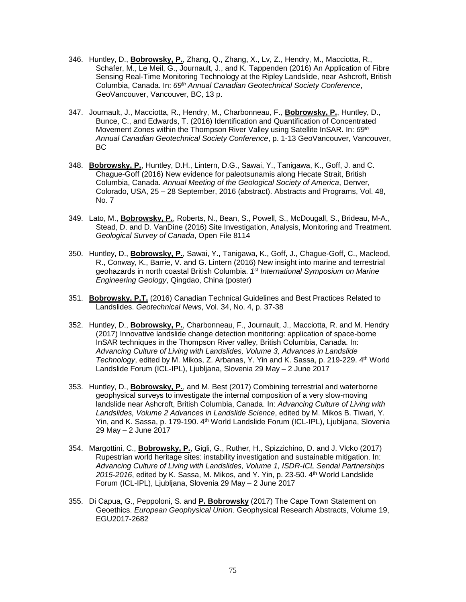- 346. Huntley, D., **Bobrowsky, P.**, Zhang, Q., Zhang, X., Lv, Z., Hendry, M., Macciotta, R., Schafer, M., Le Meil, G., Journault, J., and K. Tappenden (2016) An Application of Fibre Sensing Real-Time Monitoring Technology at the Ripley Landslide, near Ashcroft, British Columbia, Canada. In: *69th Annual Canadian Geotechnical Society Conference*, GeoVancouver, Vancouver, BC, 13 p.
- 347. Journault, J., Macciotta, R., Hendry, M., Charbonneau, F., **Bobrowsky, P.**, Huntley, D., Bunce, C., and Edwards, T. (2016) Identification and Quantification of Concentrated Movement Zones within the Thompson River Valley using Satellite InSAR. In: *69th Annual Canadian Geotechnical Society Conference*, p. 1-13 GeoVancouver, Vancouver, BC
- 348. **Bobrowsky, P.**, Huntley, D.H., Lintern, D.G., Sawai, Y., Tanigawa, K., Goff, J. and C. Chague-Goff (2016) New evidence for paleotsunamis along Hecate Strait, British Columbia, Canada. *Annual Meeting of the Geological Society of America*, Denver, Colorado, USA, 25 – 28 September, 2016 (abstract). Abstracts and Programs, Vol. 48, No. 7
- 349. Lato, M., **Bobrowsky, P.**, Roberts, N., Bean, S., Powell, S., McDougall, S., Brideau, M-A., Stead, D. and D. VanDine (2016) Site Investigation, Analysis, Monitoring and Treatment. *Geological Survey of Canada*, Open File 8114
- 350. Huntley, D., **Bobrowsky, P.**, Sawai, Y., Tanigawa, K., Goff, J., Chague-Goff, C., Macleod, R., Conway, K., Barrie, V. and G. Lintern (2016) New insight into marine and terrestrial geohazards in north coastal British Columbia. *1 st International Symposium on Marine Engineering Geology*, Qingdao, China (poster)
- 351. **Bobrowsky, P.T.** (2016) Canadian Technical Guidelines and Best Practices Related to Landslides. *Geotechnical News*, Vol. 34, No. 4, p. 37-38
- 352. Huntley, D., **Bobrowsky, P.**, Charbonneau, F., Journault, J., Macciotta, R. and M. Hendry (2017) Innovative landslide change detection monitoring: application of space-borne InSAR techniques in the Thompson River valley, British Columbia, Canada. In: *Advancing Culture of Living with Landslides, Volume 3, Advances in Landslide*  Technology, edited by M. Mikos, Z. Arbanas, Y. Yin and K. Sassa, p. 219-229. 4<sup>th</sup> World Landslide Forum (ICL-IPL), Ljubljana, Slovenia 29 May – 2 June 2017
- 353. Huntley, D., **Bobrowsky, P.**, and M. Best (2017) Combining terrestrial and waterborne geophysical surveys to investigate the internal composition of a very slow-moving landslide near Ashcroft, British Columbia, Canada. In: *Advancing Culture of Living with Landslides, Volume 2 Advances in Landslide Science*, edited by M. Mikos B. Tiwari, Y. Yin, and K. Sassa, p. 179-190. 4<sup>th</sup> World Landslide Forum (ICL-IPL), Ljubljana, Slovenia 29 May – 2 June 2017
- 354. Margottini, C., **Bobrowsky, P.**, Gigli, G., Ruther, H., Spizzichino, D. and J. Vlcko (2017) Rupestrian world heritage sites: instability investigation and sustainable mitigation. In: *Advancing Culture of Living with Landslides, Volume 1, ISDR-ICL Sendai Partnerships 2015-2016*, edited by K. Sassa, M. Mikos, and Y. Yin, p. 23-50. 4 th World Landslide Forum (ICL-IPL), Ljubljana, Slovenia 29 May – 2 June 2017
- 355. Di Capua, G., Peppoloni, S. and **P. Bobrowsky** (2017) The Cape Town Statement on Geoethics. *European Geophysical Union*. Geophysical Research Abstracts, Volume 19, EGU2017-2682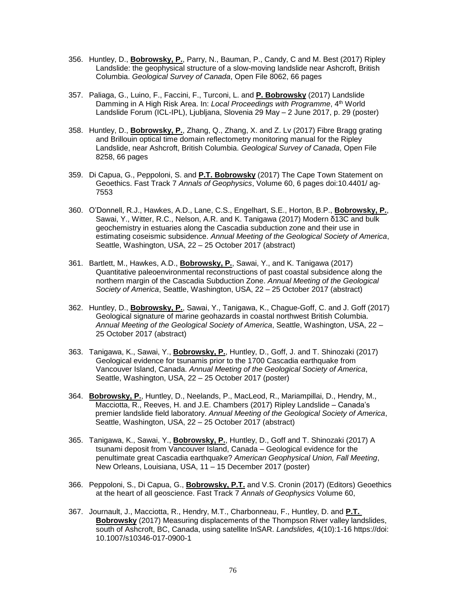- 356. Huntley, D., **Bobrowsky, P.**, Parry, N., Bauman, P., Candy, C and M. Best (2017) Ripley Landslide: the geophysical structure of a slow-moving landslide near Ashcroft, British Columbia. *Geological Survey of Canada*, Open File 8062, 66 pages
- 357. Paliaga, G., Luino, F., Faccini, F., Turconi, L. and **P. Bobrowsky** (2017) Landslide Damming in A High Risk Area. In: *Local Proceedings with Programme*, 4<sup>th</sup> World Landslide Forum (ICL-IPL), Ljubljana, Slovenia 29 May – 2 June 2017, p. 29 (poster)
- 358. Huntley, D., **Bobrowsky, P.**, Zhang, Q., Zhang, X. and Z. Lv (2017) Fibre Bragg grating and Brillouin optical time domain reflectometry monitoring manual for the Ripley Landslide, near Ashcroft, British Columbia. *Geological Survey of Canada*, Open File 8258, 66 pages
- 359. Di Capua, G., Peppoloni, S. and **P.T. Bobrowsky** (2017) The Cape Town Statement on Geoethics. Fast Track 7 *Annals of Geophysics*, Volume 60, 6 pages doi:10.4401/ ag-7553
- 360. O'Donnell, R.J., Hawkes, A.D., Lane, C.S., Engelhart, S.E., Horton, B.P., **Bobrowsky, P.**, Sawai, Y., Witter, R.C., Nelson, A.R. and K. Tanigawa (2017) Modern δ13C and bulk geochemistry in estuaries along the Cascadia subduction zone and their use in estimating coseismic subsidence. *Annual Meeting of the Geological Society of America*, Seattle, Washington, USA, 22 – 25 October 2017 (abstract)
- 361. Bartlett, M., Hawkes, A.D., **Bobrowsky, P.**, Sawai, Y., and K. Tanigawa (2017) Quantitative paleoenvironmental reconstructions of past coastal subsidence along the northern margin of the Cascadia Subduction Zone. *Annual Meeting of the Geological Society of America*, Seattle, Washington, USA, 22 – 25 October 2017 (abstract)
- 362. Huntley, D., **Bobrowsky, P.**, Sawai, Y., Tanigawa, K., Chague-Goff, C. and J. Goff (2017) Geological signature of marine geohazards in coastal northwest British Columbia. *Annual Meeting of the Geological Society of America*, Seattle, Washington, USA, 22 – 25 October 2017 (abstract)
- 363. Tanigawa, K., Sawai, Y., **Bobrowsky, P.**, Huntley, D., Goff, J. and T. Shinozaki (2017) Geological evidence for tsunamis prior to the 1700 Cascadia earthquake from Vancouver Island, Canada. *Annual Meeting of the Geological Society of America*, Seattle, Washington, USA, 22 – 25 October 2017 (poster)
- 364. **Bobrowsky, P.**, Huntley, D., Neelands, P., MacLeod, R., Mariampillai, D., Hendry, M., Macciotta, R., Reeves, H. and J.E. Chambers (2017) Ripley Landslide – Canada's premier landslide field laboratory. *Annual Meeting of the Geological Society of America*, Seattle, Washington, USA, 22 – 25 October 2017 (abstract)
- 365. Tanigawa, K., Sawai, Y., **Bobrowsky, P.**, Huntley, D., Goff and T. Shinozaki (2017) A tsunami deposit from Vancouver Island, Canada – Geological evidence for the penultimate great Cascadia earthquake? *American Geophysical Union, Fall Meeting*, New Orleans, Louisiana, USA, 11 – 15 December 2017 (poster)
- 366. Peppoloni, S., Di Capua, G., **Bobrowsky, P.T.** and V.S. Cronin (2017) (Editors) Geoethics at the heart of all geoscience. Fast Track 7 *Annals of Geophysics* Volume 60,
- 367. Journault, J., Macciotta, R., Hendry, M.T., Charbonneau, F., Huntley, D. and **P.T. Bobrowsky** (2017) Measuring displacements of the Thompson River valley landslides, south of Ashcroft, BC, Canada, using satellite InSAR. *Landslides,* 4(10):1-16 https://doi: 10.1007/s10346-017-0900-1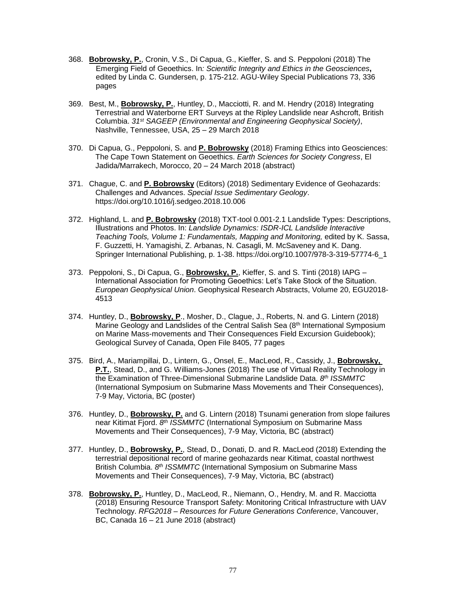- 368. **Bobrowsky, P.**, Cronin, V.S., Di Capua, G., Kieffer, S. and S. Peppoloni (2018) The Emerging Field of Geoethics. In*: Scientific Integrity and Ethics in the Geosciences***,** edited by Linda C. Gundersen, p. 175-212. AGU-Wiley Special Publications 73, 336 pages
- 369. Best, M., **Bobrowsky, P.**, Huntley, D., Macciotti, R. and M. Hendry (2018) Integrating Terrestrial and Waterborne ERT Surveys at the Ripley Landslide near Ashcroft, British Columbia. *31st SAGEEP (Environmental and Engineering Geophysical Society)*, Nashville, Tennessee, USA, 25 – 29 March 2018
- 370. Di Capua, G., Peppoloni, S. and **P. Bobrowsky** (2018) Framing Ethics into Geosciences: The Cape Town Statement on Geoethics. *Earth Sciences for Society Congress*, El Jadida/Marrakech, Morocco, 20 – 24 March 2018 (abstract)
- 371. Chague, C. and **P. Bobrowsky** (Editors) (2018) Sedimentary Evidence of Geohazards: Challenges and Advances. *Special Issue Sedimentary Geology*. https://doi.org/10.1016/j.sedgeo.2018.10.006
- 372. Highland, L. and **P. Bobrowsky** (2018) TXT-tool 0.001-2.1 Landslide Types: Descriptions, Illustrations and Photos. In: *Landslide Dynamics: ISDR-ICL Landslide Interactive Teaching Tools, Volume 1: Fundamentals, Mapping and Monitoring,* edited by K. Sassa, F. Guzzetti, H. Yamagishi, Z. Arbanas, N. Casagli, M. McSaveney and K. Dang. Springer International Publishing, p. 1-38. https://doi.org/10.1007/978-3-319-57774-6\_1
- 373. Peppoloni, S., Di Capua, G., **Bobrowsky, P.**, Kieffer, S. and S. Tinti (2018) IAPG International Association for Promoting Geoethics: Let's Take Stock of the Situation. *European Geophysical Union*. Geophysical Research Abstracts, Volume 20, EGU2018- 4513
- 374. Huntley, D., **Bobrowsky, P**., Mosher, D., Clague, J., Roberts, N. and G. Lintern (2018) Marine Geology and Landslides of the Central Salish Sea (8<sup>th</sup> International Symposium on Marine Mass-movements and Their Consequences Field Excursion Guidebook); Geological Survey of Canada, Open File 8405, 77 pages
- 375. Bird, A., Mariampillai, D., Lintern, G., Onsel, E., MacLeod, R., Cassidy, J., **Bobrowsky, P.T.**, Stead, D., and G. Williams-Jones (2018) The use of Virtual Reality Technology in the Examination of Three-Dimensional Submarine Landslide Data. *8 th ISSMMTC* (International Symposium on Submarine Mass Movements and Their Consequences), 7-9 May, Victoria, BC (poster)
- 376. Huntley, D., **Bobrowsky, P.** and G. Lintern (2018) Tsunami generation from slope failures near Kitimat Fjord. *8 th ISSMMTC* (International Symposium on Submarine Mass Movements and Their Consequences), 7-9 May, Victoria, BC (abstract)
- 377. Huntley, D., **Bobrowsky, P.**, Stead, D., Donati, D. and R. MacLeod (2018) Extending the terrestrial depositional record of marine geohazards near Kitimat, coastal northwest British Columbia. *8 th ISSMMTC* (International Symposium on Submarine Mass Movements and Their Consequences), 7-9 May, Victoria, BC (abstract)
- 378. **Bobrowsky, P.**, Huntley, D., MacLeod, R., Niemann, O., Hendry, M. and R. Macciotta (2018) Ensuring Resource Transport Safety: Monitoring Critical Infrastructure with UAV Technology. *RFG2018 – Resources for Future Generations Conference*, Vancouver, BC, Canada 16 – 21 June 2018 (abstract)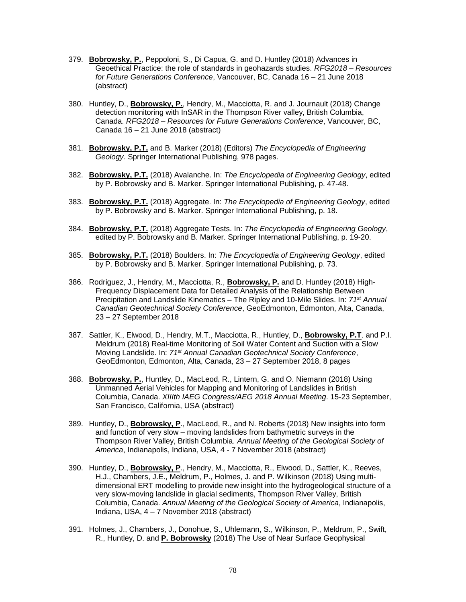- 379. **Bobrowsky, P.**, Peppoloni, S., Di Capua, G. and D. Huntley (2018) Advances in Geoethical Practice: the role of standards in geohazards studies. *RFG2018 – Resources for Future Generations Conference*, Vancouver, BC, Canada 16 – 21 June 2018 (abstract)
- 380. Huntley, D., **Bobrowsky, P.**, Hendry, M., Macciotta, R. and J. Journault (2018) Change detection monitoring with InSAR in the Thompson River valley, British Columbia, Canada. *RFG2018 – Resources for Future Generations Conference*, Vancouver, BC, Canada 16 – 21 June 2018 (abstract)
- 381. **Bobrowsky, P.T.** and B. Marker (2018) (Editors) *The Encyclopedia of Engineering Geology*. Springer International Publishing, 978 pages.
- 382. **Bobrowsky, P.T.** (2018) Avalanche. In: *The Encyclopedia of Engineering Geology*, edited by P. Bobrowsky and B. Marker. Springer International Publishing, p. 47-48.
- 383. **Bobrowsky, P.T.** (2018) Aggregate. In: *The Encyclopedia of Engineering Geology*, edited by P. Bobrowsky and B. Marker. Springer International Publishing, p. 18.
- 384. **Bobrowsky, P.T.** (2018) Aggregate Tests. In: *The Encyclopedia of Engineering Geology*, edited by P. Bobrowsky and B. Marker. Springer International Publishing, p. 19-20.
- 385. **Bobrowsky, P.T.** (2018) Boulders. In: *The Encyclopedia of Engineering Geology*, edited by P. Bobrowsky and B. Marker. Springer International Publishing, p. 73.
- 386. Rodriguez, J., Hendry, M., Macciotta, R., **Bobrowsky, P.** and D. Huntley (2018) High-Frequency Displacement Data for Detailed Analysis of the Relationship Between Precipitation and Landslide Kinematics – The Ripley and 10-Mile Slides. In: *71st Annual Canadian Geotechnical Society Conference*, GeoEdmonton, Edmonton, Alta, Canada, 23 – 27 September 2018
- 387. Sattler, K., Elwood, D., Hendry, M.T., Macciotta, R., Huntley, D., **Bobrowsky, P.T**. and P.I. Meldrum (2018) Real-time Monitoring of Soil Water Content and Suction with a Slow Moving Landslide. In: *71st Annual Canadian Geotechnical Society Conference*, GeoEdmonton, Edmonton, Alta, Canada, 23 – 27 September 2018, 8 pages
- 388. **Bobrowsky, P.**, Huntley, D., MacLeod, R., Lintern, G. and O. Niemann (2018) Using Unmanned Aerial Vehicles for Mapping and Monitoring of Landslides in British Columbia, Canada. *XIIIth IAEG Congress/AEG 2018 Annual Meeting*. 15-23 September, San Francisco, California, USA (abstract)
- 389. Huntley, D., **Bobrowsky, P**., MacLeod, R., and N. Roberts (2018) New insights into form and function of very slow – moving landslides from bathymetric surveys in the Thompson River Valley, British Columbia. *Annual Meeting of the Geological Society of America*, Indianapolis, Indiana, USA, 4 - 7 November 2018 (abstract)
- 390. Huntley, D., **Bobrowsky, P**., Hendry, M., Macciotta, R., Elwood, D., Sattler, K., Reeves, H.J., Chambers, J.E., Meldrum, P., Holmes, J. and P. Wilkinson (2018) Using multidimensional ERT modelling to provide new insight into the hydrogeological structure of a very slow-moving landslide in glacial sediments, Thompson River Valley, British Columbia, Canada. *Annual Meeting of the Geological Society of America*, Indianapolis, Indiana, USA, 4 – 7 November 2018 (abstract)
- 391. Holmes, J., Chambers, J., Donohue, S., Uhlemann, S., Wilkinson, P., Meldrum, P., Swift, R., Huntley, D. and **P. Bobrowsky** (2018) The Use of Near Surface Geophysical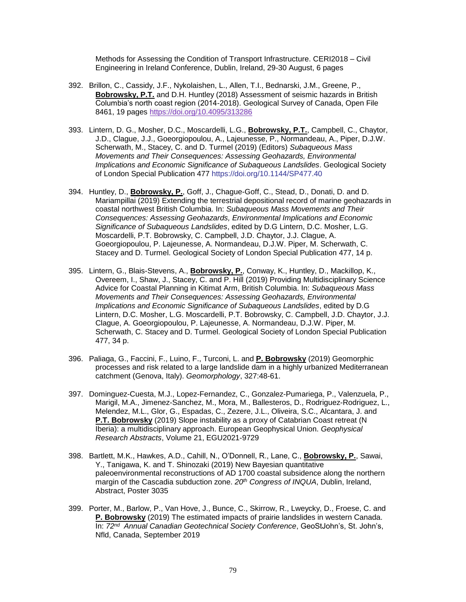Methods for Assessing the Condition of Transport Infrastructure. CERI2018 – Civil Engineering in Ireland Conference, Dublin, Ireland, 29-30 August, 6 pages

- 392. Brillon, C., Cassidy, J.F., Nykolaishen, L., Allen, T.I., Bednarski, J.M., Greene, P., **Bobrowsky, P.T.** and D.H. Huntley (2018) Assessment of seismic hazards in British Columbia's north coast region (2014-2018). Geological Survey of Canada, Open File 8461, 19 pages <https://doi.org/10.4095/313286>
- 393. Lintern, D. G., Mosher, D.C., Moscardelli, L.G., **Bobrowsky, P.T.**, Campbell, C., Chaytor, J.D., Clague, J.J., Goeorgiopoulou, A., Lajeunesse, P., Normandeau, A., Piper, D.J.W. Scherwath, M., Stacey, C. and D. Turmel (2019) (Editors) *Subaqueous Mass Movements and Their Consequences: Assessing Geohazards, Environmental Implications and Economic Significance of Subaqueous Landslides*. Geological Society of London Special Publication 477 https://doi.org/10.1144/SP477.40
- 394. Huntley, D., **Bobrowsky, P.**, Goff, J., Chague-Goff, C., Stead, D., Donati, D. and D. Mariampillai (2019) Extending the terrestrial depositional record of marine geohazards in coastal northwest British Columbia. In: *Subaqueous Mass Movements and Their Consequences: Assessing Geohazards, Environmental Implications and Economic Significance of Subaqueous Landslides*, edited by D.G Lintern, D.C. Mosher, L.G. Moscardelli, P.T. Bobrowsky, C. Campbell, J.D. Chaytor, J.J. Clague, A. Goeorgiopoulou, P. Lajeunesse, A. Normandeau, D.J.W. Piper, M. Scherwath, C. Stacey and D. Turmel. Geological Society of London Special Publication 477, 14 p.
- 395. Lintern, G., Blais-Stevens, A., **Bobrowsky, P.**, Conway, K., Huntley, D., Mackillop, K., Overeem, I., Shaw, J., Stacey, C. and P. Hill (2019) Providing Multidisciplinary Science Advice for Coastal Planning in Kitimat Arm, British Columbia. In: *Subaqueous Mass Movements and Their Consequences: Assessing Geohazards, Environmental Implications and Economic Significance of Subaqueous Landslides*, edited by D.G Lintern, D.C. Mosher, L.G. Moscardelli, P.T. Bobrowsky, C. Campbell, J.D. Chaytor, J.J. Clague, A. Goeorgiopoulou, P. Lajeunesse, A. Normandeau, D.J.W. Piper, M. Scherwath, C. Stacey and D. Turmel. Geological Society of London Special Publication 477, 34 p.
- 396. Paliaga, G., Faccini, F., Luino, F., Turconi, L. and **P. Bobrowsky** (2019) Geomorphic processes and risk related to a large landslide dam in a highly urbanized Mediterranean catchment (Genova, Italy). *Geomorphology*, 327:48-61.
- 397. Dominguez-Cuesta, M.J., Lopez-Fernandez, C., Gonzalez-Pumariega, P., Valenzuela, P., Marigil, M.A., Jimenez-Sanchez, M., Mora, M., Ballesteros, D., Rodriguez-Rodriguez, L., Melendez, M.L., Glor, G., Espadas, C., Zezere, J.L., Oliveira, S.C., Alcantara, J. and **P.T. Bobrowsky** (2019) Slope instability as a proxy of Catabrian Coast retreat (N Iberia): a multidisciplinary approach. European Geophysical Union. *Geophysical Research Abstracts*, Volume 21, EGU2021-9729
- 398. Bartlett, M.K., Hawkes, A.D., Cahill, N., O'Donnell, R., Lane, C., **Bobrowsky, P.**, Sawai, Y., Tanigawa, K. and T. Shinozaki (2019) New Bayesian quantitative paleoenvironmental reconstructions of AD 1700 coastal subsidence along the northern margin of the Cascadia subduction zone. *20th Congress of INQUA*, Dublin, Ireland, Abstract, Poster 3035
- 399. Porter, M., Barlow, P., Van Hove, J., Bunce, C., Skirrow, R., Lweycky, D., Froese, C. and **P. Bobrowsky** (2019) The estimated impacts of prairie landslides in western Canada. In: *72nd Annual Canadian Geotechnical Society Conference*, GeoStJohn's, St. John's, Nfld, Canada, September 2019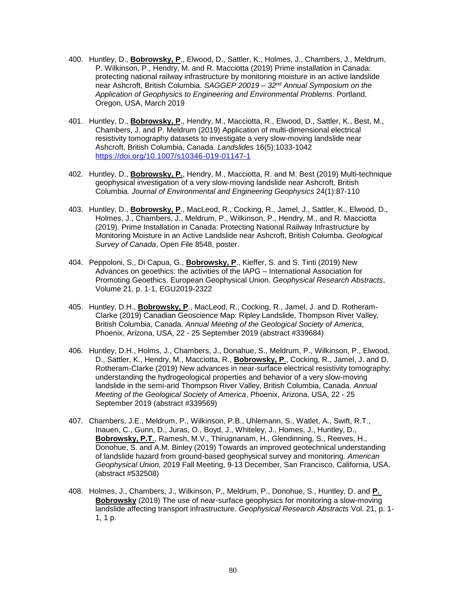- 400. Huntley, D., **Bobrowsky, P**., Elwood, D., Sattler, K., Holmes, J., Chambers, J., Meldrum, P. Wilkinson, P., Hendry, M. and R. Macciotta (2019) Prime installation in Canada: protecting national railway infrastructure by monitoring moisture in an active landslide near Ashcroft, British Columbia. *SAGGEP 20019 – 32nd Annual Symposium on the Application of Geophysics to Engineering and Environmental Problems*. Portland, Oregon, USA, March 2019
- 401. Huntley, D., **Bobrowsky, P**., Hendry, M., Macciotta, R., Elwood, D., Sattler, K., Best, M., Chambers, J. and P. Meldrum (2019) Application of multi-dimensional electrical resistivity tomography datasets to investigate a very slow-moving landslide near Ashcroft, British Columbia, Canada. *Landslides* 16(5):1033-1042 <https://doi.org/10.1007/s10346-019-01147-1>
- 402. Huntley, D., **Bobrowsky, P.**, Hendry, M., Macciotta, R. and M. Best (2019) Multi-technique geophysical investigation of a very slow-moving landslide near Ashcroft, British Columbia*. Journal of Environmental and Engineering Geophysics* 24(1):87-110
- 403. Huntley, D., **Bobrowsky, P**., MacLeod, R., Cocking, R., Jamel, J., Sattler, K., Elwood, D., Holmes, J., Chambers, J., Meldrum, P., Wilkinson, P., Hendry, M., and R. Macciotta (2019). Prime Installation in Canada: Protecting National Railway Infrastructure by Monitoring Moisture in an Active Landslide near Ashcroft, British Columba. *Geological Survey of Canada*, Open File 8548, poster.
- 404. Peppoloni, S., Di Capua, G., **Bobrowsky, P**., Kieffer, S. and S. Tinti (2019) New Advances on geoethics: the activities of the IAPG – International Association for Promoting Geoethics. European Geophysical Union. *Geophysical Research Abstracts*, Volume 21, p. 1-1, EGU2019-2322
- 405. Huntley, D.H., **Bobrowsky, P**., MacLeod, R., Cocking, R., Jamel, J. and D. Rotheram-Clarke (2019) Canadian Geoscience Map: Ripley Landslide, Thompson River Valley, British Columbia, Canada. *Annual Meeting of the Geological Society of America*, Phoenix, Arizona, USA, 22 - 25 September 2019 (abstract #339684)
- 406. Huntley, D.H., Holms, J., Chambers, J., Donahue, S., Meldrum, P., Wilkinson, P., Elwood, D., Sattler, K., Hendry, M., Macciotta, R., **Bobrowsky, P**., Cocking, R., Jamel, J. and D. Rotheram-Clarke (2019) New advances in near-surface electrical resistivity tomography: understanding the hydrogeological properties and behavior of a very slow-moving landslide in the semi-arid Thompson River Valley, British Columbia, Canada. *Annual Meeting of the Geological Society of America*, Phoenix, Arizona, USA, 22 - 25 September 2019 (abstract #339569)
- 407. Chambers, J.E., Meldrum, P., Wilkinson, P.B., Uhlemann, S., Watlet, A., Swift, R.T., Inauen, C., Gunn, D., Juras, O., Boyd, J., Whiteley, J., Homes, J., Huntley, D., **Bobrowsky, P.T**., Ramesh, M.V., Thirugnanam, H., Glendinning, S., Reeves, H., Donohue, S. and A.M. Binley (2019) Towards an improved geotechnical understanding of landslide hazard from ground-based geophysical survey and monitoring. *American Geophysical Union,* 2019 Fall Meeting, 9-13 December, San Francisco, California, USA. (abstract #532508)
- 408. Holmes, J., Chambers, J., Wilkinson, P., Meldrum, P., Donohue, S., Huntley, D. and **P. Bobrowsky** (2019) The use of near-surface geophysics for monitoring a slow-moving landslide affecting transport infrastructure. *Geophysical Research Abstracts* Vol. 21, p. 1- 1, 1 p.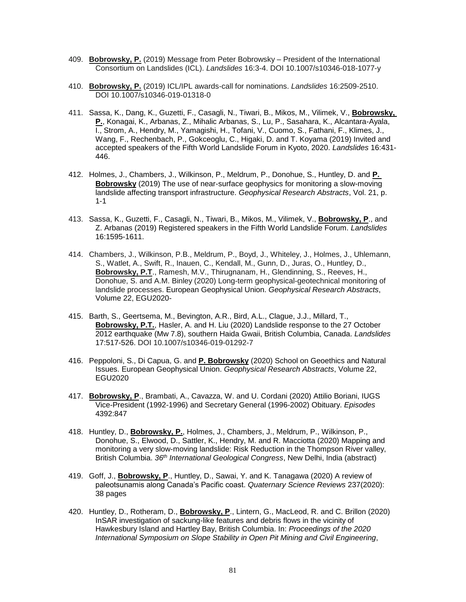- 409. **Bobrowsky, P.** (2019) Message from Peter Bobrowsky President of the International Consortium on Landslides (ICL). *Landslides* 16:3-4. DOI 10.1007/s10346-018-1077-y
- 410. **Bobrowsky, P.** (2019) ICL/IPL awards-call for nominations. *Landslides* 16:2509-2510. DOI 10.1007/s10346-019-01318-0
- 411. Sassa, K., Dang, K., Guzetti, F., Casagli, N., Tiwari, B., Mikos, M., Vilimek, V., **Bobrowsky, P.**, Konagai, K., Arbanas, Z., Mihalic Arbanas, S., Lu, P., Sasahara, K., Alcantara-Ayala, I., Strom, A., Hendry, M., Yamagishi, H., Tofani, V., Cuomo, S., Fathani, F., Klimes, J., Wang, F., Rechenbach, P., Gokceoglu, C., Higaki, D. and T. Koyama (2019) Invited and accepted speakers of the Fifth World Landslide Forum in Kyoto, 2020. *Landslides* 16:431- 446.
- 412. Holmes, J., Chambers, J., Wilkinson, P., Meldrum, P., Donohue, S., Huntley, D. and **P. Bobrowsky** (2019) The use of near-surface geophysics for monitoring a slow-moving landslide affecting transport infrastructure. *Geophysical Research Abstracts*, Vol. 21, p. 1-1
- 413. Sassa, K., Guzetti, F., Casagli, N., Tiwari, B., Mikos, M., Vilimek, V., **Bobrowsky, P**., and Z. Arbanas (2019) Registered speakers in the Fifth World Landslide Forum. *Landslides* 16:1595-1611.
- 414. Chambers, J., Wilkinson, P.B., Meldrum, P., Boyd, J., Whiteley, J., Holmes, J., Uhlemann, S., Watlet, A., Swift, R., Inauen, C., Kendall, M., Gunn, D., Juras, O., Huntley, D., **Bobrowsky, P.T**., Ramesh, M.V., Thirugnanam, H., Glendinning, S., Reeves, H., Donohue, S. and A.M. Binley (2020) Long-term geophysical-geotechnical monitoring of landslide processes. European Geophysical Union. *Geophysical Research Abstracts*, Volume 22, EGU2020-
- 415. Barth, S., Geertsema, M., Bevington, A.R., Bird, A.L., Clague, J.J., Millard, T., **Bobrowsky, P.T.**, Hasler, A. and H. Liu (2020) Landslide response to the 27 October 2012 earthquake (Mw 7.8), southern Haida Gwaii, British Columbia, Canada. *Landslides* 17:517-526. DOI 10.1007/s10346-019-01292-7
- 416. Peppoloni, S., Di Capua, G. and **P. Bobrowsky** (2020) School on Geoethics and Natural Issues. European Geophysical Union. *Geophysical Research Abstracts*, Volume 22, EGU2020
- 417. **Bobrowsky, P**., Brambati, A., Cavazza, W. and U. Cordani (2020) Attilio Boriani, IUGS Vice-President (1992-1996) and Secretary General (1996-2002) Obituary. *Episodes* 4392:847
- 418. Huntley, D., **Bobrowsky, P.**, Holmes, J., Chambers, J., Meldrum, P., Wilkinson, P., Donohue, S., Elwood, D., Sattler, K., Hendry, M. and R. Macciotta (2020) Mapping and monitoring a very slow-moving landslide: Risk Reduction in the Thompson River valley, British Columbia. *36 th International Geological Congress*, New Delhi, India (abstract)
- 419. Goff, J., **Bobrowsky, P**., Huntley, D., Sawai, Y. and K. Tanagawa (2020) A review of paleotsunamis along Canada's Pacific coast. *Quaternary Science Reviews* 237(2020): 38 pages
- 420. Huntley, D., Rotheram, D., **Bobrowsky, P**., Lintern, G., MacLeod, R. and C. Brillon (2020) InSAR investigation of sackung-like features and debris flows in the vicinity of Hawkesbury Island and Hartley Bay, British Columbia. In: *Proceedings of the 2020 International Symposium on Slope Stability in Open Pit Mining and Civil Engineering*,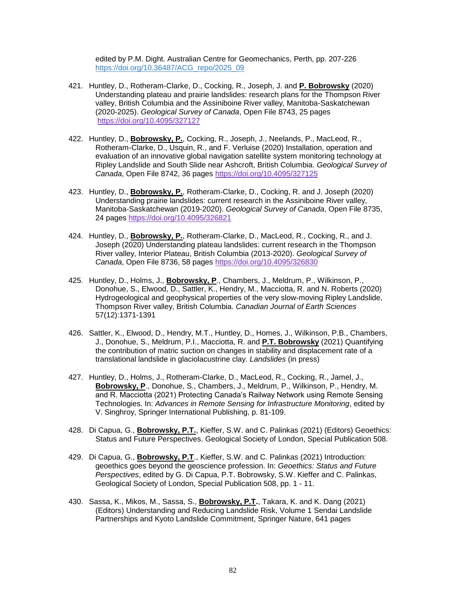edited by P.M. Dight. Australian Centre for Geomechanics, Perth, pp. 207-226 [https://doi.org/10.36487/ACG\\_repo/2025\\_09](https://doi.org/10.36487/ACG_repo/2025_09)

- 421. Huntley, D., Rotheram-Clarke, D., Cocking, R., Joseph, J. and **P. Bobrowsky** (2020) Understanding plateau and prairie landslides: research plans for the Thompson River valley, British Columbia and the Assiniboine River valley, Manitoba-Saskatchewan (2020-2025). *Geological Survey of Canada*, Open File 8743, 25 pages <https://doi.org/10.4095/327127>
- 422. Huntley, D., **Bobrowsky, P.**, Cocking, R., Joseph, J., Neelands, P., MacLeod, R., Rotheram-Clarke, D., Usquin, R., and F. Verluise (2020) Installation, operation and evaluation of an innovative global navigation satellite system monitoring technology at Ripley Landslide and South Slide near Ashcroft, British Columbia. *Geological Survey of Canada*, Open File 8742, 36 pages <https://doi.org/10.4095/327125>
- 423. Huntley, D., **Bobrowsky, P.**, Rotheram-Clarke, D., Cocking, R. and J. Joseph (2020) Understanding prairie landslides: current research in the Assiniboine River valley, Manitoba-Saskatchewan (2019-2020). *Geological Survey of Canada*, Open File 8735, 24 pages <https://doi.org/10.4095/326821>
- 424. Huntley, D., **Bobrowsky, P.**, Rotheram-Clarke, D., MacLeod, R., Cocking, R., and J. Joseph (2020) Understanding plateau landslides: current research in the Thompson River valley, Interior Plateau, British Columbia (2013-2020). *Geological Survey of Canada*, Open File 8736, 58 pages <https://doi.org/10.4095/326830>
- 425. Huntley, D., Holms, J., **Bobrowsky, P**., Chambers, J., Meldrum, P., Wilkinson, P., Donohue, S., Elwood, D., Sattler, K., Hendry, M., Macciotta, R. and N. Roberts (2020) Hydrogeological and geophysical properties of the very slow-moving Ripley Landslide, Thompson River valley, British Columbia. *Canadian Journal of Earth Sciences* 57(12):1371-1391
- 426. Sattler, K., Elwood, D., Hendry, M.T., Huntley, D., Homes, J., Wilkinson, P.B., Chambers, J., Donohue, S., Meldrum, P.I., Macciotta, R. and **P.T. Bobrowsky** (2021) Quantifying the contribution of matric suction on changes in stability and displacement rate of a translational landslide in glaciolacustrine clay. *Landslides* (in press)
- 427. Huntley, D., Holms, J., Rotheram-Clarke, D., MacLeod, R., Cocking, R., Jamel, J., **Bobrowsky, P**., Donohue, S., Chambers, J., Meldrum, P., Wilkinson, P., Hendry, M. and R. Macciotta (2021) Protecting Canada's Railway Network using Remote Sensing Technologies. In: *Advances in Remote Sensing for Infrastructure Monitoring*, edited by V. Singhroy, Springer International Publishing, p. 81-109.
- 428. Di Capua, G., **Bobrowsky, P.T.**, Kieffer, S.W. and C. Palinkas (2021) (Editors) Geoethics: Status and Future Perspectives. Geological Society of London, Special Publication 508.
- 429. Di Capua, G., **Bobrowsky, P.T**., Kieffer, S.W. and C. Palinkas (2021) Introduction: geoethics goes beyond the geoscience profession. In: *Geoethics: Status and Future Perspectives*, edited by G. Di Capua, P.T. Bobrowsky, S.W. Kieffer and C. Palinkas, Geological Society of London, Special Publication 508, pp. 1 - 11.
- 430. Sassa, K., Mikos, M., Sassa, S., **Bobrowsky, P.T.**, Takara, K. and K. Dang (2021) (Editors) Understanding and Reducing Landslide Risk, Volume 1 Sendai Landslide Partnerships and Kyoto Landslide Commitment, Springer Nature, 641 pages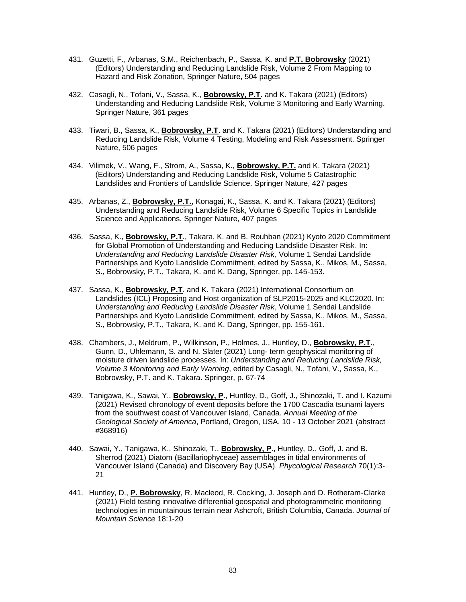- 431. Guzetti, F., Arbanas, S.M., Reichenbach, P., Sassa, K. and **P.T. Bobrowsky** (2021) (Editors) Understanding and Reducing Landslide Risk, Volume 2 From Mapping to Hazard and Risk Zonation, Springer Nature, 504 pages
- 432. Casagli, N., Tofani, V., Sassa, K., **Bobrowsky, P.T**. and K. Takara (2021) (Editors) Understanding and Reducing Landslide Risk, Volume 3 Monitoring and Early Warning. Springer Nature, 361 pages
- 433. Tiwari, B., Sassa, K., **Bobrowsky, P.T**. and K. Takara (2021) (Editors) Understanding and Reducing Landslide Risk, Volume 4 Testing, Modeling and Risk Assessment. Springer Nature, 506 pages
- 434. Vilimek, V., Wang, F., Strom, A., Sassa, K., **Bobrowsky, P.T.** and K. Takara (2021) (Editors) Understanding and Reducing Landslide Risk, Volume 5 Catastrophic Landslides and Frontiers of Landslide Science. Springer Nature, 427 pages
- 435. Arbanas, Z., **Bobrowsky, P.T.**, Konagai, K., Sassa, K. and K. Takara (2021) (Editors) Understanding and Reducing Landslide Risk, Volume 6 Specific Topics in Landslide Science and Applications. Springer Nature, 407 pages
- 436. Sassa, K., **Bobrowsky, P.T**., Takara, K. and B. Rouhban (2021) Kyoto 2020 Commitment for Global Promotion of Understanding and Reducing Landslide Disaster Risk. In: *Understanding and Reducing Landslide Disaster Risk*, Volume 1 Sendai Landslide Partnerships and Kyoto Landslide Commitment, edited by Sassa, K., Mikos, M., Sassa, S., Bobrowsky, P.T., Takara, K. and K. Dang, Springer, pp. 145-153.
- 437. Sassa, K., **Bobrowsky, P.T**. and K. Takara (2021) International Consortium on Landslides (ICL) Proposing and Host organization of SLP2015-2025 and KLC2020. In: *Understanding and Reducing Landslide Disaster Risk*, Volume 1 Sendai Landslide Partnerships and Kyoto Landslide Commitment, edited by Sassa, K., Mikos, M., Sassa, S., Bobrowsky, P.T., Takara, K. and K. Dang, Springer, pp. 155-161.
- 438. Chambers, J., Meldrum, P., Wilkinson, P., Holmes, J., Huntley, D., **Bobrowsky, P.T**., Gunn, D., Uhlemann, S. and N. Slater (2021) Long- term geophysical monitoring of moisture driven landslide processes. In: *Understanding and Reducing Landslide Risk, Volume 3 Monitoring and Early Warning*, edited by Casagli, N., Tofani, V., Sassa, K., Bobrowsky, P.T. and K. Takara. Springer, p. 67-74
- 439. Tanigawa, K., Sawai, Y., **Bobrowsky, P**., Huntley, D., Goff, J., Shinozaki, T. and I. Kazumi (2021) Revised chronology of event deposits before the 1700 Cascadia tsunami layers from the southwest coast of Vancouver Island, Canada. *Annual Meeting of the Geological Society of America*, Portland, Oregon, USA, 10 - 13 October 2021 (abstract #368916)
- 440. Sawai, Y., Tanigawa, K., Shinozaki, T., **Bobrowsky, P**., Huntley, D., Goff, J. and B. Sherrod (2021) Diatom (Bacillariophyceae) assemblages in tidal environments of Vancouver Island (Canada) and Discovery Bay (USA). *Phycological Research* 70(1):3- 21
- 441. Huntley, D., **P. Bobrowsky**, R. Macleod, R. Cocking, J. Joseph and D. Rotheram-Clarke (2021) Field testing innovative differential geospatial and photogrammetric monitoring technologies in mountainous terrain near Ashcroft, British Columbia, Canada. *Journal of Mountain Science* 18:1-20